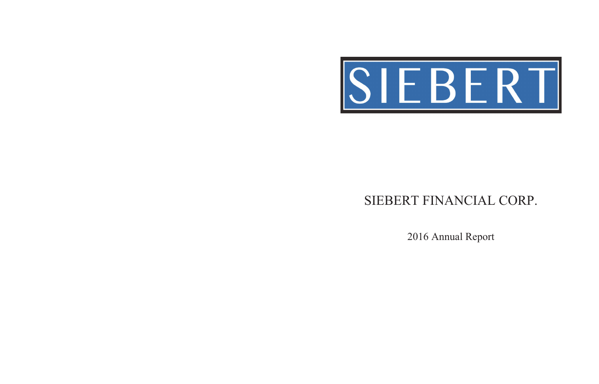

# SIEBERT FINANCIAL CORP.

2016 Annual Report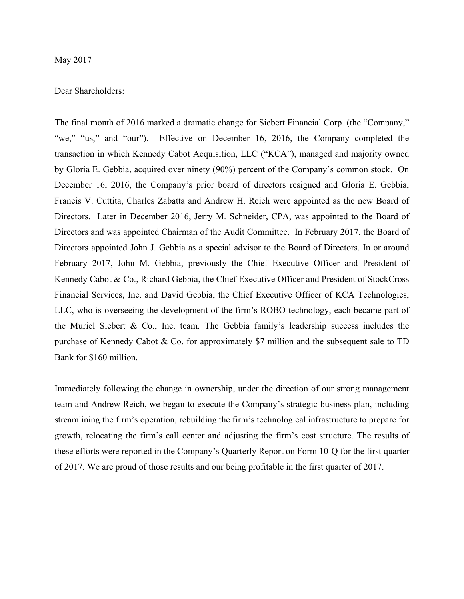## Dear Shareholders:

The final month of 2016 marked a dramatic change for Siebert Financial Corp. (the "Company," "we," "us," and "our"). Effective on December 16, 2016, the Company completed the transaction in which Kennedy Cabot Acquisition, LLC ("KCA"), managed and majority owned by Gloria E. Gebbia, acquired over ninety (90%) percent of the Company's common stock. On December 16, 2016, the Company's prior board of directors resigned and Gloria E. Gebbia, Francis V. Cuttita, Charles Zabatta and Andrew H. Reich were appointed as the new Board of Directors. Later in December 2016, Jerry M. Schneider, CPA, was appointed to the Board of Directors and was appointed Chairman of the Audit Committee. In February 2017, the Board of Directors appointed John J. Gebbia as a special advisor to the Board of Directors. In or around February 2017, John M. Gebbia, previously the Chief Executive Officer and President of Kennedy Cabot & Co., Richard Gebbia, the Chief Executive Officer and President of StockCross Financial Services, Inc. and David Gebbia, the Chief Executive Officer of KCA Technologies, LLC, who is overseeing the development of the firm's ROBO technology, each became part of the Muriel Siebert & Co., Inc. team. The Gebbia family's leadership success includes the purchase of Kennedy Cabot & Co. for approximately \$7 million and the subsequent sale to TD Bank for \$160 million.

Immediately following the change in ownership, under the direction of our strong management team and Andrew Reich, we began to execute the Company's strategic business plan, including streamlining the firm's operation, rebuilding the firm's technological infrastructure to prepare for growth, relocating the firm's call center and adjusting the firm's cost structure. The results of these efforts were reported in the Company's Quarterly Report on Form 10-Q for the first quarter of 2017. We are proud of those results and our being profitable in the first quarter of 2017.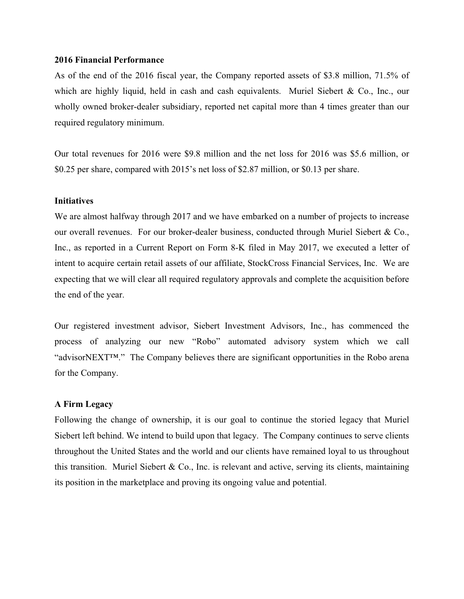## **2016 Financial Performance**

As of the end of the 2016 fiscal year, the Company reported assets of \$3.8 million, 71.5% of which are highly liquid, held in cash and cash equivalents. Muriel Siebert & Co., Inc., our wholly owned broker-dealer subsidiary, reported net capital more than 4 times greater than our required regulatory minimum.

Our total revenues for 2016 were \$9.8 million and the net loss for 2016 was \$5.6 million, or \$0.25 per share, compared with 2015's net loss of \$2.87 million, or \$0.13 per share.

## **Initiatives**

We are almost halfway through 2017 and we have embarked on a number of projects to increase our overall revenues. For our broker-dealer business, conducted through Muriel Siebert & Co., Inc., as reported in a Current Report on Form 8-K filed in May 2017, we executed a letter of intent to acquire certain retail assets of our affiliate, StockCross Financial Services, Inc. We are expecting that we will clear all required regulatory approvals and complete the acquisition before the end of the year.

Our registered investment advisor, Siebert Investment Advisors, Inc., has commenced the process of analyzing our new "Robo" automated advisory system which we call "advisorNEXT™." The Company believes there are significant opportunities in the Robo arena for the Company.

## **A Firm Legacy**

Following the change of ownership, it is our goal to continue the storied legacy that Muriel Siebert left behind. We intend to build upon that legacy. The Company continues to serve clients throughout the United States and the world and our clients have remained loyal to us throughout this transition. Muriel Siebert  $\& Co.,$  Inc. is relevant and active, serving its clients, maintaining its position in the marketplace and proving its ongoing value and potential.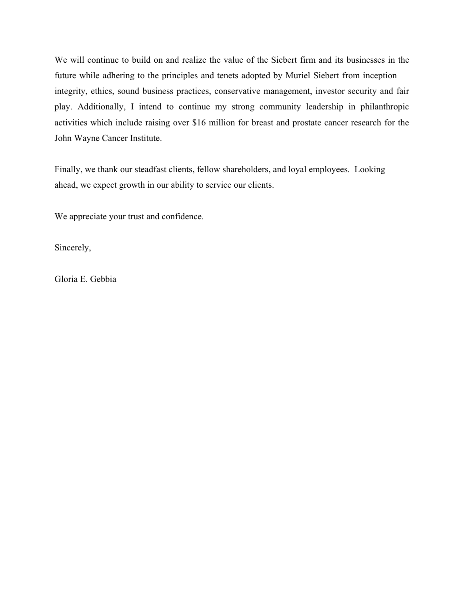We will continue to build on and realize the value of the Siebert firm and its businesses in the future while adhering to the principles and tenets adopted by Muriel Siebert from inception integrity, ethics, sound business practices, conservative management, investor security and fair play. Additionally, I intend to continue my strong community leadership in philanthropic activities which include raising over \$16 million for breast and prostate cancer research for the John Wayne Cancer Institute.

Finally, we thank our steadfast clients, fellow shareholders, and loyal employees. Looking ahead, we expect growth in our ability to service our clients.

We appreciate your trust and confidence.

Sincerely,

Gloria E. Gebbia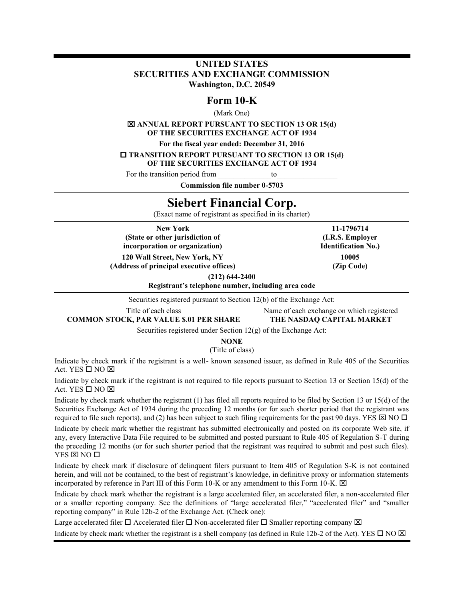## **UNITED STATES SECURITIES AND EXCHANGE COMMISSION Washington, D.C. 20549**

## **Form 10-K**

#### (Mark One)

x **ANNUAL REPORT PURSUANT TO SECTION 13 OR 15(d) OF THE SECURITIES EXCHANGE ACT OF 1934**

**For the fiscal year ended: December 31, 2016**

 $\Box$  **TRANSITION REPORT PURSUANT TO SECTION 13 OR 15(d) OF THE SECURITIES EXCHANGE ACT OF 1934**

For the transition period from to

**Commission file number 0-5703** 

## **Siebert Financial Corp.**

(Exact name of registrant as specified in its charter)

**New York 11-1796714 (State or other jurisdiction of (I.R.S. Employer incorporation or organization) Identification No.)**

**120 Wall Street, New York, NY 10005 (Address of principal executive offices) (Zip Code)**

**(212) 644-2400** 

**Registrant's telephone number, including area code**

Securities registered pursuant to Section 12(b) of the Exchange Act:

Title of each class Name of each exchange on which registered **COMMON STOCK, PAR VALUE \$.01 PER SHARE THE NASDAQ CAPITAL MARKET**

Securities registered under Section 12(g) of the Exchange Act:

**NONE**

(Title of class)

Indicate by check mark if the registrant is a well- known seasoned issuer, as defined in Rule 405 of the Securities Act. YES  $\square$  NO  $\square$ 

Indicate by check mark if the registrant is not required to file reports pursuant to Section 13 or Section 15(d) of the Act. YES  $\square$  NO  $\square$ 

Indicate by check mark whether the registrant (1) has filed all reports required to be filed by Section 13 or 15(d) of the Securities Exchange Act of 1934 during the preceding 12 months (or for such shorter period that the registrant was required to file such reports), and (2) has been subject to such filing requirements for the past 90 days. YES  $\boxtimes$  NO  $\Box$ 

Indicate by check mark whether the registrant has submitted electronically and posted on its corporate Web site, if any, every Interactive Data File required to be submitted and posted pursuant to Rule 405 of Regulation S-T during the preceding 12 months (or for such shorter period that the registrant was required to submit and post such files). YES  $\times$  NO  $\Box$ 

Indicate by check mark if disclosure of delinquent filers pursuant to Item 405 of Regulation S-K is not contained herein, and will not be contained, to the best of registrant's knowledge, in definitive proxy or information statements incorporated by reference in Part III of this Form 10-K or any amendment to this Form 10-K.  $\boxtimes$ 

Indicate by check mark whether the registrant is a large accelerated filer, an accelerated filer, a non-accelerated filer or a smaller reporting company. See the definitions of "large accelerated filer," "accelerated filer" and "smaller reporting company" in Rule 12b-2 of the Exchange Act. (Check one):

Large accelerated filer  $\Box$  Accelerated filer  $\Box$  Non-accelerated filer  $\Box$  Smaller reporting company  $\boxtimes$ 

Indicate by check mark whether the registrant is a shell company (as defined in Rule 12b-2 of the Act). YES  $\Box$  NO  $\boxtimes$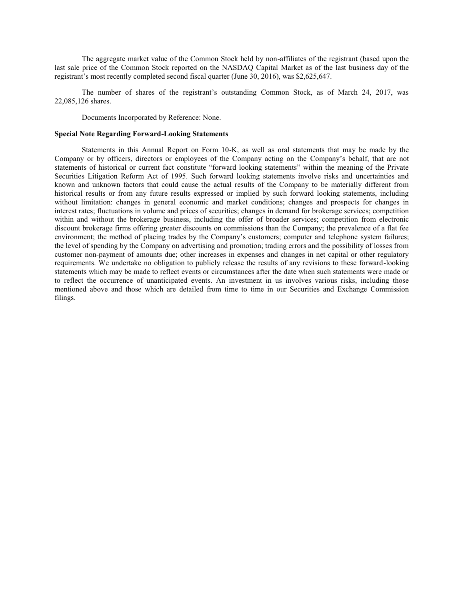The aggregate market value of the Common Stock held by non-affiliates of the registrant (based upon the last sale price of the Common Stock reported on the NASDAQ Capital Market as of the last business day of the registrant's most recently completed second fiscal quarter (June 30, 2016), was \$2,625,647.

The number of shares of the registrant's outstanding Common Stock, as of March 24, 2017, was 22,085,126 shares.

Documents Incorporated by Reference: None.

#### **Special Note Regarding Forward-Looking Statements**

Statements in this Annual Report on Form 10-K, as well as oral statements that may be made by the Company or by officers, directors or employees of the Company acting on the Company's behalf, that are not statements of historical or current fact constitute "forward looking statements" within the meaning of the Private Securities Litigation Reform Act of 1995. Such forward looking statements involve risks and uncertainties and known and unknown factors that could cause the actual results of the Company to be materially different from historical results or from any future results expressed or implied by such forward looking statements, including without limitation: changes in general economic and market conditions; changes and prospects for changes in interest rates; fluctuations in volume and prices of securities; changes in demand for brokerage services; competition within and without the brokerage business, including the offer of broader services; competition from electronic discount brokerage firms offering greater discounts on commissions than the Company; the prevalence of a flat fee environment; the method of placing trades by the Company's customers; computer and telephone system failures; the level of spending by the Company on advertising and promotion; trading errors and the possibility of losses from customer non-payment of amounts due; other increases in expenses and changes in net capital or other regulatory requirements. We undertake no obligation to publicly release the results of any revisions to these forward-looking statements which may be made to reflect events or circumstances after the date when such statements were made or to reflect the occurrence of unanticipated events. An investment in us involves various risks, including those mentioned above and those which are detailed from time to time in our Securities and Exchange Commission filings.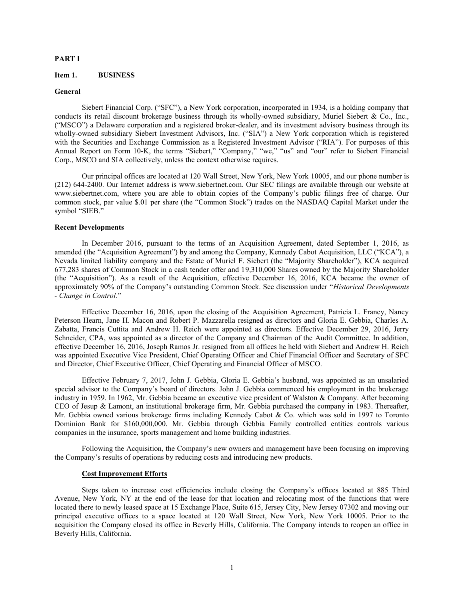#### **PART I**

#### **Item 1. BUSINESS**

#### **General**

Siebert Financial Corp. ("SFC"), a New York corporation, incorporated in 1934, is a holding company that conducts its retail discount brokerage business through its wholly-owned subsidiary, Muriel Siebert & Co., Inc., ("MSCO") a Delaware corporation and a registered broker-dealer, and its investment advisory business through its wholly-owned subsidiary Siebert Investment Advisors, Inc. ("SIA") a New York corporation which is registered with the Securities and Exchange Commission as a Registered Investment Advisor ("RIA"). For purposes of this Annual Report on Form 10-K, the terms "Siebert," "Company," "we," "us" and "our" refer to Siebert Financial Corp., MSCO and SIA collectively, unless the context otherwise requires.

Our principal offices are located at 120 Wall Street, New York, New York 10005, and our phone number is (212) 644-2400. Our Internet address is www.siebertnet.com. Our SEC filings are available through our website at www.siebertnet.com, where you are able to obtain copies of the Company's public filings free of charge. Our common stock, par value \$.01 per share (the "Common Stock") trades on the NASDAQ Capital Market under the symbol "SIEB."

#### **Recent Developments**

In December 2016, pursuant to the terms of an Acquisition Agreement, dated September 1, 2016, as amended (the "Acquisition Agreement") by and among the Company, Kennedy Cabot Acquisition, LLC ("KCA"), a Nevada limited liability company and the Estate of Muriel F. Siebert (the "Majority Shareholder"), KCA acquired 677,283 shares of Common Stock in a cash tender offer and 19,310,000 Shares owned by the Majority Shareholder (the "Acquisition"). As a result of the Acquisition, effective December 16, 2016, KCA became the owner of approximately 90% of the Company's outstanding Common Stock. See discussion under "*Historical Developments - Change in Control*."

Effective December 16, 2016, upon the closing of the Acquisition Agreement, Patricia L. Francy, Nancy Peterson Hearn, Jane H. Macon and Robert P. Mazzarella resigned as directors and Gloria E. Gebbia, Charles A. Zabatta, Francis Cuttita and Andrew H. Reich were appointed as directors. Effective December 29, 2016, Jerry Schneider, CPA, was appointed as a director of the Company and Chairman of the Audit Committee. In addition, effective December 16, 2016, Joseph Ramos Jr. resigned from all offices he held with Siebert and Andrew H. Reich was appointed Executive Vice President, Chief Operating Officer and Chief Financial Officer and Secretary of SFC and Director, Chief Executive Officer, Chief Operating and Financial Officer of MSCO.

Effective February 7, 2017, John J. Gebbia, Gloria E. Gebbia's husband, was appointed as an unsalaried special advisor to the Company's board of directors. John J. Gebbia commenced his employment in the brokerage industry in 1959. In 1962, Mr. Gebbia became an executive vice president of Walston & Company. After becoming CEO of Jesup & Lamont, an institutional brokerage firm, Mr. Gebbia purchased the company in 1983. Thereafter, Mr. Gebbia owned various brokerage firms including Kennedy Cabot & Co. which was sold in 1997 to Toronto Dominion Bank for \$160,000,000. Mr. Gebbia through Gebbia Family controlled entities controls various companies in the insurance, sports management and home building industries.

Following the Acquisition, the Company's new owners and management have been focusing on improving the Company's results of operations by reducing costs and introducing new products.

#### **Cost Improvement Efforts**

Steps taken to increase cost efficiencies include closing the Company's offices located at 885 Third Avenue, New York, NY at the end of the lease for that location and relocating most of the functions that were located there to newly leased space at 15 Exchange Place, Suite 615, Jersey City, New Jersey 07302 and moving our principal executive offices to a space located at 120 Wall Street, New York, New York 10005. Prior to the acquisition the Company closed its office in Beverly Hills, California. The Company intends to reopen an office in Beverly Hills, California.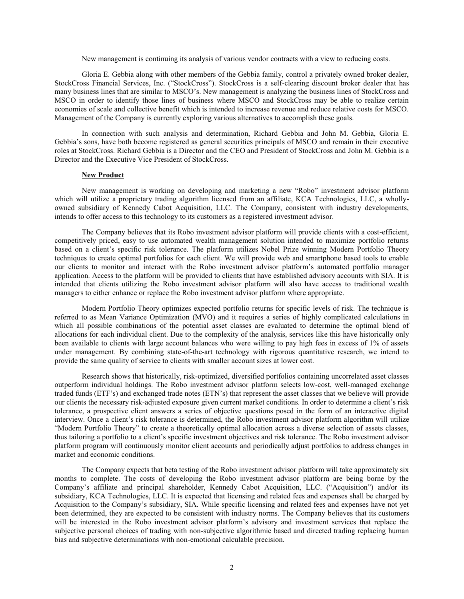New management is continuing its analysis of various vendor contracts with a view to reducing costs.

Gloria E. Gebbia along with other members of the Gebbia family, control a privately owned broker dealer, StockCross Financial Services, Inc. ("StockCross"). StockCross is a self-clearing discount broker dealer that has many business lines that are similar to MSCO's. New management is analyzing the business lines of StockCross and MSCO in order to identify those lines of business where MSCO and StockCross may be able to realize certain economies of scale and collective benefit which is intended to increase revenue and reduce relative costs for MSCO. Management of the Company is currently exploring various alternatives to accomplish these goals.

In connection with such analysis and determination, Richard Gebbia and John M. Gebbia, Gloria E. Gebbia's sons, have both become registered as general securities principals of MSCO and remain in their executive roles at StockCross. Richard Gebbia is a Director and the CEO and President of StockCross and John M. Gebbia is a Director and the Executive Vice President of StockCross.

#### **New Product**

New management is working on developing and marketing a new "Robo" investment advisor platform which will utilize a proprietary trading algorithm licensed from an affiliate, KCA Technologies, LLC, a whollyowned subsidiary of Kennedy Cabot Acquisition, LLC. The Company, consistent with industry developments, intends to offer access to this technology to its customers as a registered investment advisor.

The Company believes that its Robo investment advisor platform will provide clients with a cost-efficient, competitively priced, easy to use automated wealth management solution intended to maximize portfolio returns based on a client's specific risk tolerance. The platform utilizes Nobel Prize winning Modern Portfolio Theory techniques to create optimal portfolios for each client. We will provide web and smartphone based tools to enable our clients to monitor and interact with the Robo investment advisor platform's automated portfolio manager application. Access to the platform will be provided to clients that have established advisory accounts with SIA. It is intended that clients utilizing the Robo investment advisor platform will also have access to traditional wealth managers to either enhance or replace the Robo investment advisor platform where appropriate.

Modern Portfolio Theory optimizes expected portfolio returns for specific levels of risk. The technique is referred to as Mean Variance Optimization (MVO) and it requires a series of highly complicated calculations in which all possible combinations of the potential asset classes are evaluated to determine the optimal blend of allocations for each individual client. Due to the complexity of the analysis, services like this have historically only been available to clients with large account balances who were willing to pay high fees in excess of 1% of assets under management. By combining state-of-the-art technology with rigorous quantitative research, we intend to provide the same quality of service to clients with smaller account sizes at lower cost.

Research shows that historically, risk-optimized, diversified portfolios containing uncorrelated asset classes outperform individual holdings. The Robo investment advisor platform selects low-cost, well-managed exchange traded funds (ETF's) and exchanged trade notes (ETN's) that represent the asset classes that we believe will provide our clients the necessary risk-adjusted exposure given current market conditions. In order to determine a client's risk tolerance, a prospective client answers a series of objective questions posed in the form of an interactive digital interview. Once a client's risk tolerance is determined, the Robo investment advisor platform algorithm will utilize "Modern Portfolio Theory" to create a theoretically optimal allocation across a diverse selection of assets classes, thus tailoring a portfolio to a client's specific investment objectives and risk tolerance. The Robo investment advisor platform program will continuously monitor client accounts and periodically adjust portfolios to address changes in market and economic conditions.

The Company expects that beta testing of the Robo investment advisor platform will take approximately six months to complete. The costs of developing the Robo investment advisor platform are being borne by the Company's affiliate and principal shareholder, Kennedy Cabot Acquisition, LLC. ("Acquisition") and/or its subsidiary, KCA Technologies, LLC. It is expected that licensing and related fees and expenses shall be charged by Acquisition to the Company's subsidiary, SIA. While specific licensing and related fees and expenses have not yet been determined, they are expected to be consistent with industry norms. The Company believes that its customers will be interested in the Robo investment advisor platform's advisory and investment services that replace the subjective personal choices of trading with non-subjective algorithmic based and directed trading replacing human bias and subjective determinations with non-emotional calculable precision.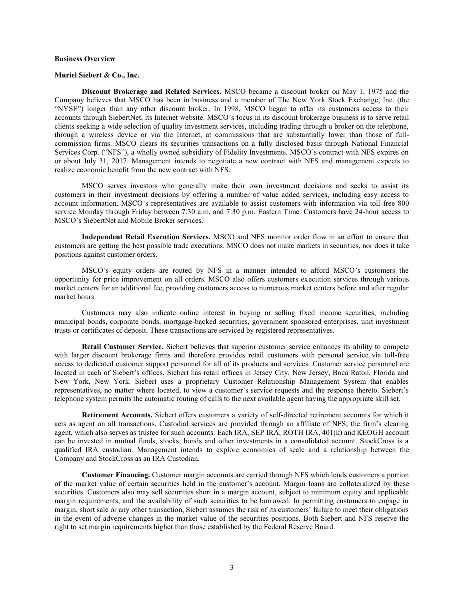#### **Business Overview**

**Muriel Siebert & Co., Inc.** 

**Discount Brokerage and Related Services.** MSCO became a discount broker on May 1, 1975 and the Company believes that MSCO has been in business and a member of The New York Stock Exchange, Inc. (the "NYSE") longer than any other discount broker. In 1998, MSCO began to offer its customers access to their accounts through SiebertNet, its Internet website. MSCO's focus in its discount brokerage business is to serve retail clients seeking a wide selection of quality investment services, including trading through a broker on the telephone, through a wireless device or via the Internet, at commissions that are substantially lower than those of fullcommission firms. MSCO clears its securities transactions on a fully disclosed basis through National Financial Services Corp. ("NFS"), a wholly owned subsidiary of Fidelity Investments. MSCO's contract with NFS expires on or about July 31, 2017. Management intends to negotiate a new contract with NFS and management expects to realize economic benefit from the new contract with NFS.

MSCO serves investors who generally make their own investment decisions and seeks to assist its customers in their investment decisions by offering a number of value added services, including easy access to account information. MSCO's representatives are available to assist customers with information via toll-free 800 service Monday through Friday between 7:30 a.m. and 7:30 p.m. Eastern Time. Customers have 24-hour access to MSCO's SiebertNet and Mobile Broker services.

**Independent Retail Execution Services.** MSCO and NFS monitor order flow in an effort to ensure that customers are getting the best possible trade executions. MSCO does not make markets in securities, nor does it take positions against customer orders.

MSCO's equity orders are routed by NFS in a manner intended to afford MSCO's customers the opportunity for price improvement on all orders. MSCO also offers customers execution services through various market centers for an additional fee, providing customers access to numerous market centers before and after regular market hours.

Customers may also indicate online interest in buying or selling fixed income securities, including municipal bonds, corporate bonds, mortgage-backed securities, government sponsored enterprises, unit investment trusts or certificates of deposit. These transactions are serviced by registered representatives.

**Retail Customer Service.** Siebert believes that superior customer service enhances its ability to compete with larger discount brokerage firms and therefore provides retail customers with personal service via toll-free access to dedicated customer support personnel for all of its products and services. Customer service personnel are located in each of Siebert's offices. Siebert has retail offices in Jersey City, New Jersey, Boca Raton, Florida and New York, New York. Siebert uses a proprietary Customer Relationship Management System that enables representatives, no matter where located, to view a customer's service requests and the response thereto. Siebert's telephone system permits the automatic routing of calls to the next available agent having the appropriate skill set.

**Retirement Accounts.** Siebert offers customers a variety of self-directed retirement accounts for which it acts as agent on all transactions. Custodial services are provided through an affiliate of NFS, the firm's clearing agent, which also serves as trustee for such accounts. Each IRA, SEP IRA, ROTH IRA, 401(k) and KEOGH account can be invested in mutual funds, stocks, bonds and other investments in a consolidated account. StockCross is a qualified IRA custodian. Management intends to explore economies of scale and a relationship between the Company and StockCross as an IRA Custodian.

**Customer Financing.** Customer margin accounts are carried through NFS which lends customers a portion of the market value of certain securities held in the customer's account. Margin loans are collateralized by these securities. Customers also may sell securities short in a margin account, subject to minimum equity and applicable margin requirements, and the availability of such securities to be borrowed. In permitting customers to engage in margin, short sale or any other transaction, Siebert assumes the risk of its customers' failure to meet their obligations in the event of adverse changes in the market value of the securities positions. Both Siebert and NFS reserve the right to set margin requirements higher than those established by the Federal Reserve Board.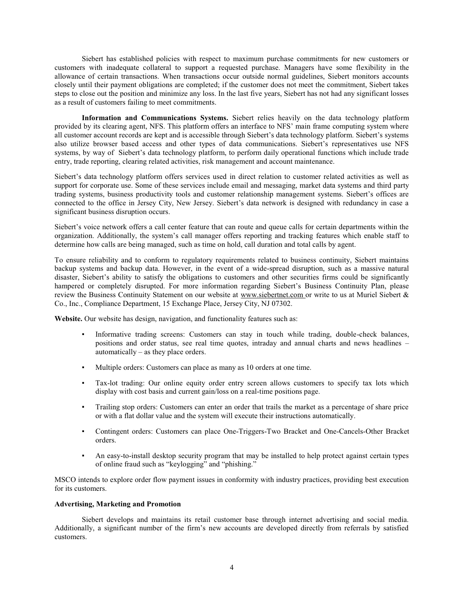Siebert has established policies with respect to maximum purchase commitments for new customers or customers with inadequate collateral to support a requested purchase. Managers have some flexibility in the allowance of certain transactions. When transactions occur outside normal guidelines, Siebert monitors accounts closely until their payment obligations are completed; if the customer does not meet the commitment, Siebert takes steps to close out the position and minimize any loss. In the last five years, Siebert has not had any significant losses as a result of customers failing to meet commitments.

**Information and Communications Systems.** Siebert relies heavily on the data technology platform provided by its clearing agent, NFS. This platform offers an interface to NFS' main frame computing system where all customer account records are kept and is accessible through Siebert's data technology platform. Siebert's systems also utilize browser based access and other types of data communications. Siebert's representatives use NFS systems, by way of Siebert's data technology platform, to perform daily operational functions which include trade entry, trade reporting, clearing related activities, risk management and account maintenance.

Siebert's data technology platform offers services used in direct relation to customer related activities as well as support for corporate use. Some of these services include email and messaging, market data systems and third party trading systems, business productivity tools and customer relationship management systems. Siebert's offices are connected to the office in Jersey City, New Jersey. Siebert's data network is designed with redundancy in case a significant business disruption occurs.

Siebert's voice network offers a call center feature that can route and queue calls for certain departments within the organization. Additionally, the system's call manager offers reporting and tracking features which enable staff to determine how calls are being managed, such as time on hold, call duration and total calls by agent.

To ensure reliability and to conform to regulatory requirements related to business continuity, Siebert maintains backup systems and backup data. However, in the event of a wide-spread disruption, such as a massive natural disaster, Siebert's ability to satisfy the obligations to customers and other securities firms could be significantly hampered or completely disrupted. For more information regarding Siebert's Business Continuity Plan, please review the Business Continuity Statement on our website at www.siebertnet.com or write to us at Muriel Siebert & Co., Inc., Compliance Department, 15 Exchange Place, Jersey City, NJ 07302.

**Website.** Our website has design, navigation, and functionality features such as:

- Informative trading screens: Customers can stay in touch while trading, double-check balances, positions and order status, see real time quotes, intraday and annual charts and news headlines – automatically – as they place orders.
- Multiple orders: Customers can place as many as 10 orders at one time.
- Tax-lot trading: Our online equity order entry screen allows customers to specify tax lots which display with cost basis and current gain/loss on a real-time positions page.
- Trailing stop orders: Customers can enter an order that trails the market as a percentage of share price or with a flat dollar value and the system will execute their instructions automatically.
- Contingent orders: Customers can place One-Triggers-Two Bracket and One-Cancels-Other Bracket orders.
- An easy-to-install desktop security program that may be installed to help protect against certain types of online fraud such as "keylogging" and "phishing."

MSCO intends to explore order flow payment issues in conformity with industry practices, providing best execution for its customers.

#### **Advertising, Marketing and Promotion**

Siebert develops and maintains its retail customer base through internet advertising and social media. Additionally, a significant number of the firm's new accounts are developed directly from referrals by satisfied customers.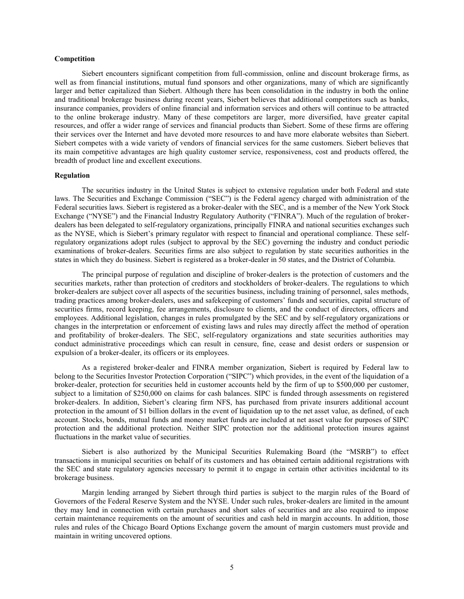#### **Competition**

Siebert encounters significant competition from full-commission, online and discount brokerage firms, as well as from financial institutions, mutual fund sponsors and other organizations, many of which are significantly larger and better capitalized than Siebert. Although there has been consolidation in the industry in both the online and traditional brokerage business during recent years, Siebert believes that additional competitors such as banks, insurance companies, providers of online financial and information services and others will continue to be attracted to the online brokerage industry. Many of these competitors are larger, more diversified, have greater capital resources, and offer a wider range of services and financial products than Siebert. Some of these firms are offering their services over the Internet and have devoted more resources to and have more elaborate websites than Siebert. Siebert competes with a wide variety of vendors of financial services for the same customers. Siebert believes that its main competitive advantages are high quality customer service, responsiveness, cost and products offered, the breadth of product line and excellent executions.

#### **Regulation**

The securities industry in the United States is subject to extensive regulation under both Federal and state laws. The Securities and Exchange Commission ("SEC") is the Federal agency charged with administration of the Federal securities laws. Siebert is registered as a broker-dealer with the SEC, and is a member of the New York Stock Exchange ("NYSE") and the Financial Industry Regulatory Authority ("FINRA"). Much of the regulation of brokerdealers has been delegated to self-regulatory organizations, principally FINRA and national securities exchanges such as the NYSE, which is Siebert's primary regulator with respect to financial and operational compliance. These selfregulatory organizations adopt rules (subject to approval by the SEC) governing the industry and conduct periodic examinations of broker-dealers. Securities firms are also subject to regulation by state securities authorities in the states in which they do business. Siebert is registered as a broker-dealer in 50 states, and the District of Columbia.

The principal purpose of regulation and discipline of broker-dealers is the protection of customers and the securities markets, rather than protection of creditors and stockholders of broker-dealers. The regulations to which broker-dealers are subject cover all aspects of the securities business, including training of personnel, sales methods, trading practices among broker-dealers, uses and safekeeping of customers' funds and securities, capital structure of securities firms, record keeping, fee arrangements, disclosure to clients, and the conduct of directors, officers and employees. Additional legislation, changes in rules promulgated by the SEC and by self-regulatory organizations or changes in the interpretation or enforcement of existing laws and rules may directly affect the method of operation and profitability of broker-dealers. The SEC, self-regulatory organizations and state securities authorities may conduct administrative proceedings which can result in censure, fine, cease and desist orders or suspension or expulsion of a broker-dealer, its officers or its employees.

As a registered broker-dealer and FINRA member organization, Siebert is required by Federal law to belong to the Securities Investor Protection Corporation ("SIPC") which provides, in the event of the liquidation of a broker-dealer, protection for securities held in customer accounts held by the firm of up to \$500,000 per customer, subject to a limitation of \$250,000 on claims for cash balances. SIPC is funded through assessments on registered broker-dealers. In addition, Siebert's clearing firm NFS, has purchased from private insurers additional account protection in the amount of \$1 billion dollars in the event of liquidation up to the net asset value, as defined, of each account. Stocks, bonds, mutual funds and money market funds are included at net asset value for purposes of SIPC protection and the additional protection. Neither SIPC protection nor the additional protection insures against fluctuations in the market value of securities.

Siebert is also authorized by the Municipal Securities Rulemaking Board (the "MSRB") to effect transactions in municipal securities on behalf of its customers and has obtained certain additional registrations with the SEC and state regulatory agencies necessary to permit it to engage in certain other activities incidental to its brokerage business.

Margin lending arranged by Siebert through third parties is subject to the margin rules of the Board of Governors of the Federal Reserve System and the NYSE. Under such rules, broker-dealers are limited in the amount they may lend in connection with certain purchases and short sales of securities and are also required to impose certain maintenance requirements on the amount of securities and cash held in margin accounts. In addition, those rules and rules of the Chicago Board Options Exchange govern the amount of margin customers must provide and maintain in writing uncovered options.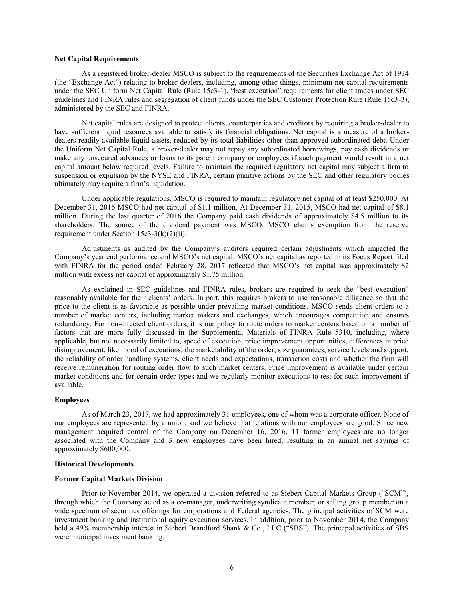#### **Net Capital Requirements**

As a registered broker-dealer MSCO is subject to the requirements of the Securities Exchange Act of 1934 (the "Exchange Act") relating to broker-dealers, including, among other things, minimum net capital requirements under the SEC Uniform Net Capital Rule (Rule 15c3-1), "best execution" requirements for client trades under SEC guidelines and FINRA rules and segregation of client funds under the SEC Customer Protection Rule (Rule 15c3-3), administered by the SEC and FINRA.

Net capital rules are designed to protect clients, counterparties and creditors by requiring a broker-dealer to have sufficient liquid resources available to satisfy its financial obligations. Net capital is a measure of a brokerdealers readily available liquid assets, reduced by its total liabilities other than approved subordinated debt. Under the Uniform Net Capital Rule, a broker-dealer may not repay any subordinated borrowings, pay cash dividends or make any unsecured advances or loans to its parent company or employees if such payment would result in a net capital amount below required levels. Failure to maintain the required regulatory net capital may subject a firm to suspension or expulsion by the NYSE and FINRA, certain punitive actions by the SEC and other regulatory bodies ultimately may require a firm's liquidation.

Under applicable regulations, MSCO is required to maintain regulatory net capital of at least \$250,000. At December 31, 2016 MSCO had net capital of \$1.1 million. At December 31, 2015, MSCO had net capital of \$8.1 million. During the last quarter of 2016 the Company paid cash dividends of approximately \$4.5 million to its shareholders. The source of the dividend payment was MSCO. MSCO claims exemption from the reserve requirement under Section 15c3-3(k)(2)(ii).

Adjustments as audited by the Company's auditors required certain adjustments which impacted the Company's year end performance and MSCO's net capital. MSCO's net capital as reported in its Focus Report filed with FINRA for the period ended February 28, 2017 reflected that MSCO's net capital was approximately \$2 million with excess net capital of approximately \$1.75 million.

As explained in SEC guidelines and FINRA rules, brokers are required to seek the "best execution" reasonably available for their clients' orders. In part, this requires brokers to use reasonable diligence so that the price to the client is as favorable as possible under prevailing market conditions. MSCO sends client orders to a number of market centers, including market makers and exchanges, which encourages competition and ensures redundancy. For non-directed client orders, it is our policy to route orders to market centers based on a number of factors that are more fully discussed in the Supplemental Materials of FINRA Rule 5310, including, where applicable, but not necessarily limited to, speed of execution, price improvement opportunities, differences in price disimprovement, likelihood of executions, the marketability of the order, size guarantees, service levels and support, the reliability of order handling systems, client needs and expectations, transaction costs and whether the firm will receive remuneration for routing order flow to such market centers. Price improvement is available under certain market conditions and for certain order types and we regularly monitor executions to test for such improvement if available.

#### **Employees**

As of March 23, 2017, we had approximately 31 employees, one of whom was a corporate officer. None of our employees are represented by a union, and we believe that relations with our employees are good. Since new management acquired control of the Company on December 16, 2016, 11 former employees are no longer associated with the Company and 3 new employees have been hired, resulting in an annual net savings of approximately \$600,000.

#### **Historical Developments**

## **Former Capital Markets Division**

Prior to November 2014, we operated a division referred to as Siebert Capital Markets Group ("SCM"), through which the Company acted as a co-manager, underwriting syndicate member, or selling group member on a wide spectrum of securities offerings for corporations and Federal agencies. The principal activities of SCM were investment banking and institutional equity execution services. In addition, prior to November 2014, the Company held a 49% membership interest in Siebert Brandford Shank & Co., LLC ("SBS"). The principal activities of SBS were municipal investment banking.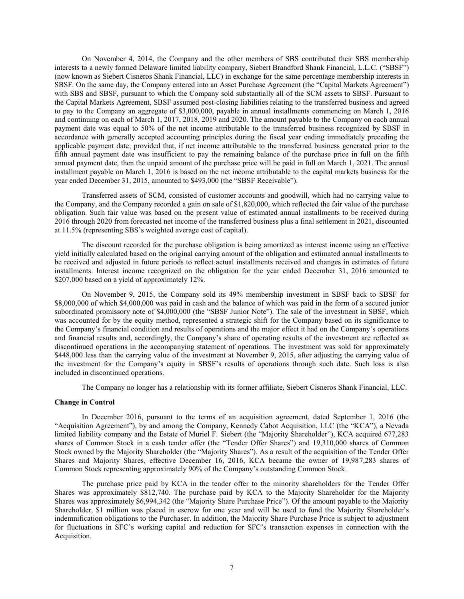On November 4, 2014, the Company and the other members of SBS contributed their SBS membership interests to a newly formed Delaware limited liability company, Siebert Brandford Shank Financial, L.L.C. ("SBSF") (now known as Siebert Cisneros Shank Financial, LLC) in exchange for the same percentage membership interests in SBSF. On the same day, the Company entered into an Asset Purchase Agreement (the "Capital Markets Agreement") with SBS and SBSF, pursuant to which the Company sold substantially all of the SCM assets to SBSF. Pursuant to the Capital Markets Agreement, SBSF assumed post-closing liabilities relating to the transferred business and agreed to pay to the Company an aggregate of \$3,000,000, payable in annual installments commencing on March 1, 2016 and continuing on each of March 1, 2017, 2018, 2019 and 2020. The amount payable to the Company on each annual payment date was equal to 50% of the net income attributable to the transferred business recognized by SBSF in accordance with generally accepted accounting principles during the fiscal year ending immediately preceding the applicable payment date; provided that, if net income attributable to the transferred business generated prior to the fifth annual payment date was insufficient to pay the remaining balance of the purchase price in full on the fifth annual payment date, then the unpaid amount of the purchase price will be paid in full on March 1, 2021. The annual installment payable on March 1, 2016 is based on the net income attributable to the capital markets business for the year ended December 31, 2015, amounted to \$493,000 (the "SBSF Receivable").

Transferred assets of SCM, consisted of customer accounts and goodwill, which had no carrying value to the Company, and the Company recorded a gain on sale of \$1,820,000, which reflected the fair value of the purchase obligation. Such fair value was based on the present value of estimated annual installments to be received during 2016 through 2020 from forecasted net income of the transferred business plus a final settlement in 2021, discounted at 11.5% (representing SBS's weighted average cost of capital).

The discount recorded for the purchase obligation is being amortized as interest income using an effective yield initially calculated based on the original carrying amount of the obligation and estimated annual installments to be received and adjusted in future periods to reflect actual installments received and changes in estimates of future installments. Interest income recognized on the obligation for the year ended December 31, 2016 amounted to \$207,000 based on a yield of approximately 12%.

On November 9, 2015, the Company sold its 49% membership investment in SBSF back to SBSF for \$8,000,000 of which \$4,000,000 was paid in cash and the balance of which was paid in the form of a secured junior subordinated promissory note of \$4,000,000 (the "SBSF Junior Note"). The sale of the investment in SBSF, which was accounted for by the equity method, represented a strategic shift for the Company based on its significance to the Company's financial condition and results of operations and the major effect it had on the Company's operations and financial results and, accordingly, the Company's share of operating results of the investment are reflected as discontinued operations in the accompanying statement of operations. The investment was sold for approximately \$448,000 less than the carrying value of the investment at November 9, 2015, after adjusting the carrying value of the investment for the Company's equity in SBSF's results of operations through such date. Such loss is also included in discontinued operations.

The Company no longer has a relationship with its former affiliate, Siebert Cisneros Shank Financial, LLC.

#### **Change in Control**

In December 2016, pursuant to the terms of an acquisition agreement, dated September 1, 2016 (the "Acquisition Agreement"), by and among the Company, Kennedy Cabot Acquisition, LLC (the "KCA"), a Nevada limited liability company and the Estate of Muriel F. Siebert (the "Majority Shareholder"), KCA acquired 677,283 shares of Common Stock in a cash tender offer (the "Tender Offer Shares") and 19,310,000 shares of Common Stock owned by the Majority Shareholder (the "Majority Shares"). As a result of the acquisition of the Tender Offer Shares and Majority Shares, effective December 16, 2016, KCA became the owner of 19,987,283 shares of Common Stock representing approximately 90% of the Company's outstanding Common Stock.

The purchase price paid by KCA in the tender offer to the minority shareholders for the Tender Offer Shares was approximately \$812,740. The purchase paid by KCA to the Majority Shareholder for the Majority Shares was approximately \$6,994,342 (the "Majority Share Purchase Price"). Of the amount payable to the Majority Shareholder, \$1 million was placed in escrow for one year and will be used to fund the Majority Shareholder's indemnification obligations to the Purchaser. In addition, the Majority Share Purchase Price is subject to adjustment for fluctuations in SFC's working capital and reduction for SFC's transaction expenses in connection with the Acquisition.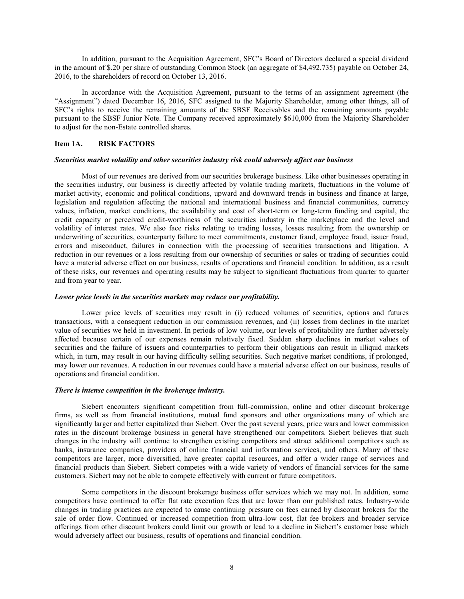In addition, pursuant to the Acquisition Agreement, SFC's Board of Directors declared a special dividend in the amount of \$.20 per share of outstanding Common Stock (an aggregate of \$4,492,735) payable on October 24, 2016, to the shareholders of record on October 13, 2016.

In accordance with the Acquisition Agreement, pursuant to the terms of an assignment agreement (the "Assignment") dated December 16, 2016, SFC assigned to the Majority Shareholder, among other things, all of SFC's rights to receive the remaining amounts of the SBSF Receivables and the remaining amounts payable pursuant to the SBSF Junior Note. The Company received approximately \$610,000 from the Majority Shareholder to adjust for the non-Estate controlled shares.

#### **Item 1A. RISK FACTORS**

#### *Securities market volatility and other securities industry risk could adversely affect our business*

Most of our revenues are derived from our securities brokerage business. Like other businesses operating in the securities industry, our business is directly affected by volatile trading markets, fluctuations in the volume of market activity, economic and political conditions, upward and downward trends in business and finance at large, legislation and regulation affecting the national and international business and financial communities, currency values, inflation, market conditions, the availability and cost of short-term or long-term funding and capital, the credit capacity or perceived credit-worthiness of the securities industry in the marketplace and the level and volatility of interest rates. We also face risks relating to trading losses, losses resulting from the ownership or underwriting of securities, counterparty failure to meet commitments, customer fraud, employee fraud, issuer fraud, errors and misconduct, failures in connection with the processing of securities transactions and litigation. A reduction in our revenues or a loss resulting from our ownership of securities or sales or trading of securities could have a material adverse effect on our business, results of operations and financial condition. In addition, as a result of these risks, our revenues and operating results may be subject to significant fluctuations from quarter to quarter and from year to year.

#### *Lower price levels in the securities markets may reduce our profitability.*

Lower price levels of securities may result in (i) reduced volumes of securities, options and futures transactions, with a consequent reduction in our commission revenues, and (ii) losses from declines in the market value of securities we held in investment. In periods of low volume, our levels of profitability are further adversely affected because certain of our expenses remain relatively fixed. Sudden sharp declines in market values of securities and the failure of issuers and counterparties to perform their obligations can result in illiquid markets which, in turn, may result in our having difficulty selling securities. Such negative market conditions, if prolonged, may lower our revenues. A reduction in our revenues could have a material adverse effect on our business, results of operations and financial condition.

#### *There is intense competition in the brokerage industry.*

Siebert encounters significant competition from full-commission, online and other discount brokerage firms, as well as from financial institutions, mutual fund sponsors and other organizations many of which are significantly larger and better capitalized than Siebert. Over the past several years, price wars and lower commission rates in the discount brokerage business in general have strengthened our competitors. Siebert believes that such changes in the industry will continue to strengthen existing competitors and attract additional competitors such as banks, insurance companies, providers of online financial and information services, and others. Many of these competitors are larger, more diversified, have greater capital resources, and offer a wider range of services and financial products than Siebert. Siebert competes with a wide variety of vendors of financial services for the same customers. Siebert may not be able to compete effectively with current or future competitors.

Some competitors in the discount brokerage business offer services which we may not. In addition, some competitors have continued to offer flat rate execution fees that are lower than our published rates. Industry-wide changes in trading practices are expected to cause continuing pressure on fees earned by discount brokers for the sale of order flow. Continued or increased competition from ultra-low cost, flat fee brokers and broader service offerings from other discount brokers could limit our growth or lead to a decline in Siebert's customer base which would adversely affect our business, results of operations and financial condition.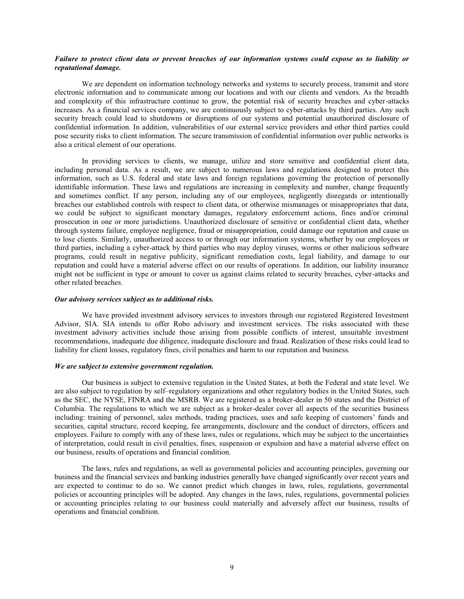## *Failure to protect client data or prevent breaches of our information systems could expose us to liability or reputational damage.*

We are dependent on information technology networks and systems to securely process, transmit and store electronic information and to communicate among our locations and with our clients and vendors. As the breadth and complexity of this infrastructure continue to grow, the potential risk of security breaches and cyber-attacks increases. As a financial services company, we are continuously subject to cyber-attacks by third parties. Any such security breach could lead to shutdowns or disruptions of our systems and potential unauthorized disclosure of confidential information. In addition, vulnerabilities of our external service providers and other third parties could pose security risks to client information. The secure transmission of confidential information over public networks is also a critical element of our operations.

In providing services to clients, we manage, utilize and store sensitive and confidential client data, including personal data. As a result, we are subject to numerous laws and regulations designed to protect this information, such as U.S. federal and state laws and foreign regulations governing the protection of personally identifiable information. These laws and regulations are increasing in complexity and number, change frequently and sometimes conflict. If any person, including any of our employees, negligently disregards or intentionally breaches our established controls with respect to client data, or otherwise mismanages or misappropriates that data, we could be subject to significant monetary damages, regulatory enforcement actions, fines and/or criminal prosecution in one or more jurisdictions. Unauthorized disclosure of sensitive or confidential client data, whether through systems failure, employee negligence, fraud or misappropriation, could damage our reputation and cause us to lose clients. Similarly, unauthorized access to or through our information systems, whether by our employees or third parties, including a cyber-attack by third parties who may deploy viruses, worms or other malicious software programs, could result in negative publicity, significant remediation costs, legal liability, and damage to our reputation and could have a material adverse effect on our results of operations. In addition, our liability insurance might not be sufficient in type or amount to cover us against claims related to security breaches, cyber-attacks and other related breaches.

#### *Our advisory services subject us to additional risks.*

We have provided investment advisory services to investors through our registered Registered Investment Advisor, SIA. SIA intends to offer Robo advisory and investment services. The risks associated with these investment advisory activities include those arising from possible conflicts of interest, unsuitable investment recommendations, inadequate due diligence, inadequate disclosure and fraud. Realization of these risks could lead to liability for client losses, regulatory fines, civil penalties and harm to our reputation and business.

#### *We are subject to extensive government regulation.*

Our business is subject to extensive regulation in the United States, at both the Federal and state level. We are also subject to regulation by self–regulatory organizations and other regulatory bodies in the United States, such as the SEC, the NYSE, FINRA and the MSRB. We are registered as a broker-dealer in 50 states and the District of Columbia. The regulations to which we are subject as a broker-dealer cover all aspects of the securities business including: training of personnel, sales methods, trading practices, uses and safe keeping of customers' funds and securities, capital structure, record keeping, fee arrangements, disclosure and the conduct of directors, officers and employees. Failure to comply with any of these laws, rules or regulations, which may be subject to the uncertainties of interpretation, could result in civil penalties, fines, suspension or expulsion and have a material adverse effect on our business, results of operations and financial condition.

The laws, rules and regulations, as well as governmental policies and accounting principles, governing our business and the financial services and banking industries generally have changed significantly over recent years and are expected to continue to do so. We cannot predict which changes in laws, rules, regulations, governmental policies or accounting principles will be adopted. Any changes in the laws, rules, regulations, governmental policies or accounting principles relating to our business could materially and adversely affect our business, results of operations and financial condition.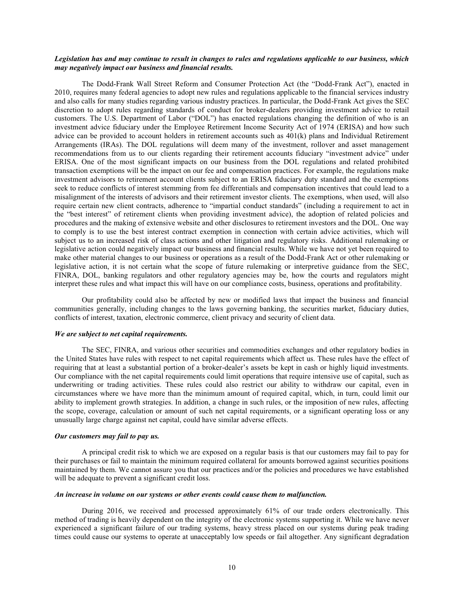## *Legislation has and may continue to result in changes to rules and regulations applicable to our business, which may negatively impact our business and financial results.*

The Dodd-Frank Wall Street Reform and Consumer Protection Act (the "Dodd-Frank Act"), enacted in 2010, requires many federal agencies to adopt new rules and regulations applicable to the financial services industry and also calls for many studies regarding various industry practices. In particular, the Dodd-Frank Act gives the SEC discretion to adopt rules regarding standards of conduct for broker-dealers providing investment advice to retail customers. The U.S. Department of Labor ("DOL") has enacted regulations changing the definition of who is an investment advice fiduciary under the Employee Retirement Income Security Act of 1974 (ERISA) and how such advice can be provided to account holders in retirement accounts such as 401(k) plans and Individual Retirement Arrangements (IRAs). The DOL regulations will deem many of the investment, rollover and asset management recommendations from us to our clients regarding their retirement accounts fiduciary "investment advice" under ERISA. One of the most significant impacts on our business from the DOL regulations and related prohibited transaction exemptions will be the impact on our fee and compensation practices. For example, the regulations make investment advisors to retirement account clients subject to an ERISA fiduciary duty standard and the exemptions seek to reduce conflicts of interest stemming from fee differentials and compensation incentives that could lead to a misalignment of the interests of advisors and their retirement investor clients. The exemptions, when used, will also require certain new client contracts, adherence to "impartial conduct standards" (including a requirement to act in the "best interest" of retirement clients when providing investment advice), the adoption of related policies and procedures and the making of extensive website and other disclosures to retirement investors and the DOL. One way to comply is to use the best interest contract exemption in connection with certain advice activities, which will subject us to an increased risk of class actions and other litigation and regulatory risks. Additional rulemaking or legislative action could negatively impact our business and financial results. While we have not yet been required to make other material changes to our business or operations as a result of the Dodd-Frank Act or other rulemaking or legislative action, it is not certain what the scope of future rulemaking or interpretive guidance from the SEC, FINRA, DOL, banking regulators and other regulatory agencies may be, how the courts and regulators might interpret these rules and what impact this will have on our compliance costs, business, operations and profitability.

Our profitability could also be affected by new or modified laws that impact the business and financial communities generally, including changes to the laws governing banking, the securities market, fiduciary duties, conflicts of interest, taxation, electronic commerce, client privacy and security of client data.

#### *We are subject to net capital requirements.*

The SEC, FINRA, and various other securities and commodities exchanges and other regulatory bodies in the United States have rules with respect to net capital requirements which affect us. These rules have the effect of requiring that at least a substantial portion of a broker-dealer's assets be kept in cash or highly liquid investments. Our compliance with the net capital requirements could limit operations that require intensive use of capital, such as underwriting or trading activities. These rules could also restrict our ability to withdraw our capital, even in circumstances where we have more than the minimum amount of required capital, which, in turn, could limit our ability to implement growth strategies. In addition, a change in such rules, or the imposition of new rules, affecting the scope, coverage, calculation or amount of such net capital requirements, or a significant operating loss or any unusually large charge against net capital, could have similar adverse effects.

#### *Our customers may fail to pay us.*

A principal credit risk to which we are exposed on a regular basis is that our customers may fail to pay for their purchases or fail to maintain the minimum required collateral for amounts borrowed against securities positions maintained by them. We cannot assure you that our practices and/or the policies and procedures we have established will be adequate to prevent a significant credit loss.

## *An increase in volume on our systems or other events could cause them to malfunction.*

During 2016, we received and processed approximately 61% of our trade orders electronically. This method of trading is heavily dependent on the integrity of the electronic systems supporting it. While we have never experienced a significant failure of our trading systems, heavy stress placed on our systems during peak trading times could cause our systems to operate at unacceptably low speeds or fail altogether. Any significant degradation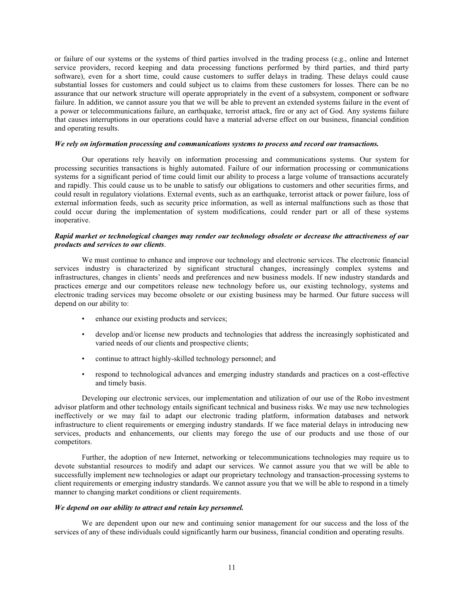or failure of our systems or the systems of third parties involved in the trading process (e.g., online and Internet service providers, record keeping and data processing functions performed by third parties, and third party software), even for a short time, could cause customers to suffer delays in trading. These delays could cause substantial losses for customers and could subject us to claims from these customers for losses. There can be no assurance that our network structure will operate appropriately in the event of a subsystem, component or software failure. In addition, we cannot assure you that we will be able to prevent an extended systems failure in the event of a power or telecommunications failure, an earthquake, terrorist attack, fire or any act of God. Any systems failure that causes interruptions in our operations could have a material adverse effect on our business, financial condition and operating results.

#### *We rely on information processing and communications systems to process and record our transactions.*

Our operations rely heavily on information processing and communications systems. Our system for processing securities transactions is highly automated. Failure of our information processing or communications systems for a significant period of time could limit our ability to process a large volume of transactions accurately and rapidly. This could cause us to be unable to satisfy our obligations to customers and other securities firms, and could result in regulatory violations. External events, such as an earthquake, terrorist attack or power failure, loss of external information feeds, such as security price information, as well as internal malfunctions such as those that could occur during the implementation of system modifications, could render part or all of these systems inoperative.

#### *Rapid market or technological changes may render our technology obsolete or decrease the attractiveness of our products and services to our clients*.

We must continue to enhance and improve our technology and electronic services. The electronic financial services industry is characterized by significant structural changes, increasingly complex systems and infrastructures, changes in clients' needs and preferences and new business models. If new industry standards and practices emerge and our competitors release new technology before us, our existing technology, systems and electronic trading services may become obsolete or our existing business may be harmed. Our future success will depend on our ability to:

- enhance our existing products and services;
- develop and/or license new products and technologies that address the increasingly sophisticated and varied needs of our clients and prospective clients;
- continue to attract highly-skilled technology personnel; and
- respond to technological advances and emerging industry standards and practices on a cost-effective and timely basis.

Developing our electronic services, our implementation and utilization of our use of the Robo investment advisor platform and other technology entails significant technical and business risks. We may use new technologies ineffectively or we may fail to adapt our electronic trading platform, information databases and network infrastructure to client requirements or emerging industry standards. If we face material delays in introducing new services, products and enhancements, our clients may forego the use of our products and use those of our competitors.

Further, the adoption of new Internet, networking or telecommunications technologies may require us to devote substantial resources to modify and adapt our services. We cannot assure you that we will be able to successfully implement new technologies or adapt our proprietary technology and transaction-processing systems to client requirements or emerging industry standards. We cannot assure you that we will be able to respond in a timely manner to changing market conditions or client requirements.

#### *We depend on our ability to attract and retain key personnel.*

We are dependent upon our new and continuing senior management for our success and the loss of the services of any of these individuals could significantly harm our business, financial condition and operating results.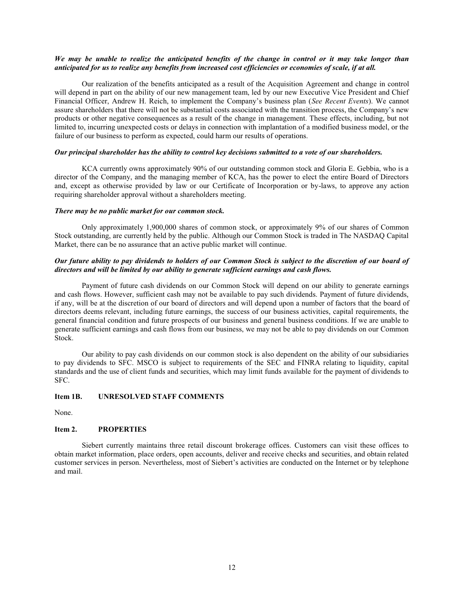## *We may be unable to realize the anticipated benefits of the change in control or it may take longer than anticipated for us to realize any benefits from increased cost efficiencies or economies of scale, if at all.*

Our realization of the benefits anticipated as a result of the Acquisition Agreement and change in control will depend in part on the ability of our new management team, led by our new Executive Vice President and Chief Financial Officer, Andrew H. Reich, to implement the Company's business plan (*See Recent Events*). We cannot assure shareholders that there will not be substantial costs associated with the transition process, the Company's new products or other negative consequences as a result of the change in management. These effects, including, but not limited to, incurring unexpected costs or delays in connection with implantation of a modified business model, or the failure of our business to perform as expected, could harm our results of operations.

#### *Our principal shareholder has the ability to control key decisions submitted to a vote of our shareholders.*

KCA currently owns approximately 90% of our outstanding common stock and Gloria E. Gebbia, who is a director of the Company, and the managing member of KCA, has the power to elect the entire Board of Directors and, except as otherwise provided by law or our Certificate of Incorporation or by-laws, to approve any action requiring shareholder approval without a shareholders meeting.

#### *There may be no public market for our common stock.*

Only approximately 1,900,000 shares of common stock, or approximately 9% of our shares of Common Stock outstanding, are currently held by the public. Although our Common Stock is traded in The NASDAQ Capital Market, there can be no assurance that an active public market will continue.

#### *Our future ability to pay dividends to holders of our Common Stock is subject to the discretion of our board of directors and will be limited by our ability to generate sufficient earnings and cash flows.*

Payment of future cash dividends on our Common Stock will depend on our ability to generate earnings and cash flows. However, sufficient cash may not be available to pay such dividends. Payment of future dividends, if any, will be at the discretion of our board of directors and will depend upon a number of factors that the board of directors deems relevant, including future earnings, the success of our business activities, capital requirements, the general financial condition and future prospects of our business and general business conditions. If we are unable to generate sufficient earnings and cash flows from our business, we may not be able to pay dividends on our Common Stock.

Our ability to pay cash dividends on our common stock is also dependent on the ability of our subsidiaries to pay dividends to SFC. MSCO is subject to requirements of the SEC and FINRA relating to liquidity, capital standards and the use of client funds and securities, which may limit funds available for the payment of dividends to SFC.

## **Item 1B. UNRESOLVED STAFF COMMENTS**

None.

#### **Item 2. PROPERTIES**

Siebert currently maintains three retail discount brokerage offices. Customers can visit these offices to obtain market information, place orders, open accounts, deliver and receive checks and securities, and obtain related customer services in person. Nevertheless, most of Siebert's activities are conducted on the Internet or by telephone and mail.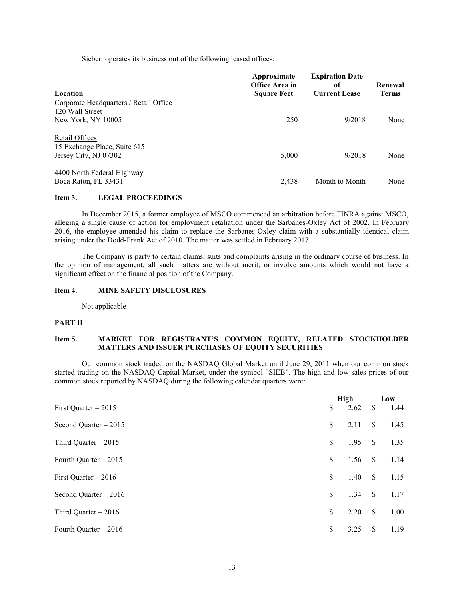Siebert operates its business out of the following leased offices:

| Location                               | Approximate<br>Office Area in<br><b>Square Feet</b> | <b>Expiration Date</b><br>оf<br><b>Current Lease</b> | Renewal<br><b>Terms</b> |
|----------------------------------------|-----------------------------------------------------|------------------------------------------------------|-------------------------|
| Corporate Headquarters / Retail Office |                                                     |                                                      |                         |
| 120 Wall Street                        |                                                     |                                                      |                         |
| New York, NY 10005                     | 250                                                 | 9/2018                                               | None                    |
| Retail Offices                         |                                                     |                                                      |                         |
| 15 Exchange Place, Suite 615           |                                                     |                                                      |                         |
| Jersey City, NJ 07302                  | 5,000                                               | 9/2018                                               | None                    |
| 4400 North Federal Highway             |                                                     |                                                      |                         |
| Boca Raton, FL 33431                   | 2,438                                               | Month to Month                                       | None                    |

#### **Item 3. LEGAL PROCEEDINGS**

In December 2015, a former employee of MSCO commenced an arbitration before FINRA against MSCO, alleging a single cause of action for employment retaliation under the Sarbanes-Oxley Act of 2002. In February 2016, the employee amended his claim to replace the Sarbanes-Oxley claim with a substantially identical claim arising under the Dodd-Frank Act of 2010. The matter was settled in February 2017.

The Company is party to certain claims, suits and complaints arising in the ordinary course of business. In the opinion of management, all such matters are without merit, or involve amounts which would not have a significant effect on the financial position of the Company.

#### **Item 4. MINE SAFETY DISCLOSURES**

Not applicable

## **PART II**

## **Item 5. MARKET FOR REGISTRANT'S COMMON EQUITY, RELATED STOCKHOLDER MATTERS AND ISSUER PURCHASES OF EQUITY SECURITIES**

Our common stock traded on the NASDAQ Global Market until June 29, 2011 when our common stock started trading on the NASDAQ Capital Market, under the symbol "SIEB". The high and low sales prices of our common stock reported by NASDAQ during the following calendar quarters were:

|                        |              | High |              | Low  |
|------------------------|--------------|------|--------------|------|
| First Quarter $-2015$  | $\mathbb{S}$ | 2.62 | <sup>S</sup> | 1.44 |
| Second Quarter $-2015$ | \$           | 2.11 | \$           | 1.45 |
| Third Quarter $-2015$  | S.           | 1.95 | \$           | 1.35 |
| Fourth Quarter $-2015$ | \$           | 1.56 | \$           | 1.14 |
| First Quarter $-2016$  | \$           | 1.40 | $\mathbb{S}$ | 1.15 |
| Second Quarter $-2016$ | S.           | 1.34 | \$           | 1.17 |
| Third Quarter $-2016$  | \$           | 2.20 | \$           | 1.00 |
| Fourth Quarter $-2016$ | \$           | 3.25 | \$           | 1.19 |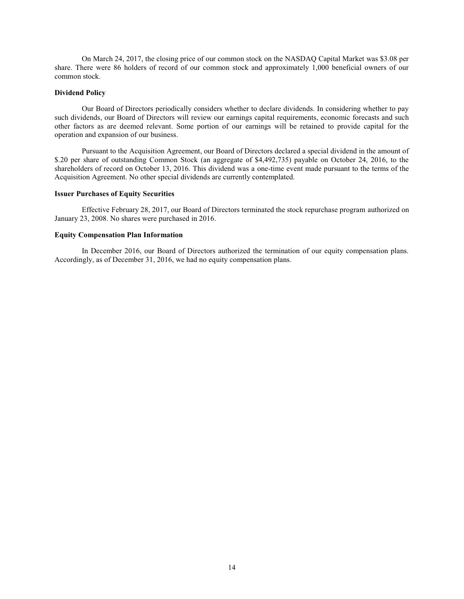On March 24, 2017, the closing price of our common stock on the NASDAQ Capital Market was \$3.08 per share. There were 86 holders of record of our common stock and approximately 1,000 beneficial owners of our common stock.

## **Dividend Policy**

Our Board of Directors periodically considers whether to declare dividends. In considering whether to pay such dividends, our Board of Directors will review our earnings capital requirements, economic forecasts and such other factors as are deemed relevant. Some portion of our earnings will be retained to provide capital for the operation and expansion of our business.

Pursuant to the Acquisition Agreement, our Board of Directors declared a special dividend in the amount of \$.20 per share of outstanding Common Stock (an aggregate of \$4,492,735) payable on October 24, 2016, to the shareholders of record on October 13, 2016. This dividend was a one-time event made pursuant to the terms of the Acquisition Agreement. No other special dividends are currently contemplated.

#### **Issuer Purchases of Equity Securities**

Effective February 28, 2017, our Board of Directors terminated the stock repurchase program authorized on January 23, 2008. No shares were purchased in 2016.

#### **Equity Compensation Plan Information**

In December 2016, our Board of Directors authorized the termination of our equity compensation plans. Accordingly, as of December 31, 2016, we had no equity compensation plans.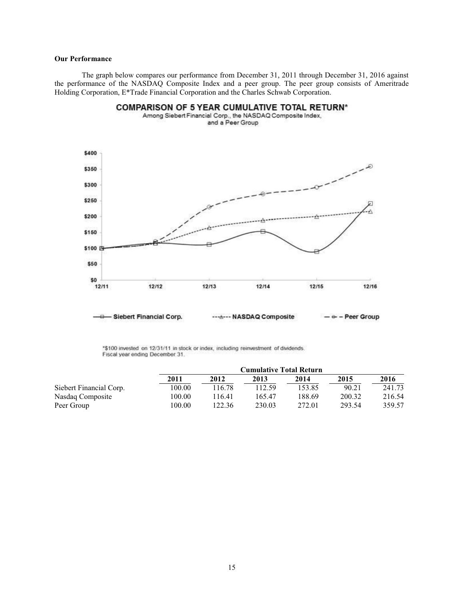## **Our Performance**

The graph below compares our performance from December 31, 2011 through December 31, 2016 against the performance of the NASDAQ Composite Index and a peer group. The peer group consists of Ameritrade Holding Corporation, E\*Trade Financial Corporation and the Charles Schwab Corporation.



**COMPARISON OF 5 YEAR CUMULATIVE TOTAL RETURN\*** Among Siebert Financial Corp., the NASDAQ Composite Index, and a Peer Group

\*\$100 invested on 12/31/11 in stock or index, including reinvestment of dividends.<br>Fiscal year ending December 31.

|                         | <b>Cumulative Total Return</b> |        |        |        |        |        |  |  |
|-------------------------|--------------------------------|--------|--------|--------|--------|--------|--|--|
|                         | 2011                           | 2012   | 2013   | 2014   | 2015   | 2016   |  |  |
| Siebert Financial Corp. | 100.00                         | 116.78 | 112.59 | 153.85 | 90.21  | 241.73 |  |  |
| Nasdaq Composite        | 100.00                         | 116.41 | 165.47 | 88.69  | 200.32 | 216.54 |  |  |
| Peer Group              | 100.00                         | 122.36 | 230.03 | 272.01 | 293.54 | 359.57 |  |  |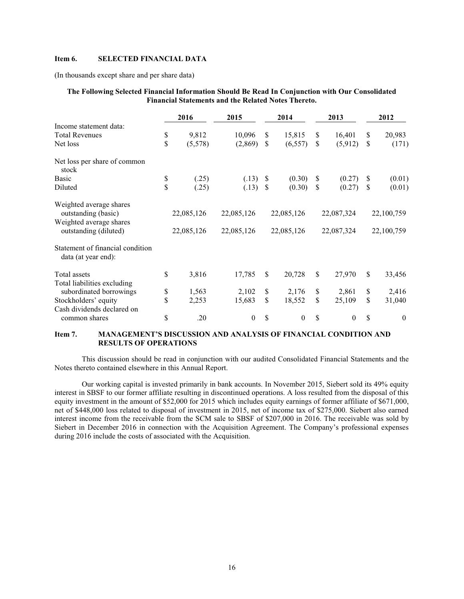## **Item 6. SELECTED FINANCIAL DATA**

(In thousands except share and per share data)

## **The Following Selected Financial Information Should Be Read In Conjunction with Our Consolidated Financial Statements and the Related Notes Thereto.**

|                                                                                                    | 2016 |                          | 2015                     |               | 2014                     |    | 2013                     |    | 2012                     |  |
|----------------------------------------------------------------------------------------------------|------|--------------------------|--------------------------|---------------|--------------------------|----|--------------------------|----|--------------------------|--|
| Income statement data:                                                                             |      |                          |                          |               |                          |    |                          |    |                          |  |
| <b>Total Revenues</b>                                                                              | \$   | 9,812                    | 10,096                   | S             | 15,815                   | \$ | 16,401                   | \$ | 20,983                   |  |
| Net loss                                                                                           | \$   | (5,578)                  | (2,869)                  | \$.           | (6, 557)                 | \$ | (5,912)                  | \$ | (171)                    |  |
| Net loss per share of common<br>stock                                                              |      |                          |                          |               |                          |    |                          |    |                          |  |
| Basic                                                                                              | \$   | (.25)                    | (.13)                    | S             | (0.30)                   | \$ | (0.27)                   | S  | (0.01)                   |  |
| Diluted                                                                                            | \$   | (.25)                    | (.13)                    | <sup>\$</sup> | (0.30)                   | \$ | (0.27)                   | S  | (0.01)                   |  |
| Weighted average shares<br>outstanding (basic)<br>Weighted average shares<br>outstanding (diluted) |      | 22,085,126<br>22,085,126 | 22,085,126<br>22,085,126 |               | 22,085,126<br>22,085,126 |    | 22,087,324<br>22,087,324 |    | 22,100,759<br>22,100,759 |  |
| Statement of financial condition<br>data (at year end):                                            |      |                          |                          |               |                          |    |                          |    |                          |  |
| Total assets<br>Total liabilities excluding                                                        | \$   | 3,816                    | 17,785                   | \$.           | 20,728                   | \$ | 27,970                   | \$ | 33,456                   |  |
| subordinated borrowings                                                                            | \$   | 1,563                    | 2,102                    | \$            | 2,176                    | \$ | 2,861                    | \$ | 2,416                    |  |
| Stockholders' equity                                                                               | \$   | 2,253                    | 15,683                   | \$            | 18,552                   | \$ | 25,109                   | \$ | 31,040                   |  |
| Cash dividends declared on                                                                         |      |                          |                          |               |                          |    |                          |    |                          |  |
| common shares                                                                                      | \$   | .20                      | $\mathbf{0}$             | S             | $\boldsymbol{0}$         | \$ | $\theta$                 | \$ | $\theta$                 |  |

## **Item 7. MANAGEMENT'S DISCUSSION AND ANALYSIS OF FINANCIAL CONDITION AND RESULTS OF OPERATIONS**

This discussion should be read in conjunction with our audited Consolidated Financial Statements and the Notes thereto contained elsewhere in this Annual Report.

Our working capital is invested primarily in bank accounts. In November 2015, Siebert sold its 49% equity interest in SBSF to our former affiliate resulting in discontinued operations. A loss resulted from the disposal of this equity investment in the amount of \$52,000 for 2015 which includes equity earnings of former affiliate of \$671,000, net of \$448,000 loss related to disposal of investment in 2015, net of income tax of \$275,000. Siebert also earned interest income from the receivable from the SCM sale to SBSF of \$207,000 in 2016. The receivable was sold by Siebert in December 2016 in connection with the Acquisition Agreement. The Company's professional expenses during 2016 include the costs of associated with the Acquisition.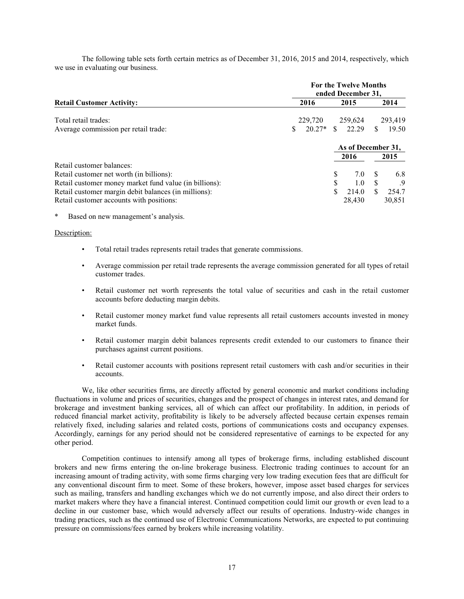The following table sets forth certain metrics as of December 31, 2016, 2015 and 2014, respectively, which we use in evaluating our business.

|                                                        | <b>For the Twelve Months</b><br>ended December 31, |    |                    |     |         |  |  |
|--------------------------------------------------------|----------------------------------------------------|----|--------------------|-----|---------|--|--|
| <b>Retail Customer Activity:</b>                       | 2016                                               |    | 2015               |     | 2014    |  |  |
| Total retail trades:                                   | 229,720                                            |    | 259,624            |     | 293,419 |  |  |
| Average commission per retail trade:                   | $20.27*$                                           | S. | 22.29              | S.  | 19.50   |  |  |
|                                                        |                                                    |    | As of December 31, |     |         |  |  |
|                                                        |                                                    |    | 2016               |     | 2015    |  |  |
| Retail customer balances:                              |                                                    |    |                    |     |         |  |  |
| Retail customer net worth (in billions):               |                                                    |    | 7.0                | S   | 6.8     |  |  |
| Retail customer money market fund value (in billions): |                                                    | \$ | 1.0                | S   | .9      |  |  |
| Retail customer margin debit balances (in millions):   |                                                    | \$ | 214.0              | \$. | 254.7   |  |  |
| Retail customer accounts with positions:               |                                                    |    | 28,430             |     | 30.851  |  |  |

Based on new management's analysis.

#### Description:

- Total retail trades represents retail trades that generate commissions.
- Average commission per retail trade represents the average commission generated for all types of retail customer trades.
- Retail customer net worth represents the total value of securities and cash in the retail customer accounts before deducting margin debits.
- Retail customer money market fund value represents all retail customers accounts invested in money market funds.
- Retail customer margin debit balances represents credit extended to our customers to finance their purchases against current positions.
- Retail customer accounts with positions represent retail customers with cash and/or securities in their accounts.

We, like other securities firms, are directly affected by general economic and market conditions including fluctuations in volume and prices of securities, changes and the prospect of changes in interest rates, and demand for brokerage and investment banking services, all of which can affect our profitability. In addition, in periods of reduced financial market activity, profitability is likely to be adversely affected because certain expenses remain relatively fixed, including salaries and related costs, portions of communications costs and occupancy expenses. Accordingly, earnings for any period should not be considered representative of earnings to be expected for any other period.

Competition continues to intensify among all types of brokerage firms, including established discount brokers and new firms entering the on-line brokerage business. Electronic trading continues to account for an increasing amount of trading activity, with some firms charging very low trading execution fees that are difficult for any conventional discount firm to meet. Some of these brokers, however, impose asset based charges for services such as mailing, transfers and handling exchanges which we do not currently impose, and also direct their orders to market makers where they have a financial interest. Continued competition could limit our growth or even lead to a decline in our customer base, which would adversely affect our results of operations. Industry-wide changes in trading practices, such as the continued use of Electronic Communications Networks, are expected to put continuing pressure on commissions/fees earned by brokers while increasing volatility.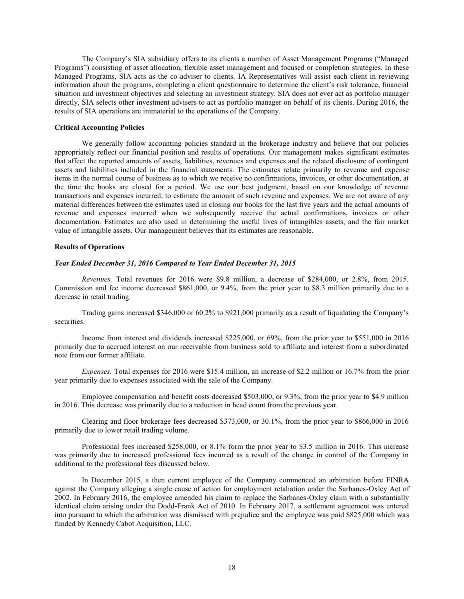The Company's SIA subsidiary offers to its clients a number of Asset Management Programs ("Managed Programs") consisting of asset allocation, flexible asset management and focused or completion strategies. In these Managed Programs, SIA acts as the co-adviser to clients. IA Representatives will assist each client in reviewing information about the programs, completing a client questionnaire to determine the client's risk tolerance, financial situation and investment objectives and selecting an investment strategy. SIA does not ever act as portfolio manager directly, SIA selects other investment advisers to act as portfolio manager on behalf of its clients. During 2016, the results of SIA operations are immaterial to the operations of the Company.

#### **Critical Accounting Policies**

We generally follow accounting policies standard in the brokerage industry and believe that our policies appropriately reflect our financial position and results of operations. Our management makes significant estimates that affect the reported amounts of assets, liabilities, revenues and expenses and the related disclosure of contingent assets and liabilities included in the financial statements. The estimates relate primarily to revenue and expense items in the normal course of business as to which we receive no confirmations, invoices, or other documentation, at the time the books are closed for a period. We use our best judgment, based on our knowledge of revenue transactions and expenses incurred, to estimate the amount of such revenue and expenses. We are not aware of any material differences between the estimates used in closing our books for the last five years and the actual amounts of revenue and expenses incurred when we subsequently receive the actual confirmations, invoices or other documentation. Estimates are also used in determining the useful lives of intangibles assets, and the fair market value of intangible assets. Our management believes that its estimates are reasonable.

#### **Results of Operations**

#### *Year Ended December 31, 2016 Compared to Year Ended December 31, 2015*

*Revenues.* Total revenues for 2016 were \$9.8 million, a decrease of \$284,000, or 2.8%, from 2015. Commission and fee income decreased \$861,000, or 9.4%, from the prior year to \$8.3 million primarily due to a decrease in retail trading.

Trading gains increased \$346,000 or 60.2% to \$921,000 primarily as a result of liquidating the Company's securities.

Income from interest and dividends increased \$225,000, or 69%, from the prior year to \$551,000 in 2016 primarily due to accrued interest on our receivable from business sold to affiliate and interest from a subordinated note from our former affiliate.

*Expenses.* Total expenses for 2016 were \$15.4 million, an increase of \$2.2 million or 16.7% from the prior year primarily due to expenses associated with the sale of the Company.

Employee compensation and benefit costs decreased \$503,000, or 9.3%, from the prior year to \$4.9 million in 2016. This decrease was primarily due to a reduction in head count from the previous year.

Clearing and floor brokerage fees decreased \$373,000, or 30.1%, from the prior year to \$866,000 in 2016 primarily due to lower retail trading volume.

Professional fees increased \$258,000, or 8.1% form the prior year to \$3.5 million in 2016. This increase was primarily due to increased professional fees incurred as a result of the change in control of the Company in additional to the professional fees discussed below.

In December 2015, a then current employee of the Company commenced an arbitration before FINRA against the Company alleging a single cause of action for employment retaliation under the Sarbanes-Oxley Act of 2002. In February 2016, the employee amended his claim to replace the Sarbanes-Oxley claim with a substantially identical claim arising under the Dodd-Frank Act of 2010. In February 2017, a settlement agreement was entered into pursuant to which the arbitration was dismissed with prejudice and the employee was paid \$825,000 which was funded by Kennedy Cabot Acquisition, LLC.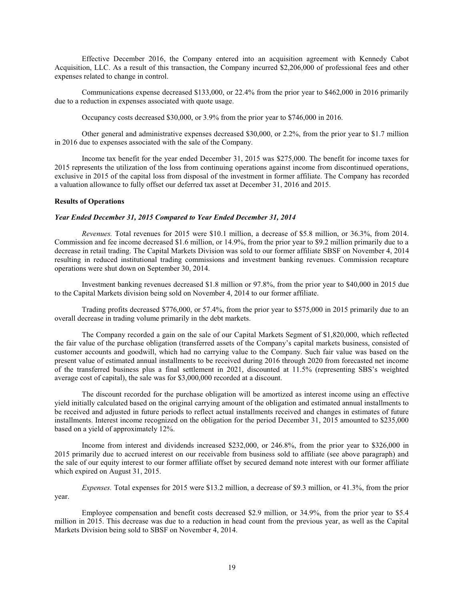Effective December 2016, the Company entered into an acquisition agreement with Kennedy Cabot Acquisition, LLC. As a result of this transaction, the Company incurred \$2,206,000 of professional fees and other expenses related to change in control.

Communications expense decreased \$133,000, or 22.4% from the prior year to \$462,000 in 2016 primarily due to a reduction in expenses associated with quote usage.

Occupancy costs decreased \$30,000, or 3.9% from the prior year to \$746,000 in 2016.

Other general and administrative expenses decreased \$30,000, or 2.2%, from the prior year to \$1.7 million in 2016 due to expenses associated with the sale of the Company.

Income tax benefit for the year ended December 31, 2015 was \$275,000. The benefit for income taxes for 2015 represents the utilization of the loss from continuing operations against income from discontinued operations, exclusive in 2015 of the capital loss from disposal of the investment in former affiliate. The Company has recorded a valuation allowance to fully offset our deferred tax asset at December 31, 2016 and 2015.

#### **Results of Operations**

#### *Year Ended December 31, 2015 Compared to Year Ended December 31, 2014*

*Revenues.* Total revenues for 2015 were \$10.1 million, a decrease of \$5.8 million, or 36.3%, from 2014. Commission and fee income decreased \$1.6 million, or 14.9%, from the prior year to \$9.2 million primarily due to a decrease in retail trading. The Capital Markets Division was sold to our former affiliate SBSF on November 4, 2014 resulting in reduced institutional trading commissions and investment banking revenues. Commission recapture operations were shut down on September 30, 2014.

Investment banking revenues decreased \$1.8 million or 97.8%, from the prior year to \$40,000 in 2015 due to the Capital Markets division being sold on November 4, 2014 to our former affiliate.

Trading profits decreased \$776,000, or 57.4%, from the prior year to \$575,000 in 2015 primarily due to an overall decrease in trading volume primarily in the debt markets.

The Company recorded a gain on the sale of our Capital Markets Segment of \$1,820,000, which reflected the fair value of the purchase obligation (transferred assets of the Company's capital markets business, consisted of customer accounts and goodwill, which had no carrying value to the Company. Such fair value was based on the present value of estimated annual installments to be received during 2016 through 2020 from forecasted net income of the transferred business plus a final settlement in 2021, discounted at 11.5% (representing SBS's weighted average cost of capital), the sale was for \$3,000,000 recorded at a discount.

The discount recorded for the purchase obligation will be amortized as interest income using an effective yield initially calculated based on the original carrying amount of the obligation and estimated annual installments to be received and adjusted in future periods to reflect actual installments received and changes in estimates of future installments. Interest income recognized on the obligation for the period December 31, 2015 amounted to \$235,000 based on a yield of approximately 12%.

Income from interest and dividends increased \$232,000, or 246.8%, from the prior year to \$326,000 in 2015 primarily due to accrued interest on our receivable from business sold to affiliate (see above paragraph) and the sale of our equity interest to our former affiliate offset by secured demand note interest with our former affiliate which expired on August 31, 2015.

*Expenses.* Total expenses for 2015 were \$13.2 million, a decrease of \$9.3 million, or 41.3%, from the prior year.

Employee compensation and benefit costs decreased \$2.9 million, or 34.9%, from the prior year to \$5.4 million in 2015. This decrease was due to a reduction in head count from the previous year, as well as the Capital Markets Division being sold to SBSF on November 4, 2014.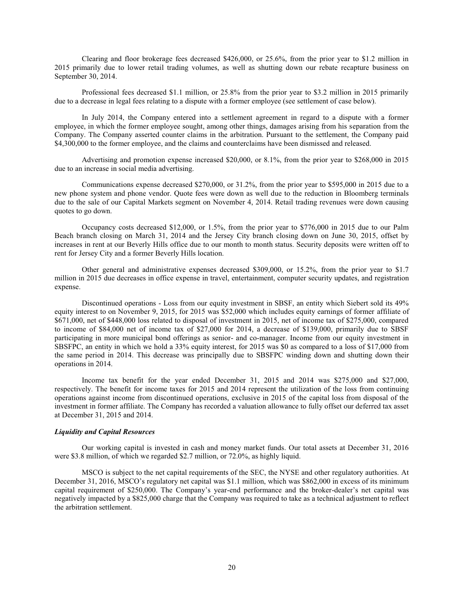Clearing and floor brokerage fees decreased \$426,000, or 25.6%, from the prior year to \$1.2 million in 2015 primarily due to lower retail trading volumes, as well as shutting down our rebate recapture business on September 30, 2014.

Professional fees decreased \$1.1 million, or 25.8% from the prior year to \$3.2 million in 2015 primarily due to a decrease in legal fees relating to a dispute with a former employee (see settlement of case below).

In July 2014, the Company entered into a settlement agreement in regard to a dispute with a former employee, in which the former employee sought, among other things, damages arising from his separation from the Company. The Company asserted counter claims in the arbitration. Pursuant to the settlement, the Company paid \$4,300,000 to the former employee, and the claims and counterclaims have been dismissed and released.

Advertising and promotion expense increased \$20,000, or 8.1%, from the prior year to \$268,000 in 2015 due to an increase in social media advertising.

Communications expense decreased \$270,000, or 31.2%, from the prior year to \$595,000 in 2015 due to a new phone system and phone vendor. Quote fees were down as well due to the reduction in Bloomberg terminals due to the sale of our Capital Markets segment on November 4, 2014. Retail trading revenues were down causing quotes to go down.

Occupancy costs decreased \$12,000, or 1.5%, from the prior year to \$776,000 in 2015 due to our Palm Beach branch closing on March 31, 2014 and the Jersey City branch closing down on June 30, 2015, offset by increases in rent at our Beverly Hills office due to our month to month status. Security deposits were written off to rent for Jersey City and a former Beverly Hills location.

Other general and administrative expenses decreased \$309,000, or 15.2%, from the prior year to \$1.7 million in 2015 due decreases in office expense in travel, entertainment, computer security updates, and registration expense.

Discontinued operations - Loss from our equity investment in SBSF, an entity which Siebert sold its 49% equity interest to on November 9, 2015, for 2015 was \$52,000 which includes equity earnings of former affiliate of \$671,000, net of \$448,000 loss related to disposal of investment in 2015, net of income tax of \$275,000, compared to income of \$84,000 net of income tax of \$27,000 for 2014, a decrease of \$139,000, primarily due to SBSF participating in more municipal bond offerings as senior- and co-manager. Income from our equity investment in SBSFPC, an entity in which we hold a 33% equity interest, for 2015 was \$0 as compared to a loss of \$17,000 from the same period in 2014. This decrease was principally due to SBSFPC winding down and shutting down their operations in 2014.

Income tax benefit for the year ended December 31, 2015 and 2014 was \$275,000 and \$27,000, respectively. The benefit for income taxes for 2015 and 2014 represent the utilization of the loss from continuing operations against income from discontinued operations, exclusive in 2015 of the capital loss from disposal of the investment in former affiliate. The Company has recorded a valuation allowance to fully offset our deferred tax asset at December 31, 2015 and 2014.

#### *Liquidity and Capital Resources*

Our working capital is invested in cash and money market funds. Our total assets at December 31, 2016 were \$3.8 million, of which we regarded \$2.7 million, or 72.0%, as highly liquid.

MSCO is subject to the net capital requirements of the SEC, the NYSE and other regulatory authorities. At December 31, 2016, MSCO's regulatory net capital was \$1.1 million, which was \$862,000 in excess of its minimum capital requirement of \$250,000. The Company's year-end performance and the broker-dealer's net capital was negatively impacted by a \$825,000 charge that the Company was required to take as a technical adjustment to reflect the arbitration settlement.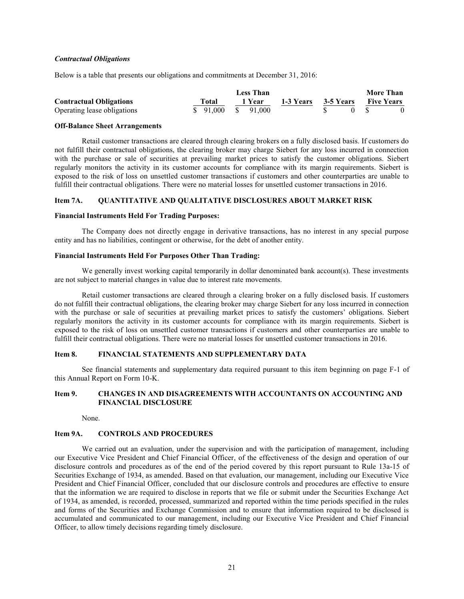## *Contractual Obligations*

Below is a table that presents our obligations and commitments at December 31, 2016:

|                                |       | More Than           |           |           |                   |
|--------------------------------|-------|---------------------|-----------|-----------|-------------------|
| <b>Contractual Obligations</b> | Total | 1 Year              | 1-3 Years | 3-5 Years | <b>Five Years</b> |
| Operating lease obligations    |       | $$91,000$ $$91,000$ |           |           |                   |

#### **Off-Balance Sheet Arrangements**

Retail customer transactions are cleared through clearing brokers on a fully disclosed basis. If customers do not fulfill their contractual obligations, the clearing broker may charge Siebert for any loss incurred in connection with the purchase or sale of securities at prevailing market prices to satisfy the customer obligations. Siebert regularly monitors the activity in its customer accounts for compliance with its margin requirements. Siebert is exposed to the risk of loss on unsettled customer transactions if customers and other counterparties are unable to fulfill their contractual obligations. There were no material losses for unsettled customer transactions in 2016.

## **Item 7A. QUANTITATIVE AND QUALITATIVE DISCLOSURES ABOUT MARKET RISK**

#### **Financial Instruments Held For Trading Purposes:**

The Company does not directly engage in derivative transactions, has no interest in any special purpose entity and has no liabilities, contingent or otherwise, for the debt of another entity.

#### **Financial Instruments Held For Purposes Other Than Trading:**

We generally invest working capital temporarily in dollar denominated bank account(s). These investments are not subject to material changes in value due to interest rate movements.

Retail customer transactions are cleared through a clearing broker on a fully disclosed basis. If customers do not fulfill their contractual obligations, the clearing broker may charge Siebert for any loss incurred in connection with the purchase or sale of securities at prevailing market prices to satisfy the customers' obligations. Siebert regularly monitors the activity in its customer accounts for compliance with its margin requirements. Siebert is exposed to the risk of loss on unsettled customer transactions if customers and other counterparties are unable to fulfill their contractual obligations. There were no material losses for unsettled customer transactions in 2016.

#### **Item 8. FINANCIAL STATEMENTS AND SUPPLEMENTARY DATA**

See financial statements and supplementary data required pursuant to this item beginning on page F-1 of this Annual Report on Form 10-K.

#### **Item 9. CHANGES IN AND DISAGREEMENTS WITH ACCOUNTANTS ON ACCOUNTING AND FINANCIAL DISCLOSURE**

None.

#### **Item 9A. CONTROLS AND PROCEDURES**

We carried out an evaluation, under the supervision and with the participation of management, including our Executive Vice President and Chief Financial Officer, of the effectiveness of the design and operation of our disclosure controls and procedures as of the end of the period covered by this report pursuant to Rule 13a-15 of Securities Exchange of 1934, as amended. Based on that evaluation, our management, including our Executive Vice President and Chief Financial Officer, concluded that our disclosure controls and procedures are effective to ensure that the information we are required to disclose in reports that we file or submit under the Securities Exchange Act of 1934, as amended, is recorded, processed, summarized and reported within the time periods specified in the rules and forms of the Securities and Exchange Commission and to ensure that information required to be disclosed is accumulated and communicated to our management, including our Executive Vice President and Chief Financial Officer, to allow timely decisions regarding timely disclosure.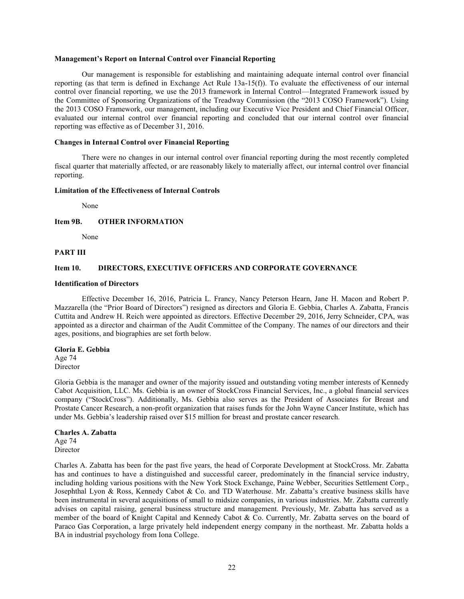#### **Management's Report on Internal Control over Financial Reporting**

Our management is responsible for establishing and maintaining adequate internal control over financial reporting (as that term is defined in Exchange Act Rule 13a-15(f)). To evaluate the effectiveness of our internal control over financial reporting, we use the 2013 framework in Internal Control—Integrated Framework issued by the Committee of Sponsoring Organizations of the Treadway Commission (the "2013 COSO Framework"). Using the 2013 COSO Framework, our management, including our Executive Vice President and Chief Financial Officer, evaluated our internal control over financial reporting and concluded that our internal control over financial reporting was effective as of December 31, 2016.

#### **Changes in Internal Control over Financial Reporting**

There were no changes in our internal control over financial reporting during the most recently completed fiscal quarter that materially affected, or are reasonably likely to materially affect, our internal control over financial reporting.

#### **Limitation of the Effectiveness of Internal Controls**

None

## **Item 9B. OTHER INFORMATION**

None

#### **PART III**

## **Item 10. DIRECTORS, EXECUTIVE OFFICERS AND CORPORATE GOVERNANCE**

#### **Identification of Directors**

Effective December 16, 2016, Patricia L. Francy, Nancy Peterson Hearn, Jane H. Macon and Robert P. Mazzarella (the "Prior Board of Directors") resigned as directors and Gloria E. Gebbia, Charles A. Zabatta, Francis Cuttita and Andrew H. Reich were appointed as directors. Effective December 29, 2016, Jerry Schneider, CPA, was appointed as a director and chairman of the Audit Committee of the Company. The names of our directors and their ages, positions, and biographies are set forth below.

**Gloria E. Gebbia**  Age 74 Director

Gloria Gebbia is the manager and owner of the majority issued and outstanding voting member interests of Kennedy Cabot Acquisition, LLC. Ms. Gebbia is an owner of StockCross Financial Services, Inc., a global financial services company ("StockCross"). Additionally, Ms. Gebbia also serves as the President of Associates for Breast and Prostate Cancer Research, a non-profit organization that raises funds for the John Wayne Cancer Institute, which has under Ms. Gebbia's leadership raised over \$15 million for breast and prostate cancer research.

#### **Charles A. Zabatta**

Age 74 Director

Charles A. Zabatta has been for the past five years, the head of Corporate Development at StockCross. Mr. Zabatta has and continues to have a distinguished and successful career, predominately in the financial service industry, including holding various positions with the New York Stock Exchange, Paine Webber, Securities Settlement Corp., Josephthal Lyon & Ross, Kennedy Cabot & Co. and TD Waterhouse. Mr. Zabatta's creative business skills have been instrumental in several acquisitions of small to midsize companies, in various industries. Mr. Zabatta currently advises on capital raising, general business structure and management. Previously, Mr. Zabatta has served as a member of the board of Knight Capital and Kennedy Cabot & Co. Currently, Mr. Zabatta serves on the board of Paraco Gas Corporation, a large privately held independent energy company in the northeast. Mr. Zabatta holds a BA in industrial psychology from Iona College.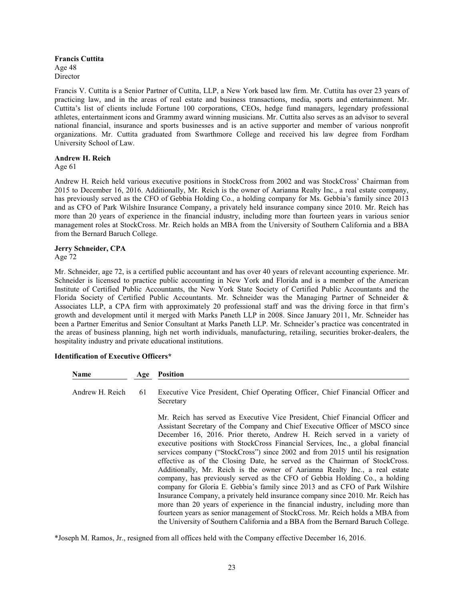**Francis Cuttita**  Age 48 Director

Francis V. Cuttita is a Senior Partner of Cuttita, LLP, a New York based law firm. Mr. Cuttita has over 23 years of practicing law, and in the areas of real estate and business transactions, media, sports and entertainment. Mr. Cuttita's list of clients include Fortune 100 corporations, CEOs, hedge fund managers, legendary professional athletes, entertainment icons and Grammy award winning musicians. Mr. Cuttita also serves as an advisor to several national financial, insurance and sports businesses and is an active supporter and member of various nonprofit organizations. Mr. Cuttita graduated from Swarthmore College and received his law degree from Fordham University School of Law.

#### **Andrew H. Reich**

Age 61

Andrew H. Reich held various executive positions in StockCross from 2002 and was StockCross' Chairman from 2015 to December 16, 2016. Additionally, Mr. Reich is the owner of Aarianna Realty Inc., a real estate company, has previously served as the CFO of Gebbia Holding Co., a holding company for Ms. Gebbia's family since 2013 and as CFO of Park Wilshire Insurance Company, a privately held insurance company since 2010. Mr. Reich has more than 20 years of experience in the financial industry, including more than fourteen years in various senior management roles at StockCross. Mr. Reich holds an MBA from the University of Southern California and a BBA from the Bernard Baruch College.

## **Jerry Schneider, CPA**

Age 72

Mr. Schneider, age 72, is a certified public accountant and has over 40 years of relevant accounting experience. Mr. Schneider is licensed to practice public accounting in New York and Florida and is a member of the American Institute of Certified Public Accountants, the New York State Society of Certified Public Accountants and the Florida Society of Certified Public Accountants. Mr. Schneider was the Managing Partner of Schneider & Associates LLP, a CPA firm with approximately 20 professional staff and was the driving force in that firm's growth and development until it merged with Marks Paneth LLP in 2008. Since January 2011, Mr. Schneider has been a Partner Emeritus and Senior Consultant at Marks Paneth LLP. Mr. Schneider's practice was concentrated in the areas of business planning, high net worth individuals, manufacturing, retailing, securities broker-dealers, the hospitality industry and private educational institutions.

#### **Identification of Executive Officers\***

| Name            | Age | <b>Position</b>                                                                                                                                                                                                                                                                                                                                                                                                                                                                                                                                                                                                                                                                                                                                                                                                                                                                                                                                                                                                                                                                       |
|-----------------|-----|---------------------------------------------------------------------------------------------------------------------------------------------------------------------------------------------------------------------------------------------------------------------------------------------------------------------------------------------------------------------------------------------------------------------------------------------------------------------------------------------------------------------------------------------------------------------------------------------------------------------------------------------------------------------------------------------------------------------------------------------------------------------------------------------------------------------------------------------------------------------------------------------------------------------------------------------------------------------------------------------------------------------------------------------------------------------------------------|
| Andrew H. Reich | 61  | Executive Vice President, Chief Operating Officer, Chief Financial Officer and<br>Secretary                                                                                                                                                                                                                                                                                                                                                                                                                                                                                                                                                                                                                                                                                                                                                                                                                                                                                                                                                                                           |
|                 |     | Mr. Reich has served as Executive Vice President, Chief Financial Officer and<br>Assistant Secretary of the Company and Chief Executive Officer of MSCO since<br>December 16, 2016. Prior thereto, Andrew H. Reich served in a variety of<br>executive positions with StockCross Financial Services, Inc., a global financial<br>services company ("StockCross") since 2002 and from 2015 until his resignation<br>effective as of the Closing Date, he served as the Chairman of StockCross.<br>Additionally, Mr. Reich is the owner of Aarianna Realty Inc., a real estate<br>company, has previously served as the CFO of Gebbia Holding Co., a holding<br>company for Gloria E. Gebbia's family since 2013 and as CFO of Park Wilshire<br>Insurance Company, a privately held insurance company since 2010. Mr. Reich has<br>more than 20 years of experience in the financial industry, including more than<br>fourteen years as senior management of StockCross. Mr. Reich holds a MBA from<br>the University of Southern California and a BBA from the Bernard Baruch College. |

\*Joseph M. Ramos, Jr., resigned from all offices held with the Company effective December 16, 2016.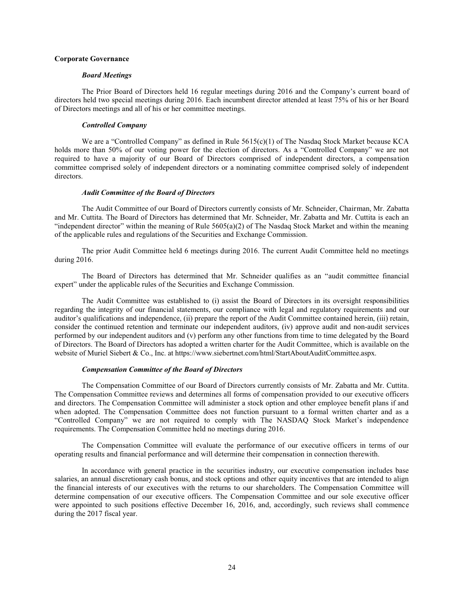#### **Corporate Governance**

#### *Board Meetings*

The Prior Board of Directors held 16 regular meetings during 2016 and the Company's current board of directors held two special meetings during 2016. Each incumbent director attended at least 75% of his or her Board of Directors meetings and all of his or her committee meetings.

#### *Controlled Company*

We are a "Controlled Company" as defined in Rule 5615(c)(1) of The Nasdaq Stock Market because KCA holds more than 50% of our voting power for the election of directors. As a "Controlled Company" we are not required to have a majority of our Board of Directors comprised of independent directors, a compensation committee comprised solely of independent directors or a nominating committee comprised solely of independent directors.

#### *Audit Committee of the Board of Directors*

The Audit Committee of our Board of Directors currently consists of Mr. Schneider, Chairman, Mr. Zabatta and Mr. Cuttita. The Board of Directors has determined that Mr. Schneider, Mr. Zabatta and Mr. Cuttita is each an "independent director" within the meaning of Rule  $5605(a)(2)$  of The Nasdaq Stock Market and within the meaning of the applicable rules and regulations of the Securities and Exchange Commission.

The prior Audit Committee held 6 meetings during 2016. The current Audit Committee held no meetings during 2016.

The Board of Directors has determined that Mr. Schneider qualifies as an "audit committee financial expert" under the applicable rules of the Securities and Exchange Commission.

The Audit Committee was established to (i) assist the Board of Directors in its oversight responsibilities regarding the integrity of our financial statements, our compliance with legal and regulatory requirements and our auditor's qualifications and independence, (ii) prepare the report of the Audit Committee contained herein, (iii) retain, consider the continued retention and terminate our independent auditors, (iv) approve audit and non-audit services performed by our independent auditors and (v) perform any other functions from time to time delegated by the Board of Directors. The Board of Directors has adopted a written charter for the Audit Committee, which is available on the website of Muriel Siebert & Co., Inc. at https://www.siebertnet.com/html/StartAboutAuditCommittee.aspx.

#### *Compensation Committee of the Board of Directors*

The Compensation Committee of our Board of Directors currently consists of Mr. Zabatta and Mr. Cuttita. The Compensation Committee reviews and determines all forms of compensation provided to our executive officers and directors. The Compensation Committee will administer a stock option and other employee benefit plans if and when adopted. The Compensation Committee does not function pursuant to a formal written charter and as a "Controlled Company" we are not required to comply with The NASDAQ Stock Market's independence requirements. The Compensation Committee held no meetings during 2016.

The Compensation Committee will evaluate the performance of our executive officers in terms of our operating results and financial performance and will determine their compensation in connection therewith.

In accordance with general practice in the securities industry, our executive compensation includes base salaries, an annual discretionary cash bonus, and stock options and other equity incentives that are intended to align the financial interests of our executives with the returns to our shareholders. The Compensation Committee will determine compensation of our executive officers. The Compensation Committee and our sole executive officer were appointed to such positions effective December 16, 2016, and, accordingly, such reviews shall commence during the 2017 fiscal year.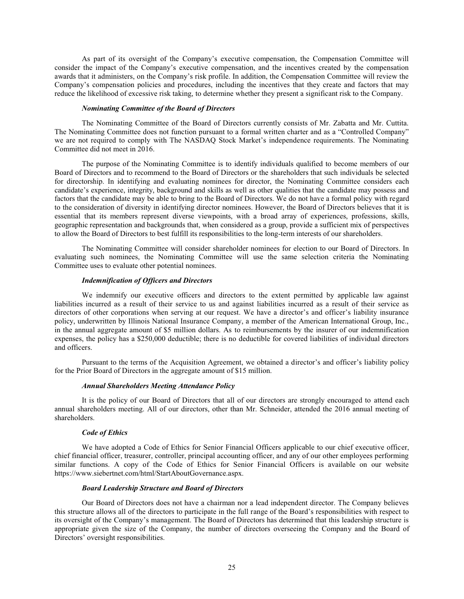As part of its oversight of the Company's executive compensation, the Compensation Committee will consider the impact of the Company's executive compensation, and the incentives created by the compensation awards that it administers, on the Company's risk profile. In addition, the Compensation Committee will review the Company's compensation policies and procedures, including the incentives that they create and factors that may reduce the likelihood of excessive risk taking, to determine whether they present a significant risk to the Company.

### *Nominating Committee of the Board of Directors*

The Nominating Committee of the Board of Directors currently consists of Mr. Zabatta and Mr. Cuttita. The Nominating Committee does not function pursuant to a formal written charter and as a "Controlled Company" we are not required to comply with The NASDAQ Stock Market's independence requirements. The Nominating Committee did not meet in 2016.

The purpose of the Nominating Committee is to identify individuals qualified to become members of our Board of Directors and to recommend to the Board of Directors or the shareholders that such individuals be selected for directorship. In identifying and evaluating nominees for director, the Nominating Committee considers each candidate's experience, integrity, background and skills as well as other qualities that the candidate may possess and factors that the candidate may be able to bring to the Board of Directors. We do not have a formal policy with regard to the consideration of diversity in identifying director nominees. However, the Board of Directors believes that it is essential that its members represent diverse viewpoints, with a broad array of experiences, professions, skills, geographic representation and backgrounds that, when considered as a group, provide a sufficient mix of perspectives to allow the Board of Directors to best fulfill its responsibilities to the long-term interests of our shareholders.

The Nominating Committee will consider shareholder nominees for election to our Board of Directors. In evaluating such nominees, the Nominating Committee will use the same selection criteria the Nominating Committee uses to evaluate other potential nominees.

#### *Indemnification of Officers and Directors*

We indemnify our executive officers and directors to the extent permitted by applicable law against liabilities incurred as a result of their service to us and against liabilities incurred as a result of their service as directors of other corporations when serving at our request. We have a director's and officer's liability insurance policy, underwritten by Illinois National Insurance Company, a member of the American International Group, Inc., in the annual aggregate amount of \$5 million dollars. As to reimbursements by the insurer of our indemnification expenses, the policy has a \$250,000 deductible; there is no deductible for covered liabilities of individual directors and officers.

Pursuant to the terms of the Acquisition Agreement, we obtained a director's and officer's liability policy for the Prior Board of Directors in the aggregate amount of \$15 million.

#### *Annual Shareholders Meeting Attendance Policy*

It is the policy of our Board of Directors that all of our directors are strongly encouraged to attend each annual shareholders meeting. All of our directors, other than Mr. Schneider, attended the 2016 annual meeting of shareholders.

#### *Code of Ethics*

We have adopted a Code of Ethics for Senior Financial Officers applicable to our chief executive officer, chief financial officer, treasurer, controller, principal accounting officer, and any of our other employees performing similar functions. A copy of the Code of Ethics for Senior Financial Officers is available on our website https://www.siebertnet.com/html/StartAboutGovernance.aspx.

#### *Board Leadership Structure and Board of Directors*

Our Board of Directors does not have a chairman nor a lead independent director. The Company believes this structure allows all of the directors to participate in the full range of the Board's responsibilities with respect to its oversight of the Company's management. The Board of Directors has determined that this leadership structure is appropriate given the size of the Company, the number of directors overseeing the Company and the Board of Directors' oversight responsibilities.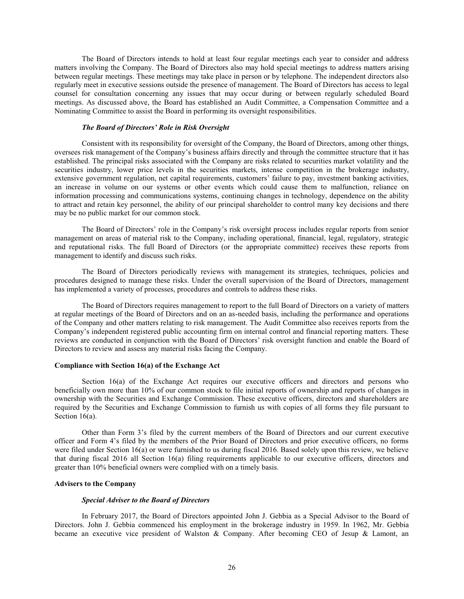The Board of Directors intends to hold at least four regular meetings each year to consider and address matters involving the Company. The Board of Directors also may hold special meetings to address matters arising between regular meetings. These meetings may take place in person or by telephone. The independent directors also regularly meet in executive sessions outside the presence of management. The Board of Directors has access to legal counsel for consultation concerning any issues that may occur during or between regularly scheduled Board meetings. As discussed above, the Board has established an Audit Committee, a Compensation Committee and a Nominating Committee to assist the Board in performing its oversight responsibilities.

#### *The Board of Directors' Role in Risk Oversight*

Consistent with its responsibility for oversight of the Company, the Board of Directors, among other things, oversees risk management of the Company's business affairs directly and through the committee structure that it has established. The principal risks associated with the Company are risks related to securities market volatility and the securities industry, lower price levels in the securities markets, intense competition in the brokerage industry, extensive government regulation, net capital requirements, customers' failure to pay, investment banking activities, an increase in volume on our systems or other events which could cause them to malfunction, reliance on information processing and communications systems, continuing changes in technology, dependence on the ability to attract and retain key personnel, the ability of our principal shareholder to control many key decisions and there may be no public market for our common stock.

The Board of Directors' role in the Company's risk oversight process includes regular reports from senior management on areas of material risk to the Company, including operational, financial, legal, regulatory, strategic and reputational risks. The full Board of Directors (or the appropriate committee) receives these reports from management to identify and discuss such risks.

The Board of Directors periodically reviews with management its strategies, techniques, policies and procedures designed to manage these risks. Under the overall supervision of the Board of Directors, management has implemented a variety of processes, procedures and controls to address these risks.

The Board of Directors requires management to report to the full Board of Directors on a variety of matters at regular meetings of the Board of Directors and on an as-needed basis, including the performance and operations of the Company and other matters relating to risk management. The Audit Committee also receives reports from the Company's independent registered public accounting firm on internal control and financial reporting matters. These reviews are conducted in conjunction with the Board of Directors' risk oversight function and enable the Board of Directors to review and assess any material risks facing the Company.

#### **Compliance with Section 16(a) of the Exchange Act**

Section 16(a) of the Exchange Act requires our executive officers and directors and persons who beneficially own more than 10% of our common stock to file initial reports of ownership and reports of changes in ownership with the Securities and Exchange Commission. These executive officers, directors and shareholders are required by the Securities and Exchange Commission to furnish us with copies of all forms they file pursuant to Section 16(a).

Other than Form 3's filed by the current members of the Board of Directors and our current executive officer and Form 4's filed by the members of the Prior Board of Directors and prior executive officers, no forms were filed under Section 16(a) or were furnished to us during fiscal 2016. Based solely upon this review, we believe that during fiscal 2016 all Section 16(a) filing requirements applicable to our executive officers, directors and greater than 10% beneficial owners were complied with on a timely basis.

## **Advisers to the Company**

## *Special Adviser to the Board of Directors*

In February 2017, the Board of Directors appointed John J. Gebbia as a Special Advisor to the Board of Directors. John J. Gebbia commenced his employment in the brokerage industry in 1959. In 1962, Mr. Gebbia became an executive vice president of Walston & Company. After becoming CEO of Jesup & Lamont, an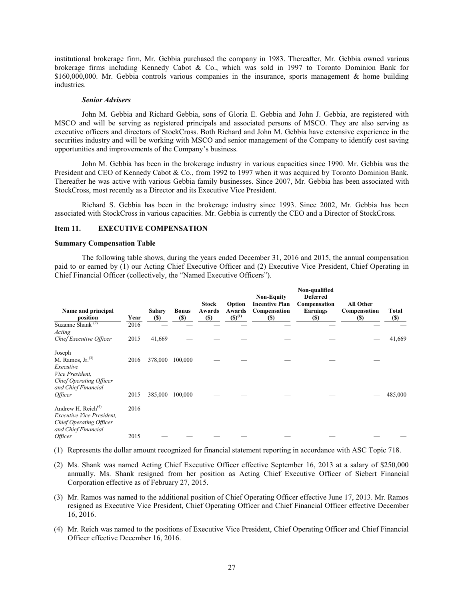institutional brokerage firm, Mr. Gebbia purchased the company in 1983. Thereafter, Mr. Gebbia owned various brokerage firms including Kennedy Cabot & Co., which was sold in 1997 to Toronto Dominion Bank for \$160,000,000. Mr. Gebbia controls various companies in the insurance, sports management & home building industries.

#### *Senior Advisers*

John M. Gebbia and Richard Gebbia, sons of Gloria E. Gebbia and John J. Gebbia, are registered with MSCO and will be serving as registered principals and associated persons of MSCO. They are also serving as executive officers and directors of StockCross. Both Richard and John M. Gebbia have extensive experience in the securities industry and will be working with MSCO and senior management of the Company to identify cost saving opportunities and improvements of the Company's business.

John M. Gebbia has been in the brokerage industry in various capacities since 1990. Mr. Gebbia was the President and CEO of Kennedy Cabot & Co., from 1992 to 1997 when it was acquired by Toronto Dominion Bank. Thereafter he was active with various Gebbia family businesses. Since 2007, Mr. Gebbia has been associated with StockCross, most recently as a Director and its Executive Vice President.

Richard S. Gebbia has been in the brokerage industry since 1993. Since 2002, Mr. Gebbia has been associated with StockCross in various capacities. Mr. Gebbia is currently the CEO and a Director of StockCross.

#### **Item 11. EXECUTIVE COMPENSATION**

#### **Summary Compensation Table**

The following table shows, during the years ended December 31, 2016 and 2015, the annual compensation paid to or earned by (1) our Acting Chief Executive Officer and (2) Executive Vice President, Chief Operating in Chief Financial Officer (collectively, the "Named Executive Officers").

| Name and principal<br>position                                                                                                                   | Year         | <b>Salary</b><br><b>(\$)</b> | <b>Bonus</b><br><b>(\$)</b> | <b>Stock</b><br>Awards<br>$(\$)$ | Option<br>Awards<br>$(S)^{(1)}$ | <b>Non-Equity</b><br><b>Incentive Plan</b><br>Compensation<br>(S) | Non-qualified<br><b>Deferred</b><br>Compensation<br>Earnings<br>(S) | All Other<br>Compensation<br><b>(\$)</b> | Total<br><b>(\$)</b> |
|--------------------------------------------------------------------------------------------------------------------------------------------------|--------------|------------------------------|-----------------------------|----------------------------------|---------------------------------|-------------------------------------------------------------------|---------------------------------------------------------------------|------------------------------------------|----------------------|
| Suzanne Shank <sup>(2)</sup>                                                                                                                     | 2016         |                              |                             |                                  |                                 |                                                                   |                                                                     |                                          |                      |
| Acting<br>Chief Executive Officer                                                                                                                | 2015         | 41,669                       |                             |                                  |                                 |                                                                   |                                                                     |                                          | 41,669               |
| Joseph<br>M. Ramos, $Jr^{(3)}$<br>Executive<br>Vice President,<br><b>Chief Operating Officer</b><br>and Chief Financial<br><i><b>Officer</b></i> | 2016<br>2015 | 378,000<br>385,000           | 100,000<br>100,000          |                                  |                                 |                                                                   |                                                                     |                                          | 485,000              |
| Andrew H. Reich <sup>(4)</sup><br><b>Executive Vice President,</b><br>Chief Operating Officer<br>and Chief Financial<br><i><b>Officer</b></i>    | 2016<br>2015 |                              |                             |                                  |                                 |                                                                   |                                                                     |                                          |                      |
|                                                                                                                                                  |              |                              |                             |                                  |                                 |                                                                   |                                                                     |                                          |                      |

(1) Represents the dollar amount recognized for financial statement reporting in accordance with ASC Topic 718.

- (2) Ms. Shank was named Acting Chief Executive Officer effective September 16, 2013 at a salary of \$250,000 annually. Ms. Shank resigned from her position as Acting Chief Executive Officer of Siebert Financial Corporation effective as of February 27, 2015.
- (3) Mr. Ramos was named to the additional position of Chief Operating Officer effective June 17, 2013. Mr. Ramos resigned as Executive Vice President, Chief Operating Officer and Chief Financial Officer effective December 16, 2016.
- (4) Mr. Reich was named to the positions of Executive Vice President, Chief Operating Officer and Chief Financial Officer effective December 16, 2016.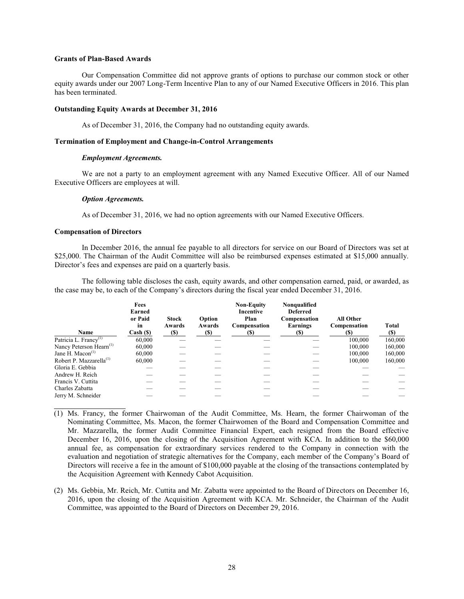#### **Grants of Plan-Based Awards**

Our Compensation Committee did not approve grants of options to purchase our common stock or other equity awards under our 2007 Long-Term Incentive Plan to any of our Named Executive Officers in 2016. This plan has been terminated.

#### **Outstanding Equity Awards at December 31, 2016**

As of December 31, 2016, the Company had no outstanding equity awards.

## **Termination of Employment and Change-in-Control Arrangements**

#### *Employment Agreements.*

We are not a party to an employment agreement with any Named Executive Officer. All of our Named Executive Officers are employees at will.

#### *Option Agreements.*

As of December 31, 2016, we had no option agreements with our Named Executive Officers.

#### **Compensation of Directors**

In December 2016, the annual fee payable to all directors for service on our Board of Directors was set at \$25,000. The Chairman of the Audit Committee will also be reimbursed expenses estimated at \$15,000 annually. Director's fees and expenses are paid on a quarterly basis.

The following table discloses the cash, equity awards, and other compensation earned, paid, or awarded, as the case may be, to each of the Company's directors during the fiscal year ended December 31, 2016.

| Name                                | Fees<br>Earned<br>or Paid<br>in<br>$\mathbf{Cash}(\mathbf{\$})$ | <b>Stock</b><br>Awards<br><b>(\$)</b> | Option<br>Awards<br><b>(S)</b> | <b>Non-Equity</b><br><b>Incentive</b><br>Plan<br>Compensation<br>(S) | Nonqualified<br><b>Deferred</b><br>Compensation<br>Earnings<br>(\$) | <b>All Other</b><br>Compensation<br>(S) | Total<br><b>(\$)</b> |
|-------------------------------------|-----------------------------------------------------------------|---------------------------------------|--------------------------------|----------------------------------------------------------------------|---------------------------------------------------------------------|-----------------------------------------|----------------------|
| Patricia L. Francy <sup>(1)</sup>   | 60,000                                                          |                                       |                                |                                                                      |                                                                     | 100,000                                 | 160,000              |
| Nancy Peterson Hearn <sup>(1)</sup> | 60,000                                                          |                                       |                                |                                                                      |                                                                     | 100,000                                 | 160,000              |
| Jane H. Macon $(1)$                 | 60,000                                                          |                                       |                                |                                                                      |                                                                     | 100,000                                 | 160,000              |
| Robert P. Mazzarella $^{(1)}$       | 60,000                                                          |                                       |                                |                                                                      |                                                                     | 100,000                                 | 160,000              |
| Gloria E. Gebbia                    |                                                                 |                                       |                                |                                                                      |                                                                     |                                         |                      |
| Andrew H. Reich                     |                                                                 |                                       |                                |                                                                      |                                                                     |                                         |                      |
| Francis V. Cuttita                  |                                                                 |                                       |                                |                                                                      |                                                                     |                                         |                      |
| Charles Zabatta                     |                                                                 |                                       |                                |                                                                      |                                                                     |                                         |                      |
| Jerry M. Schneider                  |                                                                 |                                       |                                |                                                                      |                                                                     |                                         |                      |

- (1) Ms. Francy, the former Chairwoman of the Audit Committee, Ms. Hearn, the former Chairwoman of the Nominating Committee, Ms. Macon, the former Chairwomen of the Board and Compensation Committee and Mr. Mazzarella, the former Audit Committee Financial Expert, each resigned from the Board effective December 16, 2016, upon the closing of the Acquisition Agreement with KCA. In addition to the \$60,000 annual fee, as compensation for extraordinary services rendered to the Company in connection with the evaluation and negotiation of strategic alternatives for the Company, each member of the Company's Board of Directors will receive a fee in the amount of \$100,000 payable at the closing of the transactions contemplated by the Acquisition Agreement with Kennedy Cabot Acquisition.
- (2) Ms. Gebbia, Mr. Reich, Mr. Cuttita and Mr. Zabatta were appointed to the Board of Directors on December 16, 2016, upon the closing of the Acquisition Agreement with KCA. Mr. Schneider, the Chairman of the Audit Committee, was appointed to the Board of Directors on December 29, 2016.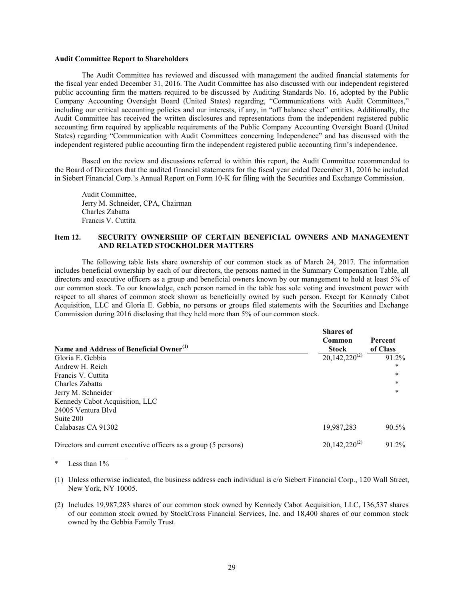#### **Audit Committee Report to Shareholders**

The Audit Committee has reviewed and discussed with management the audited financial statements for the fiscal year ended December 31, 2016. The Audit Committee has also discussed with our independent registered public accounting firm the matters required to be discussed by Auditing Standards No. 16, adopted by the Public Company Accounting Oversight Board (United States) regarding, "Communications with Audit Committees," including our critical accounting policies and our interests, if any, in "off balance sheet" entities. Additionally, the Audit Committee has received the written disclosures and representations from the independent registered public accounting firm required by applicable requirements of the Public Company Accounting Oversight Board (United States) regarding "Communication with Audit Committees concerning Independence" and has discussed with the independent registered public accounting firm the independent registered public accounting firm's independence.

Based on the review and discussions referred to within this report, the Audit Committee recommended to the Board of Directors that the audited financial statements for the fiscal year ended December 31, 2016 be included in Siebert Financial Corp.'s Annual Report on Form 10-K for filing with the Securities and Exchange Commission.

Audit Committee, Jerry M. Schneider, CPA, Chairman Charles Zabatta Francis V. Cuttita

## **Item 12. SECURITY OWNERSHIP OF CERTAIN BENEFICIAL OWNERS AND MANAGEMENT AND RELATED STOCKHOLDER MATTERS**

The following table lists share ownership of our common stock as of March 24, 2017. The information includes beneficial ownership by each of our directors, the persons named in the Summary Compensation Table, all directors and executive officers as a group and beneficial owners known by our management to hold at least 5% of our common stock. To our knowledge, each person named in the table has sole voting and investment power with respect to all shares of common stock shown as beneficially owned by such person. Except for Kennedy Cabot Acquisition, LLC and Gloria E. Gebbia, no persons or groups filed statements with the Securities and Exchange Commission during 2016 disclosing that they held more than 5% of our common stock.

| Name and Address of Beneficial Owner <sup>(1)</sup>             | <b>Shares</b> of<br>Common<br><b>Stock</b> | Percent<br>of Class |
|-----------------------------------------------------------------|--------------------------------------------|---------------------|
| Gloria E. Gebbia                                                | $20,142,220^{(2)}$                         | 91.2%               |
| Andrew H. Reich                                                 |                                            | $\ast$              |
| Francis V. Cuttita                                              |                                            | $\ast$              |
| Charles Zabatta                                                 |                                            | $\star$             |
| Jerry M. Schneider                                              |                                            | $\ast$              |
| Kennedy Cabot Acquisition, LLC                                  |                                            |                     |
| 24005 Ventura Blyd                                              |                                            |                     |
| Suite 200                                                       |                                            |                     |
| Calabasas CA 91302                                              | 19,987,283                                 | $90.5\%$            |
| Directors and current executive officers as a group (5 persons) | $20,142,220^{(2)}$                         | 91.2%               |

Less than  $1\%$ 

- (1) Unless otherwise indicated, the business address each individual is c/o Siebert Financial Corp., 120 Wall Street, New York, NY 10005.
- (2) Includes 19,987,283 shares of our common stock owned by Kennedy Cabot Acquisition, LLC, 136,537 shares of our common stock owned by StockCross Financial Services, Inc. and 18,400 shares of our common stock owned by the Gebbia Family Trust.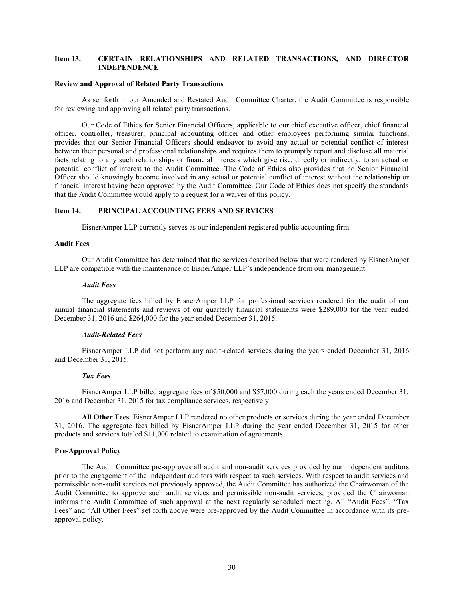## **Item 13. CERTAIN RELATIONSHIPS AND RELATED TRANSACTIONS, AND DIRECTOR INDEPENDENCE**

#### **Review and Approval of Related Party Transactions**

As set forth in our Amended and Restated Audit Committee Charter, the Audit Committee is responsible for reviewing and approving all related party transactions.

Our Code of Ethics for Senior Financial Officers, applicable to our chief executive officer, chief financial officer, controller, treasurer, principal accounting officer and other employees performing similar functions, provides that our Senior Financial Officers should endeavor to avoid any actual or potential conflict of interest between their personal and professional relationships and requires them to promptly report and disclose all material facts relating to any such relationships or financial interests which give rise, directly or indirectly, to an actual or potential conflict of interest to the Audit Committee. The Code of Ethics also provides that no Senior Financial Officer should knowingly become involved in any actual or potential conflict of interest without the relationship or financial interest having been approved by the Audit Committee. Our Code of Ethics does not specify the standards that the Audit Committee would apply to a request for a waiver of this policy.

#### **Item 14. PRINCIPAL ACCOUNTING FEES AND SERVICES**

EisnerAmper LLP currently serves as our independent registered public accounting firm.

#### **Audit Fees**

Our Audit Committee has determined that the services described below that were rendered by EisnerAmper LLP are compatible with the maintenance of EisnerAmper LLP's independence from our management.

#### *Audit Fees*

The aggregate fees billed by EisnerAmper LLP for professional services rendered for the audit of our annual financial statements and reviews of our quarterly financial statements were \$289,000 for the year ended December 31, 2016 and \$264,000 for the year ended December 31, 2015.

#### *Audit-Related Fees*

EisnerAmper LLP did not perform any audit-related services during the years ended December 31, 2016 and December 31, 2015.

#### *Tax Fees*

EisnerAmper LLP billed aggregate fees of \$50,000 and \$57,000 during each the years ended December 31, 2016 and December 31, 2015 for tax compliance services, respectively.

**All Other Fees.** EisnerAmper LLP rendered no other products or services during the year ended December 31, 2016. The aggregate fees billed by EisnerAmper LLP during the year ended December 31, 2015 for other products and services totaled \$11,000 related to examination of agreements.

#### **Pre-Approval Policy**

The Audit Committee pre-approves all audit and non-audit services provided by our independent auditors prior to the engagement of the independent auditors with respect to such services. With respect to audit services and permissible non-audit services not previously approved, the Audit Committee has authorized the Chairwoman of the Audit Committee to approve such audit services and permissible non-audit services, provided the Chairwoman informs the Audit Committee of such approval at the next regularly scheduled meeting. All "Audit Fees", "Tax Fees" and "All Other Fees" set forth above were pre-approved by the Audit Committee in accordance with its preapproval policy.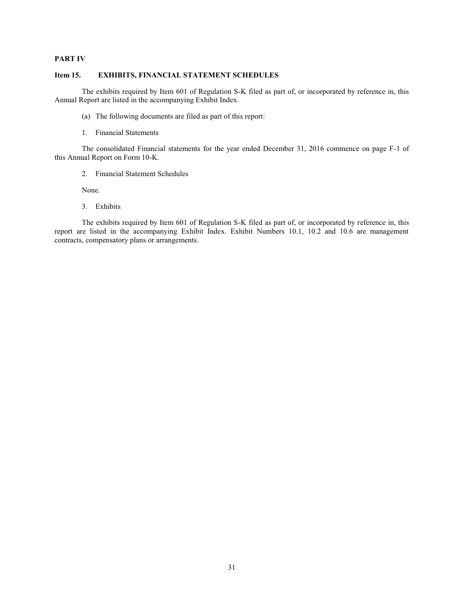## **PART IV**

## **Item 15. EXHIBITS, FINANCIAL STATEMENT SCHEDULES**

The exhibits required by Item 601 of Regulation S-K filed as part of, or incorporated by reference in, this Annual Report are listed in the accompanying Exhibit Index.

- (a) The following documents are filed as part of this report:
- 1. Financial Statements

The consolidated Financial statements for the year ended December 31, 2016 commence on page F-1 of this Annual Report on Form 10-K.

2. Financial Statement Schedules

None.

3. Exhibits

The exhibits required by Item 601 of Regulation S-K filed as part of, or incorporated by reference in, this report are listed in the accompanying Exhibit Index. Exhibit Numbers 10.1, 10.2 and 10.6 are management contracts, compensatory plans or arrangements.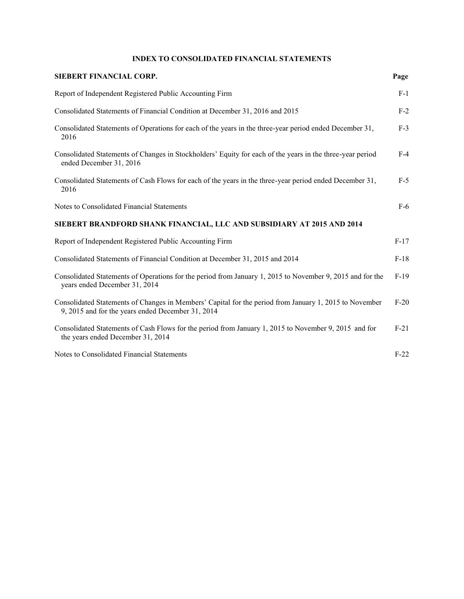# **INDEX TO CONSOLIDATED FINANCIAL STATEMENTS**

| SIEBERT FINANCIAL CORP.                                                                                                                                     | Page   |
|-------------------------------------------------------------------------------------------------------------------------------------------------------------|--------|
| Report of Independent Registered Public Accounting Firm                                                                                                     | $F-1$  |
| Consolidated Statements of Financial Condition at December 31, 2016 and 2015                                                                                | $F-2$  |
| Consolidated Statements of Operations for each of the years in the three-year period ended December 31,<br>2016                                             | $F-3$  |
| Consolidated Statements of Changes in Stockholders' Equity for each of the years in the three-year period<br>ended December 31, 2016                        | $F-4$  |
| Consolidated Statements of Cash Flows for each of the years in the three-year period ended December 31,<br>2016                                             | $F-5$  |
| Notes to Consolidated Financial Statements                                                                                                                  | $F-6$  |
| SIEBERT BRANDFORD SHANK FINANCIAL, LLC AND SUBSIDIARY AT 2015 AND 2014                                                                                      |        |
| Report of Independent Registered Public Accounting Firm                                                                                                     | $F-17$ |
| Consolidated Statements of Financial Condition at December 31, 2015 and 2014                                                                                | $F-18$ |
| Consolidated Statements of Operations for the period from January 1, 2015 to November 9, 2015 and for the<br>years ended December 31, 2014                  | $F-19$ |
| Consolidated Statements of Changes in Members' Capital for the period from January 1, 2015 to November<br>9, 2015 and for the years ended December 31, 2014 | $F-20$ |
| Consolidated Statements of Cash Flows for the period from January 1, 2015 to November 9, 2015 and for<br>the years ended December 31, 2014                  | $F-21$ |
| Notes to Consolidated Financial Statements                                                                                                                  | $F-22$ |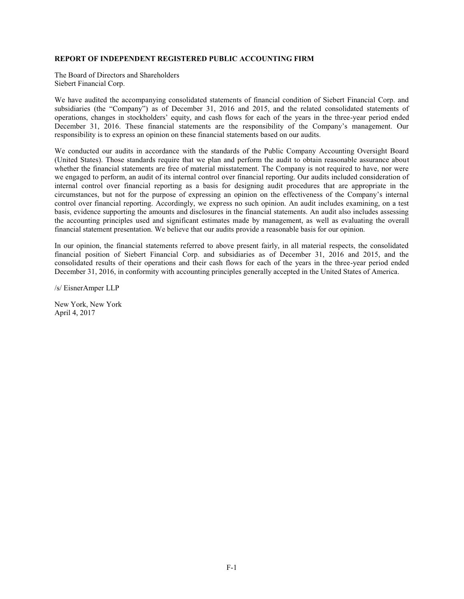## **REPORT OF INDEPENDENT REGISTERED PUBLIC ACCOUNTING FIRM**

The Board of Directors and Shareholders Siebert Financial Corp.

We have audited the accompanying consolidated statements of financial condition of Siebert Financial Corp. and subsidiaries (the "Company") as of December 31, 2016 and 2015, and the related consolidated statements of operations, changes in stockholders' equity, and cash flows for each of the years in the three-year period ended December 31, 2016. These financial statements are the responsibility of the Company's management. Our responsibility is to express an opinion on these financial statements based on our audits.

We conducted our audits in accordance with the standards of the Public Company Accounting Oversight Board (United States). Those standards require that we plan and perform the audit to obtain reasonable assurance about whether the financial statements are free of material misstatement. The Company is not required to have, nor were we engaged to perform, an audit of its internal control over financial reporting. Our audits included consideration of internal control over financial reporting as a basis for designing audit procedures that are appropriate in the circumstances, but not for the purpose of expressing an opinion on the effectiveness of the Company's internal control over financial reporting. Accordingly, we express no such opinion. An audit includes examining, on a test basis, evidence supporting the amounts and disclosures in the financial statements. An audit also includes assessing the accounting principles used and significant estimates made by management, as well as evaluating the overall financial statement presentation. We believe that our audits provide a reasonable basis for our opinion.

In our opinion, the financial statements referred to above present fairly, in all material respects, the consolidated financial position of Siebert Financial Corp. and subsidiaries as of December 31, 2016 and 2015, and the consolidated results of their operations and their cash flows for each of the years in the three-year period ended December 31, 2016, in conformity with accounting principles generally accepted in the United States of America.

/s/ EisnerAmper LLP

New York, New York April 4, 2017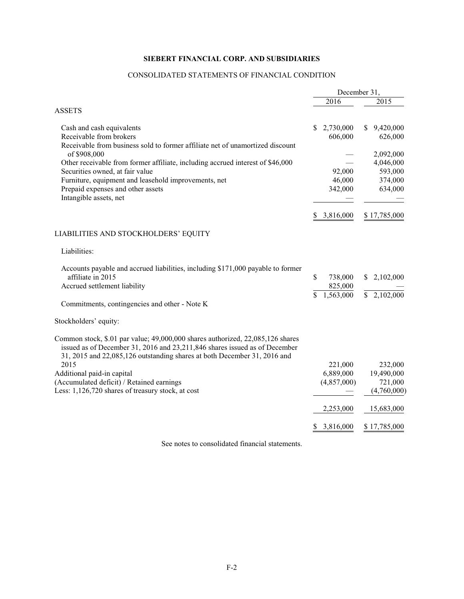# **SIEBERT FINANCIAL CORP. AND SUBSIDIARIES**

# CONSOLIDATED STATEMENTS OF FINANCIAL CONDITION

|                                                                                                                                                                                                                                          | December 31, |                      |                                         |
|------------------------------------------------------------------------------------------------------------------------------------------------------------------------------------------------------------------------------------------|--------------|----------------------|-----------------------------------------|
|                                                                                                                                                                                                                                          |              | 2016                 | 2015                                    |
| <b>ASSETS</b>                                                                                                                                                                                                                            |              |                      |                                         |
| Cash and cash equivalents<br>Receivable from brokers<br>Receivable from business sold to former affiliate net of unamortized discount<br>of \$908,000                                                                                    | \$           | 2,730,000<br>606,000 | S.<br>9,420,000<br>626,000<br>2,092,000 |
| Other receivable from former affiliate, including accrued interest of \$46,000                                                                                                                                                           |              |                      | 4,046,000                               |
| Securities owned, at fair value                                                                                                                                                                                                          |              | 92,000               | 593,000                                 |
| Furniture, equipment and leasehold improvements, net                                                                                                                                                                                     |              | 46,000               | 374,000                                 |
| Prepaid expenses and other assets                                                                                                                                                                                                        |              | 342,000              | 634,000                                 |
| Intangible assets, net                                                                                                                                                                                                                   |              |                      |                                         |
|                                                                                                                                                                                                                                          | \$           | 3,816,000            | \$17,785,000                            |
| LIABILITIES AND STOCKHOLDERS' EQUITY                                                                                                                                                                                                     |              |                      |                                         |
| Liabilities:                                                                                                                                                                                                                             |              |                      |                                         |
| Accounts payable and accrued liabilities, including \$171,000 payable to former<br>affiliate in 2015<br>Accrued settlement liability                                                                                                     | \$           | 738,000<br>825,000   | \$2,102,000                             |
| Commitments, contingencies and other - Note K                                                                                                                                                                                            | \$           | 1,563,000            | 2,102,000<br>\$                         |
| Stockholders' equity:                                                                                                                                                                                                                    |              |                      |                                         |
| Common stock, \$.01 par value; 49,000,000 shares authorized, 22,085,126 shares<br>issued as of December 31, 2016 and 23,211,846 shares issued as of December<br>31, 2015 and 22,085,126 outstanding shares at both December 31, 2016 and |              |                      |                                         |
| 2015                                                                                                                                                                                                                                     |              | 221,000              | 232,000                                 |
| Additional paid-in capital                                                                                                                                                                                                               |              | 6,889,000            | 19,490,000                              |
| (Accumulated deficit) / Retained earnings                                                                                                                                                                                                |              | (4,857,000)          | 721,000                                 |
| Less: 1,126,720 shares of treasury stock, at cost                                                                                                                                                                                        |              |                      | (4,760,000)                             |
|                                                                                                                                                                                                                                          |              | 2,253,000            | 15,683,000                              |
|                                                                                                                                                                                                                                          | \$           | 3,816,000            | \$17,785,000                            |
|                                                                                                                                                                                                                                          |              |                      |                                         |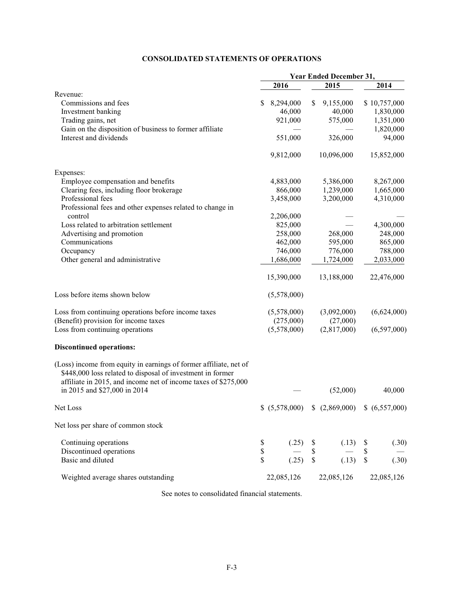# **CONSOLIDATED STATEMENTS OF OPERATIONS**

|                                                                                                                                                                                                   | <b>Year Ended December 31,</b> |                       |                                             |
|---------------------------------------------------------------------------------------------------------------------------------------------------------------------------------------------------|--------------------------------|-----------------------|---------------------------------------------|
|                                                                                                                                                                                                   | 2016                           | 2015                  | 2014                                        |
| Revenue:                                                                                                                                                                                          |                                |                       |                                             |
| Commissions and fees                                                                                                                                                                              | 8,294,000<br>\$                | 9,155,000<br>\$       | \$10,757,000                                |
| Investment banking                                                                                                                                                                                | 46,000                         | 40,000                | 1,830,000                                   |
| Trading gains, net                                                                                                                                                                                | 921,000                        | 575,000               | 1,351,000                                   |
| Gain on the disposition of business to former affiliate                                                                                                                                           |                                |                       | 1,820,000                                   |
| Interest and dividends                                                                                                                                                                            | 551,000                        | 326,000               | 94,000                                      |
|                                                                                                                                                                                                   | 9,812,000                      | 10,096,000            | 15,852,000                                  |
| Expenses:                                                                                                                                                                                         |                                |                       |                                             |
| Employee compensation and benefits                                                                                                                                                                | 4,883,000                      | 5,386,000             | 8,267,000                                   |
| Clearing fees, including floor brokerage                                                                                                                                                          | 866,000                        | 1,239,000             | 1,665,000                                   |
| Professional fees                                                                                                                                                                                 | 3,458,000                      | 3,200,000             | 4,310,000                                   |
| Professional fees and other expenses related to change in                                                                                                                                         |                                |                       |                                             |
| control                                                                                                                                                                                           | 2,206,000                      |                       |                                             |
| Loss related to arbitration settlement                                                                                                                                                            | 825,000                        |                       | 4,300,000                                   |
| Advertising and promotion                                                                                                                                                                         | 258,000                        | 268,000               | 248,000                                     |
| Communications                                                                                                                                                                                    | 462,000                        | 595,000               | 865,000                                     |
| Occupancy                                                                                                                                                                                         | 746,000                        | 776,000               | 788,000                                     |
| Other general and administrative                                                                                                                                                                  | 1,686,000                      | 1,724,000             | 2,033,000                                   |
|                                                                                                                                                                                                   | 15,390,000                     | 13,188,000            | 22,476,000                                  |
| Loss before items shown below                                                                                                                                                                     | (5,578,000)                    |                       |                                             |
| Loss from continuing operations before income taxes                                                                                                                                               | (5,578,000)                    | (3,092,000)           | (6,624,000)                                 |
| (Benefit) provision for income taxes                                                                                                                                                              | (275,000)                      | (27,000)              |                                             |
| Loss from continuing operations                                                                                                                                                                   | (5,578,000)                    | (2,817,000)           | (6,597,000)                                 |
| <b>Discontinued operations:</b>                                                                                                                                                                   |                                |                       |                                             |
| (Loss) income from equity in earnings of former affiliate, net of<br>\$448,000 loss related to disposal of investment in former<br>affiliate in 2015, and income net of income taxes of \$275,000 |                                |                       |                                             |
| in 2015 and \$27,000 in 2014                                                                                                                                                                      |                                | (52,000)              | 40,000                                      |
| Net Loss                                                                                                                                                                                          | \$ (5,578,000)                 | (2,869,000)<br>\$     | \$ (6,557,000)                              |
| Net loss per share of common stock                                                                                                                                                                |                                |                       |                                             |
| Continuing operations                                                                                                                                                                             | \$<br>(.25)                    | (.13)<br>\$           | (.30)<br>\$                                 |
| Discontinued operations                                                                                                                                                                           | \$                             | $\mathbb S$           | $\mathbb{S}% _{n}^{X\rightarrow\mathbb{R}}$ |
| Basic and diluted                                                                                                                                                                                 | \$<br>(.25)                    | $\mathbb{S}$<br>(.13) | \$<br>(.30)                                 |
| Weighted average shares outstanding                                                                                                                                                               | 22,085,126                     | 22,085,126            | 22,085,126                                  |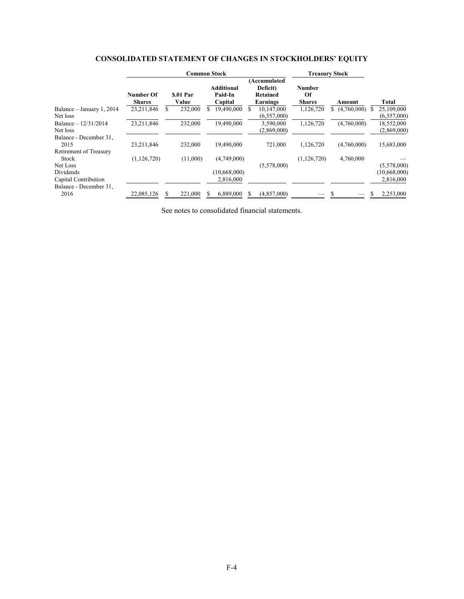|                           |                            |                           | <b>Common Stock</b>                     |                                                  |                                             | <b>Treasury Stock</b> |                 |
|---------------------------|----------------------------|---------------------------|-----------------------------------------|--------------------------------------------------|---------------------------------------------|-----------------------|-----------------|
|                           | Number Of<br><b>Shares</b> | <b>\$.01 Par</b><br>Value | <b>Additional</b><br>Paid-In<br>Capital | (Accumulated<br>Deficit)<br>Retained<br>Earnings | <b>Number</b><br><b>Of</b><br><b>Shares</b> | Amount                | Total           |
| Balance - January 1, 2014 | 23,211,846                 | 232,000                   | 19,490,000                              | 10,147,000<br>S                                  | 1,126,720                                   | (4,760,000)           | 25,109,000<br>S |
| Net loss                  |                            |                           |                                         | (6, 557, 000)                                    |                                             |                       | (6, 557, 000)   |
| Balance $-12/31/2014$     | 23,211,846                 | 232,000                   | 19,490,000                              | 3,590,000                                        | 1,126,720                                   | (4,760,000)           | 18,552,000      |
| Net loss                  |                            |                           |                                         | (2,869,000)                                      |                                             |                       | (2,869,000)     |
| Balance - December 31,    |                            |                           |                                         |                                                  |                                             |                       |                 |
| 2015                      | 23,211,846                 | 232,000                   | 19,490,000                              | 721,000                                          | 1,126,720                                   | (4,760,000)           | 15,683,000      |
| Retirement of Treasury    |                            |                           |                                         |                                                  |                                             |                       |                 |
| Stock                     | (1, 126, 720)              | (11,000)                  | (4,749,000)                             |                                                  | (1,126,720)                                 | 4,760,000             |                 |
| Net Loss                  |                            |                           |                                         | (5,578,000)                                      |                                             |                       | (5,578,000)     |
| Dividends                 |                            |                           | (10,668,000)                            |                                                  |                                             |                       | (10,668,000)    |
| Capital Contribution      |                            |                           | 2,816,000                               |                                                  |                                             |                       | 2,816,000       |
| Balance - December 31,    |                            |                           |                                         |                                                  |                                             |                       |                 |
| 2016                      | 22,085,126                 | 221,000                   | 6,889,000                               | (4,857,000)<br>S                                 |                                             |                       | 2,253,000       |

# **CONSOLIDATED STATEMENT OF CHANGES IN STOCKHOLDERS' EQUITY**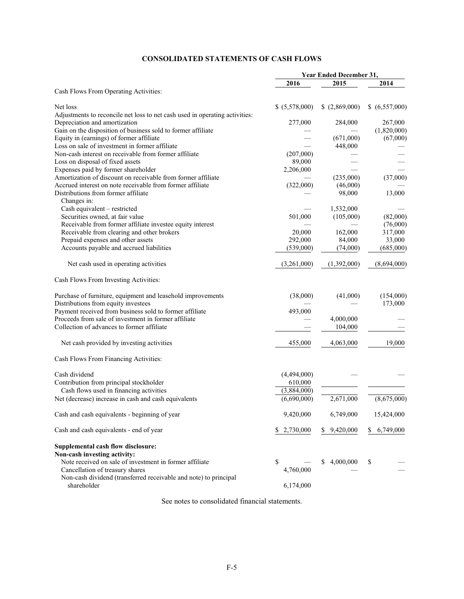# **CONSOLIDATED STATEMENTS OF CASH FLOWS**

|                                                                             | Year Ended December 31, |                 |                 |
|-----------------------------------------------------------------------------|-------------------------|-----------------|-----------------|
|                                                                             | 2016                    | 2015            | 2014            |
| Cash Flows From Operating Activities:                                       |                         |                 |                 |
| Net loss                                                                    | \$ (5,578,000)          | (2,869,000)     | \$ (6,557,000)  |
| Adjustments to reconcile net loss to net cash used in operating activities: |                         |                 |                 |
| Depreciation and amortization                                               | 277,000                 | 284,000         | 267,000         |
| Gain on the disposition of business sold to former affiliate                |                         |                 | (1,820,000)     |
| Equity in (earnings) of former affiliate                                    |                         | (671,000)       | (67,000)        |
| Loss on sale of investment in former affiliate                              |                         | 448,000         |                 |
| Non-cash interest on receivable from former affiliate                       | (207,000)               |                 |                 |
| Loss on disposal of fixed assets                                            | 89,000                  |                 |                 |
| Expenses paid by former shareholder                                         | 2,206,000               |                 |                 |
| Amortization of discount on receivable from former affiliate                |                         | (235,000)       | (37,000)        |
| Accrued interest on note receivable from former affiliate                   | (322,000)               | (46,000)        |                 |
| Distributions from former affiliate                                         |                         | 98,000          | 13,000          |
| Changes in:                                                                 |                         |                 |                 |
| Cash equivalent - restricted                                                |                         | 1,532,000       |                 |
| Securities owned, at fair value                                             | 501,000                 | (105,000)       | (82,000)        |
| Receivable from former affiliate investee equity interest                   |                         |                 | (76,000)        |
| Receivable from clearing and other brokers                                  | 20,000                  | 162,000         | 317,000         |
| Prepaid expenses and other assets                                           | 292,000                 | 84,000          | 33,000          |
| Accounts payable and accrued liabilities                                    | (539,000)               | (74,000)        | (685,000)       |
|                                                                             |                         |                 |                 |
| Net cash used in operating activities                                       | (3,261,000)             | (1,392,000)     | (8,694,000)     |
| Cash Flows From Investing Activities:                                       |                         |                 |                 |
| Purchase of furniture, equipment and leasehold improvements                 | (38,000)                | (41,000)        | (154,000)       |
| Distributions from equity investees                                         |                         |                 | 173,000         |
| Payment received from business sold to former affiliate                     | 493,000                 |                 |                 |
| Proceeds from sale of investment in former affiliate                        |                         | 4,000,000       |                 |
| Collection of advances to former affiliate                                  |                         | 104,000         |                 |
| Net cash provided by investing activities                                   | 455,000                 | 4,063,000       | 19,000          |
|                                                                             |                         |                 |                 |
| Cash Flows From Financing Activities:                                       |                         |                 |                 |
| Cash dividend                                                               | (4,494,000)             |                 |                 |
| Contribution from principal stockholder                                     | 610,000                 |                 |                 |
| Cash flows used in financing activities                                     | (3,884,000)             |                 |                 |
| Net (decrease) increase in cash and cash equivalents                        | (6,690,000)             | 2,671,000       | (8,675,000)     |
|                                                                             |                         |                 |                 |
| Cash and cash equivalents - beginning of year                               | 9,420,000               | 6,749,000       | 15,424,000      |
| Cash and cash equivalents - end of year                                     | \$2,730,000             | 9,420,000       | 6,749,000<br>\$ |
| Supplemental cash flow disclosure:                                          |                         |                 |                 |
| Non-cash investing activity:                                                |                         |                 |                 |
| Note received on sale of investment in former affiliate                     | \$                      | 4,000,000<br>S. | \$              |
| Cancellation of treasury shares                                             | 4,760,000               |                 |                 |
| Non-cash dividend (transferred receivable and note) to principal            |                         |                 |                 |
| shareholder                                                                 | 6,174,000               |                 |                 |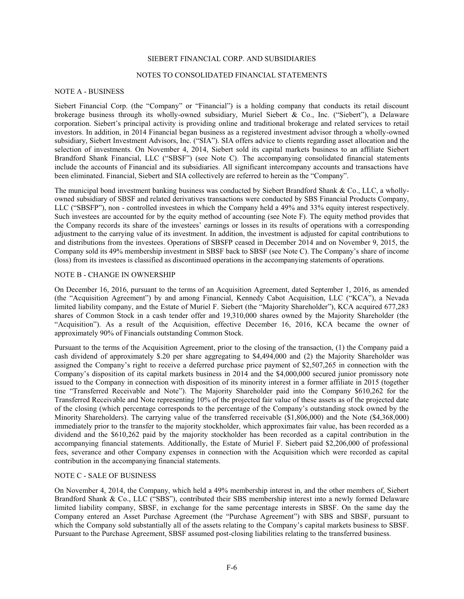## SIEBERT FINANCIAL CORP. AND SUBSIDIARIES

#### NOTES TO CONSOLIDATED FINANCIAL STATEMENTS

#### NOTE A - BUSINESS

Siebert Financial Corp. (the "Company" or "Financial") is a holding company that conducts its retail discount brokerage business through its wholly-owned subsidiary, Muriel Siebert & Co., Inc. ("Siebert"), a Delaware corporation. Siebert's principal activity is providing online and traditional brokerage and related services to retail investors. In addition, in 2014 Financial began business as a registered investment advisor through a wholly-owned subsidiary, Siebert Investment Advisors, Inc. ("SIA"). SIA offers advice to clients regarding asset allocation and the selection of investments. On November 4, 2014, Siebert sold its capital markets business to an affiliate Siebert Brandford Shank Financial, LLC ("SBSF") (see Note C). The accompanying consolidated financial statements include the accounts of Financial and its subsidiaries. All significant intercompany accounts and transactions have been eliminated. Financial, Siebert and SIA collectively are referred to herein as the "Company".

The municipal bond investment banking business was conducted by Siebert Brandford Shank & Co., LLC, a whollyowned subsidiary of SBSF and related derivatives transactions were conducted by SBS Financial Products Company, LLC ("SBSFP"), non - controlled investees in which the Company held a 49% and 33% equity interest respectively. Such investees are accounted for by the equity method of accounting (see Note F). The equity method provides that the Company records its share of the investees' earnings or losses in its results of operations with a corresponding adjustment to the carrying value of its investment. In addition, the investment is adjusted for capital contributions to and distributions from the investees. Operations of SBSFP ceased in December 2014 and on November 9, 2015, the Company sold its 49% membership investment in SBSF back to SBSF (see Note C). The Company's share of income (loss) from its investees is classified as discontinued operations in the accompanying statements of operations.

#### NOTE B - CHANGE IN OWNERSHIP

On December 16, 2016, pursuant to the terms of an Acquisition Agreement, dated September 1, 2016, as amended (the "Acquisition Agreement") by and among Financial, Kennedy Cabot Acquisition, LLC ("KCA"), a Nevada limited liability company, and the Estate of Muriel F. Siebert (the "Majority Shareholder"), KCA acquired 677,283 shares of Common Stock in a cash tender offer and 19,310,000 shares owned by the Majority Shareholder (the "Acquisition"). As a result of the Acquisition, effective December 16, 2016, KCA became the owner of approximately 90% of Financials outstanding Common Stock.

Pursuant to the terms of the Acquisition Agreement, prior to the closing of the transaction, (1) the Company paid a cash dividend of approximately \$.20 per share aggregating to \$4,494,000 and (2) the Majority Shareholder was assigned the Company's right to receive a deferred purchase price payment of \$2,507,265 in connection with the Company's disposition of its capital markets business in 2014 and the \$4,000,000 secured junior promissory note issued to the Company in connection with disposition of its minority interest in a former affiliate in 2015 (together tine "Transferred Receivable and Note"). The Majority Shareholder paid into the Company \$610,262 for the Transferred Receivable and Note representing 10% of the projected fair value of these assets as of the projected date of the closing (which percentage corresponds to the percentage of the Company's outstanding stock owned by the Minority Shareholders). The carrying value of the transferred receivable (\$1,806,000) and the Note (\$4,368,000) immediately prior to the transfer to the majority stockholder, which approximates fair value, has been recorded as a dividend and the \$610,262 paid by the majority stockholder has been recorded as a capital contribution in the accompanying financial statements. Additionally, the Estate of Muriel F. Siebert paid \$2,206,000 of professional fees, severance and other Company expenses in connection with the Acquisition which were recorded as capital contribution in the accompanying financial statements.

#### NOTE C - SALE OF BUSINESS

On November 4, 2014, the Company, which held a 49% membership interest in, and the other members of, Siebert Brandford Shank & Co., LLC ("SBS"), contributed their SBS membership interest into a newly formed Delaware limited liability company, SBSF, in exchange for the same percentage interests in SBSF. On the same day the Company entered an Asset Purchase Agreement (the "Purchase Agreement") with SBS and SBSF, pursuant to which the Company sold substantially all of the assets relating to the Company's capital markets business to SBSF. Pursuant to the Purchase Agreement, SBSF assumed post-closing liabilities relating to the transferred business.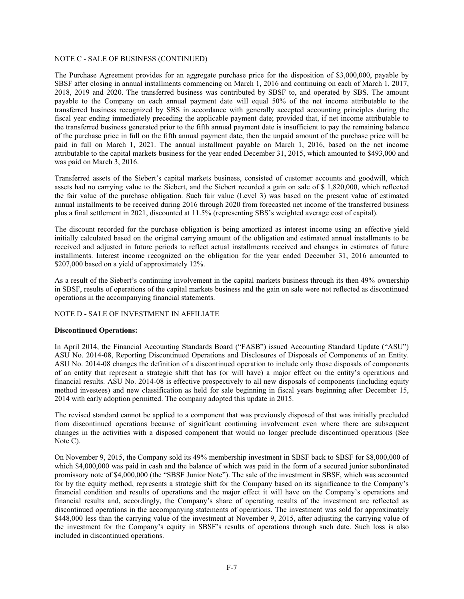#### NOTE C - SALE OF BUSINESS (CONTINUED)

The Purchase Agreement provides for an aggregate purchase price for the disposition of \$3,000,000, payable by SBSF after closing in annual installments commencing on March 1, 2016 and continuing on each of March 1, 2017, 2018, 2019 and 2020. The transferred business was contributed by SBSF to, and operated by SBS. The amount payable to the Company on each annual payment date will equal 50% of the net income attributable to the transferred business recognized by SBS in accordance with generally accepted accounting principles during the fiscal year ending immediately preceding the applicable payment date; provided that, if net income attributable to the transferred business generated prior to the fifth annual payment date is insufficient to pay the remaining balance of the purchase price in full on the fifth annual payment date, then the unpaid amount of the purchase price will be paid in full on March 1, 2021. The annual installment payable on March 1, 2016, based on the net income attributable to the capital markets business for the year ended December 31, 2015, which amounted to \$493,000 and was paid on March 3, 2016.

Transferred assets of the Siebert's capital markets business, consisted of customer accounts and goodwill, which assets had no carrying value to the Siebert, and the Siebert recorded a gain on sale of \$ 1,820,000, which reflected the fair value of the purchase obligation. Such fair value (Level 3) was based on the present value of estimated annual installments to be received during 2016 through 2020 from forecasted net income of the transferred business plus a final settlement in 2021, discounted at 11.5% (representing SBS's weighted average cost of capital).

The discount recorded for the purchase obligation is being amortized as interest income using an effective yield initially calculated based on the original carrying amount of the obligation and estimated annual installments to be received and adjusted in future periods to reflect actual installments received and changes in estimates of future installments. Interest income recognized on the obligation for the year ended December 31, 2016 amounted to \$207,000 based on a yield of approximately 12%.

As a result of the Siebert's continuing involvement in the capital markets business through its then 49% ownership in SBSF, results of operations of the capital markets business and the gain on sale were not reflected as discontinued operations in the accompanying financial statements.

#### NOTE D - SALE OF INVESTMENT IN AFFILIATE

#### **Discontinued Operations:**

In April 2014, the Financial Accounting Standards Board ("FASB") issued Accounting Standard Update ("ASU") ASU No. 2014-08, Reporting Discontinued Operations and Disclosures of Disposals of Components of an Entity. ASU No. 2014-08 changes the definition of a discontinued operation to include only those disposals of components of an entity that represent a strategic shift that has (or will have) a major effect on the entity's operations and financial results. ASU No. 2014-08 is effective prospectively to all new disposals of components (including equity method investees) and new classification as held for sale beginning in fiscal years beginning after December 15, 2014 with early adoption permitted. The company adopted this update in 2015.

The revised standard cannot be applied to a component that was previously disposed of that was initially precluded from discontinued operations because of significant continuing involvement even where there are subsequent changes in the activities with a disposed component that would no longer preclude discontinued operations (See Note C).

On November 9, 2015, the Company sold its 49% membership investment in SBSF back to SBSF for \$8,000,000 of which \$4,000,000 was paid in cash and the balance of which was paid in the form of a secured junior subordinated promissory note of \$4,000,000 (the "SBSF Junior Note"). The sale of the investment in SBSF, which was accounted for by the equity method, represents a strategic shift for the Company based on its significance to the Company's financial condition and results of operations and the major effect it will have on the Company's operations and financial results and, accordingly, the Company's share of operating results of the investment are reflected as discontinued operations in the accompanying statements of operations. The investment was sold for approximately \$448,000 less than the carrying value of the investment at November 9, 2015, after adjusting the carrying value of the investment for the Company's equity in SBSF's results of operations through such date. Such loss is also included in discontinued operations.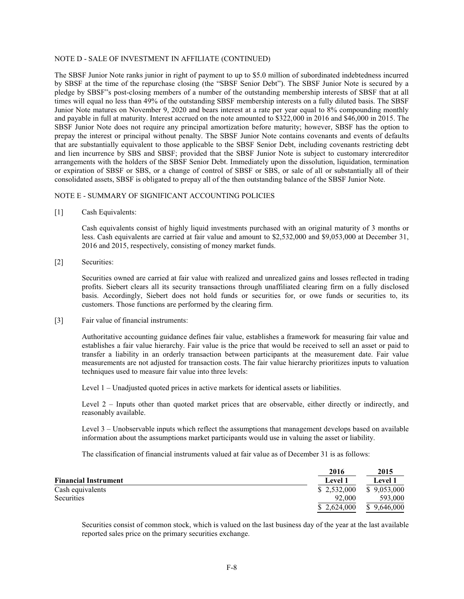## NOTE D - SALE OF INVESTMENT IN AFFILIATE (CONTINUED)

The SBSF Junior Note ranks junior in right of payment to up to \$5.0 million of subordinated indebtedness incurred by SBSF at the time of the repurchase closing (the "SBSF Senior Debt"). The SBSF Junior Note is secured by a pledge by SBSF"s post-closing members of a number of the outstanding membership interests of SBSF that at all times will equal no less than 49% of the outstanding SBSF membership interests on a fully diluted basis. The SBSF Junior Note matures on November 9, 2020 and bears interest at a rate per year equal to 8% compounding monthly and payable in full at maturity. Interest accrued on the note amounted to \$322,000 in 2016 and \$46,000 in 2015. The SBSF Junior Note does not require any principal amortization before maturity; however, SBSF has the option to prepay the interest or principal without penalty. The SBSF Junior Note contains covenants and events of defaults that are substantially equivalent to those applicable to the SBSF Senior Debt, including covenants restricting debt and lien incurrence by SBS and SBSF; provided that the SBSF Junior Note is subject to customary intercreditor arrangements with the holders of the SBSF Senior Debt. Immediately upon the dissolution, liquidation, termination or expiration of SBSF or SBS, or a change of control of SBSF or SBS, or sale of all or substantially all of their consolidated assets, SBSF is obligated to prepay all of the then outstanding balance of the SBSF Junior Note.

#### NOTE E - SUMMARY OF SIGNIFICANT ACCOUNTING POLICIES

[1] Cash Equivalents:

Cash equivalents consist of highly liquid investments purchased with an original maturity of 3 months or less. Cash equivalents are carried at fair value and amount to \$2,532,000 and \$9,053,000 at December 31, 2016 and 2015, respectively, consisting of money market funds.

[2] Securities:

Securities owned are carried at fair value with realized and unrealized gains and losses reflected in trading profits. Siebert clears all its security transactions through unaffiliated clearing firm on a fully disclosed basis. Accordingly, Siebert does not hold funds or securities for, or owe funds or securities to, its customers. Those functions are performed by the clearing firm.

[3] Fair value of financial instruments:

Authoritative accounting guidance defines fair value, establishes a framework for measuring fair value and establishes a fair value hierarchy. Fair value is the price that would be received to sell an asset or paid to transfer a liability in an orderly transaction between participants at the measurement date. Fair value measurements are not adjusted for transaction costs. The fair value hierarchy prioritizes inputs to valuation techniques used to measure fair value into three levels:

Level 1 – Unadjusted quoted prices in active markets for identical assets or liabilities.

Level 2 – Inputs other than quoted market prices that are observable, either directly or indirectly, and reasonably available.

Level 3 – Unobservable inputs which reflect the assumptions that management develops based on available information about the assumptions market participants would use in valuing the asset or liability.

The classification of financial instruments valued at fair value as of December 31 is as follows:

|                             | 2016           | 2015           |
|-----------------------------|----------------|----------------|
| <b>Financial Instrument</b> | <b>Level 1</b> | <b>Level 1</b> |
| Cash equivalents            | \$2,532,000    | \$9,053,000    |
| Securities                  | 92,000         | 593,000        |
|                             | \$ 2,624,000   | \$9,646,000    |

Securities consist of common stock, which is valued on the last business day of the year at the last available reported sales price on the primary securities exchange.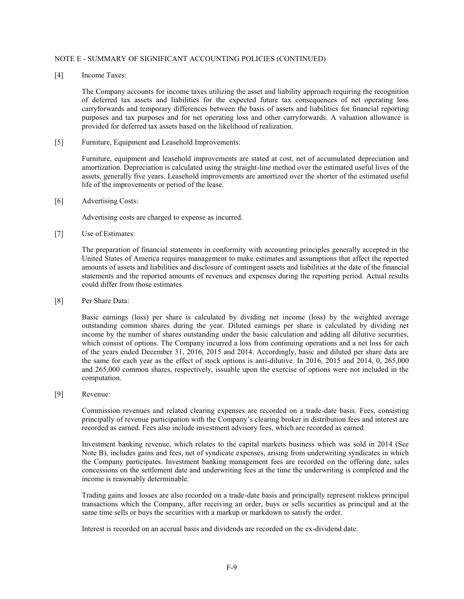#### NOTE E - SUMMARY OF SIGNIFICANT ACCOUNTING POLICIES (CONTINUED)

[4] Income Taxes:

The Company accounts for income taxes utilizing the asset and liability approach requiring the recognition of deferred tax assets and liabilities for the expected future tax consequences of net operating loss carryforwards and temporary differences between the basis of assets and liabilities for financial reporting purposes and tax purposes and for net operating loss and other carryforwards. A valuation allowance is provided for deferred tax assets based on the likelihood of realization.

[5] Furniture, Equipment and Leasehold Improvements:

Furniture, equipment and leasehold improvements are stated at cost, net of accumulated depreciation and amortization. Depreciation is calculated using the straight-line method over the estimated useful lives of the assets, generally five years. Leasehold improvements are amortized over the shorter of the estimated useful life of the improvements or period of the lease.

[6] Advertising Costs:

Advertising costs are charged to expense as incurred.

[7] Use of Estimates:

The preparation of financial statements in conformity with accounting principles generally accepted in the United States of America requires management to make estimates and assumptions that affect the reported amounts of assets and liabilities and disclosure of contingent assets and liabilities at the date of the financial statements and the reported amounts of revenues and expenses during the reporting period. Actual results could differ from those estimates.

[8] Per Share Data:

Basic earnings (loss) per share is calculated by dividing net income (loss) by the weighted average outstanding common shares during the year. Diluted earnings per share is calculated by dividing net income by the number of shares outstanding under the basic calculation and adding all dilutive securities, which consist of options. The Company incurred a loss from continuing operations and a net loss for each of the years ended December 31, 2016, 2015 and 2014. Accordingly, basic and diluted per share data are the same for each year as the effect of stock options is anti-dilutive. In 2016, 2015 and 2014, 0, 265,000 and 265,000 common shares, respectively, issuable upon the exercise of options were not included in the computation.

[9] Revenue:

Commission revenues and related clearing expenses are recorded on a trade-date basis. Fees, consisting principally of revenue participation with the Company's clearing broker in distribution fees and interest are recorded as earned. Fees also include investment advisory fees, which are recorded as earned.

Investment banking revenue, which relates to the capital markets business which was sold in 2014 (See Note B), includes gains and fees, net of syndicate expenses, arising from underwriting syndicates in which the Company participates. Investment banking management fees are recorded on the offering date, sales concessions on the settlement date and underwriting fees at the time the underwriting is completed and the income is reasonably determinable.

Trading gains and losses are also recorded on a trade-date basis and principally represent riskless principal transactions which the Company, after receiving an order, buys or sells securities as principal and at the same time sells or buys the securities with a markup or markdown to satisfy the order.

Interest is recorded on an accrual basis and dividends are recorded on the ex-dividend date.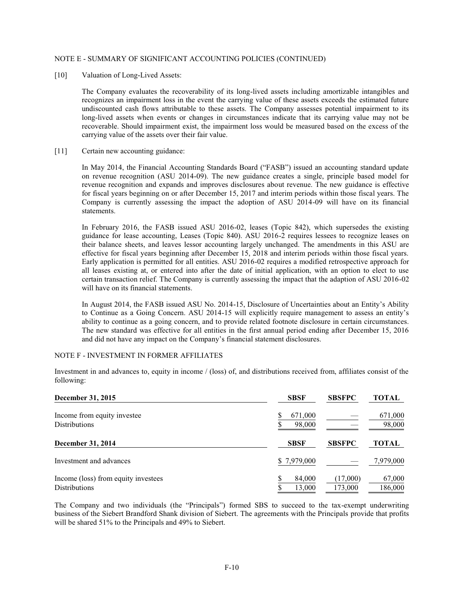#### NOTE E - SUMMARY OF SIGNIFICANT ACCOUNTING POLICIES (CONTINUED)

[10] Valuation of Long-Lived Assets:

The Company evaluates the recoverability of its long-lived assets including amortizable intangibles and recognizes an impairment loss in the event the carrying value of these assets exceeds the estimated future undiscounted cash flows attributable to these assets. The Company assesses potential impairment to its long-lived assets when events or changes in circumstances indicate that its carrying value may not be recoverable. Should impairment exist, the impairment loss would be measured based on the excess of the carrying value of the assets over their fair value.

[11] Certain new accounting guidance:

In May 2014, the Financial Accounting Standards Board ("FASB") issued an accounting standard update on revenue recognition (ASU 2014-09). The new guidance creates a single, principle based model for revenue recognition and expands and improves disclosures about revenue. The new guidance is effective for fiscal years beginning on or after December 15, 2017 and interim periods within those fiscal years. The Company is currently assessing the impact the adoption of ASU 2014-09 will have on its financial statements.

In February 2016, the FASB issued ASU 2016-02, leases (Topic 842), which supersedes the existing guidance for lease accounting, Leases (Topic 840). ASU 2016-2 requires lessees to recognize leases on their balance sheets, and leaves lessor accounting largely unchanged. The amendments in this ASU are effective for fiscal years beginning after December 15, 2018 and interim periods within those fiscal years. Early application is permitted for all entities. ASU 2016-02 requires a modified retrospective approach for all leases existing at, or entered into after the date of initial application, with an option to elect to use certain transaction relief. The Company is currently assessing the impact that the adaption of ASU 2016-02 will have on its financial statements.

In August 2014, the FASB issued ASU No. 2014-15, Disclosure of Uncertainties about an Entity's Ability to Continue as a Going Concern. ASU 2014-15 will explicitly require management to assess an entity's ability to continue as a going concern, and to provide related footnote disclosure in certain circumstances. The new standard was effective for all entities in the first annual period ending after December 15, 2016 and did not have any impact on the Company's financial statement disclosures.

#### NOTE F - INVESTMENT IN FORMER AFFILIATES

Investment in and advances to, equity in income / (loss) of, and distributions received from, affiliates consist of the following:

| December 31, 2015                                           | <b>SBSF</b>       | <b>SBSFPC</b>       | TOTAL             |
|-------------------------------------------------------------|-------------------|---------------------|-------------------|
| Income from equity investee<br><b>Distributions</b>         | 671,000<br>98,000 |                     | 671,000<br>98,000 |
| December 31, 2014                                           | <b>SBSF</b>       | <b>SBSFPC</b>       | TOTAL             |
| Investment and advances                                     | \$7,979,000       |                     | 7,979,000         |
| Income (loss) from equity investees<br><b>Distributions</b> | 84,000<br>13,000  | (17,000)<br>173,000 | 67,000<br>186,000 |

The Company and two individuals (the "Principals") formed SBS to succeed to the tax-exempt underwriting business of the Siebert Brandford Shank division of Siebert. The agreements with the Principals provide that profits will be shared 51% to the Principals and 49% to Siebert.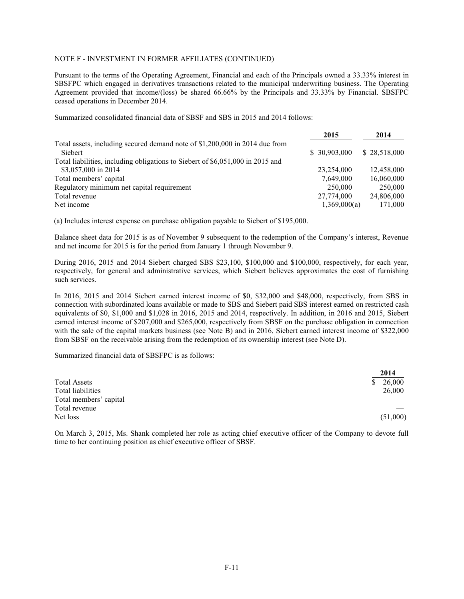#### NOTE F - INVESTMENT IN FORMER AFFILIATES (CONTINUED)

Pursuant to the terms of the Operating Agreement, Financial and each of the Principals owned a 33.33% interest in SBSFPC which engaged in derivatives transactions related to the municipal underwriting business. The Operating Agreement provided that income/(loss) be shared 66.66% by the Principals and 33.33% by Financial. SBSFPC ceased operations in December 2014.

Summarized consolidated financial data of SBSF and SBS in 2015 and 2014 follows:

|                                                                                        | 2015         | 2014         |
|----------------------------------------------------------------------------------------|--------------|--------------|
| Total assets, including secured demand note of \$1,200,000 in 2014 due from<br>Siebert | \$30,903,000 | \$28,518,000 |
| Total liabilities, including obligations to Siebert of \$6,051,000 in 2015 and         |              |              |
| \$3,057,000 in 2014                                                                    | 23,254,000   | 12,458,000   |
| Total members' capital                                                                 | 7,649,000    | 16,060,000   |
| Regulatory minimum net capital requirement                                             | 250,000      | 250,000      |
| Total revenue                                                                          | 27,774,000   | 24,806,000   |
| Net income                                                                             | 1,369,000(a) | 171,000      |

(a) Includes interest expense on purchase obligation payable to Siebert of \$195,000.

Balance sheet data for 2015 is as of November 9 subsequent to the redemption of the Company's interest, Revenue and net income for 2015 is for the period from January 1 through November 9.

During 2016, 2015 and 2014 Siebert charged SBS \$23,100, \$100,000 and \$100,000, respectively, for each year, respectively, for general and administrative services, which Siebert believes approximates the cost of furnishing such services.

In 2016, 2015 and 2014 Siebert earned interest income of \$0, \$32,000 and \$48,000, respectively, from SBS in connection with subordinated loans available or made to SBS and Siebert paid SBS interest earned on restricted cash equivalents of \$0, \$1,000 and \$1,028 in 2016, 2015 and 2014, respectively. In addition, in 2016 and 2015, Siebert earned interest income of \$207,000 and \$265,000, respectively from SBSF on the purchase obligation in connection with the sale of the capital markets business (see Note B) and in 2016, Siebert earned interest income of \$322,000 from SBSF on the receivable arising from the redemption of its ownership interest (see Note D).

Summarized financial data of SBSFPC is as follows:

|                        | 2014     |
|------------------------|----------|
| <b>Total Assets</b>    | \$26,000 |
| Total liabilities      | 26,000   |
| Total members' capital |          |
| Total revenue          |          |
| Net loss               | (51,000) |

On March 3, 2015, Ms. Shank completed her role as acting chief executive officer of the Company to devote full time to her continuing position as chief executive officer of SBSF.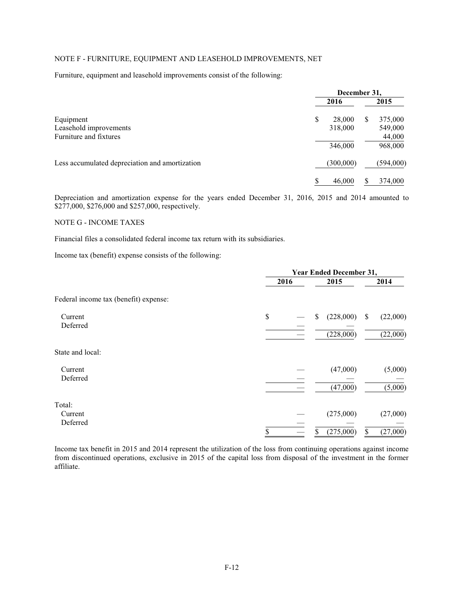## NOTE F - FURNITURE, EQUIPMENT AND LEASEHOLD IMPROVEMENTS, NET

Furniture, equipment and leasehold improvements consist of the following:

|                                                | December 31, |           |   |           |
|------------------------------------------------|--------------|-----------|---|-----------|
|                                                |              | 2016      |   | 2015      |
| Equipment                                      | \$           | 28,000    | S | 375,000   |
| Leasehold improvements                         |              | 318,000   |   | 549,000   |
| Furniture and fixtures                         |              |           |   | 44,000    |
|                                                |              | 346,000   |   | 968,000   |
| Less accumulated depreciation and amortization |              | (300,000) |   | (594,000) |
|                                                | S            | 46,000    | S | 374,000   |

Depreciation and amortization expense for the years ended December 31, 2016, 2015 and 2014 amounted to \$277,000, \$276,000 and \$257,000, respectively.

## NOTE G - INCOME TAXES

Financial files a consolidated federal income tax return with its subsidiaries.

Income tax (benefit) expense consists of the following:

|                                       | <b>Year Ended December 31,</b> |                              |                            |
|---------------------------------------|--------------------------------|------------------------------|----------------------------|
|                                       | 2016                           | 2015                         | 2014                       |
| Federal income tax (benefit) expense: |                                |                              |                            |
| Current<br>Deferred                   | \$                             | \$<br>(228,000)<br>(228,000) | (22,000)<br>\$<br>(22,000) |
| State and local:                      |                                |                              |                            |
| Current<br>Deferred                   |                                | (47,000)<br>(47,000)         | (5,000)<br>(5,000)         |
| Total:<br>Current<br>Deferred         | \$                             | (275,000)<br>(275,000)<br>\$ | (27,000)<br>(27,000)<br>\$ |

Income tax benefit in 2015 and 2014 represent the utilization of the loss from continuing operations against income from discontinued operations, exclusive in 2015 of the capital loss from disposal of the investment in the former affiliate.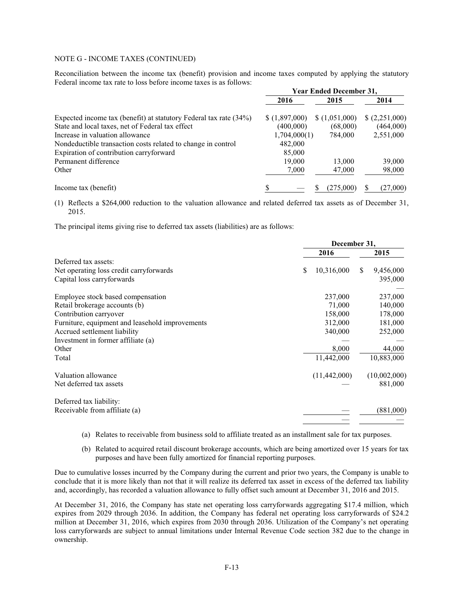## NOTE G - INCOME TAXES (CONTINUED)

Reconciliation between the income tax (benefit) provision and income taxes computed by applying the statutory Federal income tax rate to loss before income taxes is as follows:

|                                                                   | <b>Year Ended December 31,</b> |               |             |  |
|-------------------------------------------------------------------|--------------------------------|---------------|-------------|--|
|                                                                   | 2016                           | 2015          | 2014        |  |
| Expected income tax (benefit) at statutory Federal tax rate (34%) | \$(1,897,000)                  | \$(1,051,000) | (2,251,000) |  |
| State and local taxes, net of Federal tax effect                  | (400,000)                      | (68,000)      | (464,000)   |  |
| Increase in valuation allowance                                   | 1,704,000(1)                   | 784,000       | 2,551,000   |  |
| Nondeductible transaction costs related to change in control      | 482,000                        |               |             |  |
| Expiration of contribution carryforward                           | 85,000                         |               |             |  |
| Permanent difference                                              | 19,000                         | 13,000        | 39,000      |  |
| Other                                                             | 7,000                          | 47,000        | 98,000      |  |
| Income tax (benefit)                                              |                                | (275,000)     | (27,000)    |  |

(1) Reflects a \$264,000 reduction to the valuation allowance and related deferred tax assets as of December 31, 2015.

The principal items giving rise to deferred tax assets (liabilities) are as follows:

|                                                 | December 31,    |                 |  |
|-------------------------------------------------|-----------------|-----------------|--|
|                                                 | 2016            | 2015            |  |
| Deferred tax assets:                            |                 |                 |  |
| Net operating loss credit carryforwards         | 10,316,000<br>S | 9,456,000<br>S. |  |
| Capital loss carryforwards                      |                 | 395,000         |  |
| Employee stock based compensation               | 237,000         | 237,000         |  |
| Retail brokerage accounts (b)                   | 71,000          | 140,000         |  |
| Contribution carryover                          | 158,000         | 178,000         |  |
| Furniture, equipment and leasehold improvements | 312,000         | 181,000         |  |
| Accrued settlement liability                    | 340,000         | 252,000         |  |
| Investment in former affiliate (a)              |                 |                 |  |
| Other                                           | 8,000           | 44,000          |  |
| Total                                           | 11,442,000      | 10,883,000      |  |
| Valuation allowance                             | (11,442,000)    | (10,002,000)    |  |
| Net deferred tax assets                         |                 | 881,000         |  |
| Deferred tax liability:                         |                 |                 |  |
| Receivable from affiliate (a)                   |                 | (881,000)       |  |
|                                                 |                 |                 |  |
|                                                 |                 |                 |  |

(a) Relates to receivable from business sold to affiliate treated as an installment sale for tax purposes.

(b) Related to acquired retail discount brokerage accounts, which are being amortized over 15 years for tax purposes and have been fully amortized for financial reporting purposes.

Due to cumulative losses incurred by the Company during the current and prior two years, the Company is unable to conclude that it is more likely than not that it will realize its deferred tax asset in excess of the deferred tax liability and, accordingly, has recorded a valuation allowance to fully offset such amount at December 31, 2016 and 2015.

At December 31, 2016, the Company has state net operating loss carryforwards aggregating \$17.4 million, which expires from 2029 through 2036. In addition, the Company has federal net operating loss carryforwards of \$24.2 million at December 31, 2016, which expires from 2030 through 2036. Utilization of the Company's net operating loss carryforwards are subject to annual limitations under Internal Revenue Code section 382 due to the change in ownership.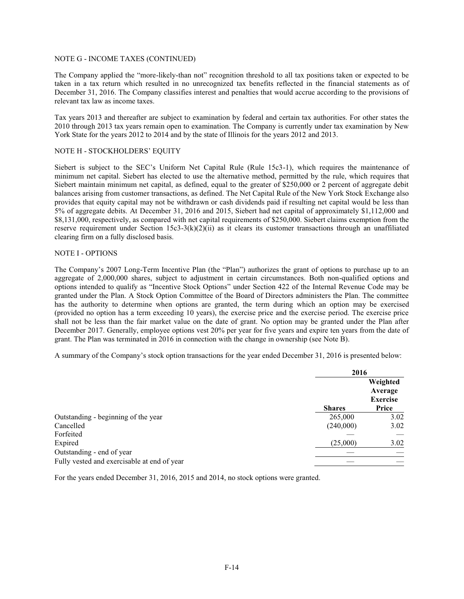#### NOTE G - INCOME TAXES (CONTINUED)

The Company applied the "more-likely-than not" recognition threshold to all tax positions taken or expected to be taken in a tax return which resulted in no unrecognized tax benefits reflected in the financial statements as of December 31, 2016. The Company classifies interest and penalties that would accrue according to the provisions of relevant tax law as income taxes.

Tax years 2013 and thereafter are subject to examination by federal and certain tax authorities. For other states the 2010 through 2013 tax years remain open to examination. The Company is currently under tax examination by New York State for the years 2012 to 2014 and by the state of Illinois for the years 2012 and 2013.

## NOTE H - STOCKHOLDERS' EQUITY

Siebert is subject to the SEC's Uniform Net Capital Rule (Rule 15c3-1), which requires the maintenance of minimum net capital. Siebert has elected to use the alternative method, permitted by the rule, which requires that Siebert maintain minimum net capital, as defined, equal to the greater of \$250,000 or 2 percent of aggregate debit balances arising from customer transactions, as defined. The Net Capital Rule of the New York Stock Exchange also provides that equity capital may not be withdrawn or cash dividends paid if resulting net capital would be less than 5% of aggregate debits. At December 31, 2016 and 2015, Siebert had net capital of approximately \$1,112,000 and \$8,131,000, respectively, as compared with net capital requirements of \$250,000. Siebert claims exemption from the reserve requirement under Section  $15c3-3(k)(2)(ii)$  as it clears its customer transactions through an unaffiliated clearing firm on a fully disclosed basis.

#### NOTE I - OPTIONS

The Company's 2007 Long-Term Incentive Plan (the "Plan") authorizes the grant of options to purchase up to an aggregate of 2,000,000 shares, subject to adjustment in certain circumstances. Both non-qualified options and options intended to qualify as "Incentive Stock Options" under Section 422 of the Internal Revenue Code may be granted under the Plan. A Stock Option Committee of the Board of Directors administers the Plan. The committee has the authority to determine when options are granted, the term during which an option may be exercised (provided no option has a term exceeding 10 years), the exercise price and the exercise period. The exercise price shall not be less than the fair market value on the date of grant. No option may be granted under the Plan after December 2017. Generally, employee options vest 20% per year for five years and expire ten years from the date of grant. The Plan was terminated in 2016 in connection with the change in ownership (see Note B).

A summary of the Company's stock option transactions for the year ended December 31, 2016 is presented below:

|                                             |               | 2016                                   |  |
|---------------------------------------------|---------------|----------------------------------------|--|
|                                             |               | Weighted<br>Average<br><b>Exercise</b> |  |
|                                             | <b>Shares</b> | Price                                  |  |
| Outstanding - beginning of the year         | 265,000       | 3.02                                   |  |
| Cancelled                                   | (240,000)     | 3.02                                   |  |
| Forfeited                                   |               |                                        |  |
| Expired                                     | (25,000)      | 3.02                                   |  |
| Outstanding - end of year                   |               |                                        |  |
| Fully vested and exercisable at end of year |               |                                        |  |
|                                             |               |                                        |  |

For the years ended December 31, 2016, 2015 and 2014, no stock options were granted.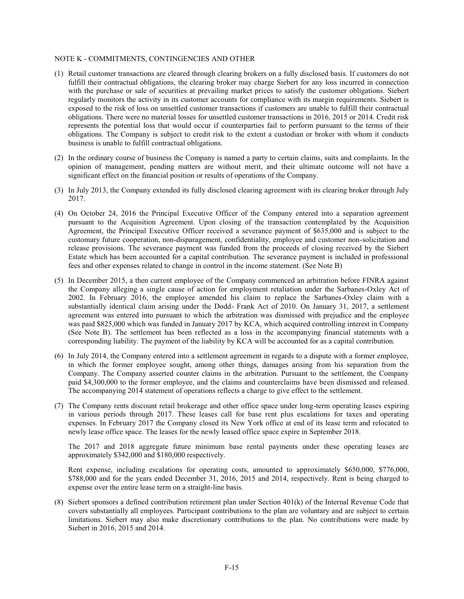#### NOTE K - COMMITMENTS, CONTINGENCIES AND OTHER

- (1) Retail customer transactions are cleared through clearing brokers on a fully disclosed basis. If customers do not fulfill their contractual obligations, the clearing broker may charge Siebert for any loss incurred in connection with the purchase or sale of securities at prevailing market prices to satisfy the customer obligations. Siebert regularly monitors the activity in its customer accounts for compliance with its margin requirements. Siebert is exposed to the risk of loss on unsettled customer transactions if customers are unable to fulfill their contractual obligations. There were no material losses for unsettled customer transactions in 2016, 2015 or 2014. Credit risk represents the potential loss that would occur if counterparties fail to perform pursuant to the terms of their obligations. The Company is subject to credit risk to the extent a custodian or broker with whom it conducts business is unable to fulfill contractual obligations.
- (2) In the ordinary course of business the Company is named a party to certain claims, suits and complaints. In the opinion of management, pending matters are without merit, and their ultimate outcome will not have a significant effect on the financial position or results of operations of the Company.
- (3) In July 2013, the Company extended its fully disclosed clearing agreement with its clearing broker through July 2017.
- (4) On October 24, 2016 the Principal Executive Officer of the Company entered into a separation agreement pursuant to the Acquisition Agreement. Upon closing of the transaction contemplated by the Acquisition Agreement, the Principal Executive Officer received a severance payment of \$635,000 and is subject to the customary future cooperation, non-disparagement, confidentiality, employee and customer non-solicitation and release provisions. The severance payment was funded from the proceeds of closing received by the Siebert Estate which has been accounted for a capital contribution. The severance payment is included in professional fees and other expenses related to change in control in the income statement. (See Note B)
- (5) In December 2015, a then current employee of the Company commenced an arbitration before FINRA against the Company alleging a single cause of action for employment retaliation under the Sarbanes-Oxley Act of 2002. In February 2016, the employee amended his claim to replace the Sarbanes-Oxley claim with a substantially identical claim arising under the Dodd- Frank Act of 2010. On January 31, 2017, a settlement agreement was entered into pursuant to which the arbitration was dismissed with prejudice and the employee was paid \$825,000 which was funded in January 2017 by KCA, which acquired controlling interest in Company (See Note B). The settlement has been reflected as a loss in the accompanying financial statements with a corresponding liability. The payment of the liability by KCA will be accounted for as a capital contribution.
- (6) In July 2014, the Company entered into a settlement agreement in regards to a dispute with a former employee, in which the former employee sought, among other things, damages arising from his separation from the Company. The Company asserted counter claims in the arbitration. Pursuant to the settlement, the Company paid \$4,300,000 to the former employee, and the claims and counterclaims have been dismissed and released. The accompanying 2014 statement of operations reflects a charge to give effect to the settlement.
- (7) The Company rents discount retail brokerage and other office space under long-term operating leases expiring in various periods through 2017. These leases call for base rent plus escalations for taxes and operating expenses. In February 2017 the Company closed its New York office at end of its lease term and relocated to newly lease office space. The leases for the newly leased office space expire in September 2018.

The 2017 and 2018 aggregate future minimum base rental payments under these operating leases are approximately \$342,000 and \$180,000 respectively.

Rent expense, including escalations for operating costs, amounted to approximately \$650,000, \$776,000, \$788,000 and for the years ended December 31, 2016, 2015 and 2014, respectively. Rent is being charged to expense over the entire lease term on a straight-line basis.

(8) Siebert sponsors a defined contribution retirement plan under Section 401(k) of the Internal Revenue Code that covers substantially all employees. Participant contributions to the plan are voluntary and are subject to certain limitations. Siebert may also make discretionary contributions to the plan. No contributions were made by Siebert in 2016, 2015 and 2014.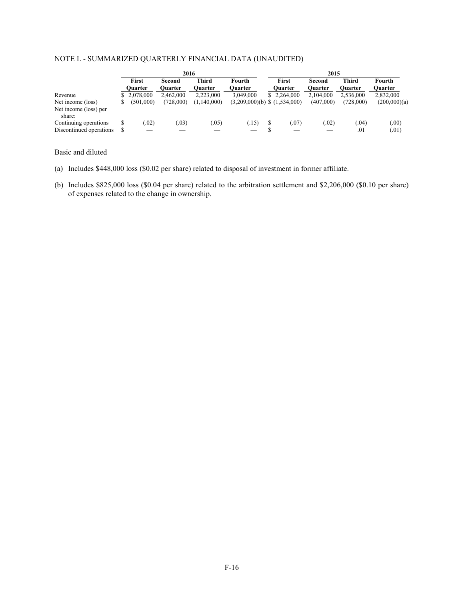| NOTE L - SUMMARIZED QUARTERLY FINANCIAL DATA (UNAUDITED) |  |
|----------------------------------------------------------|--|
|----------------------------------------------------------|--|

|                                 | 2016 |                                |                   |                         | 2015                               |  |                         |                          |                         |                          |
|---------------------------------|------|--------------------------------|-------------------|-------------------------|------------------------------------|--|-------------------------|--------------------------|-------------------------|--------------------------|
|                                 |      | <b>First</b><br><b>Ouarter</b> | Second<br>Ouarter | <b>Third</b><br>Ouarter | Fourth<br><b>Ouarter</b>           |  | <b>First</b><br>Ouarter | Second<br><b>Ouarter</b> | <b>Third</b><br>Ouarter | Fourth<br><b>Ouarter</b> |
| Revenue                         |      | \$2.078,000                    | 2.462,000         | 2.223,000               | 3.049.000                          |  | \$2.264,000             | 2,104,000                | 2.536,000               | 2,832,000                |
| Net income (loss)               | S    | (501,000)                      | (728,000)         | (1,140,000)             | $(3,209,000)$ (b) \$ $(1,534,000)$ |  |                         | (407,000)                | (728,000)               | (200,000)(a)             |
| Net income (loss) per<br>share: |      |                                |                   |                         |                                    |  |                         |                          |                         |                          |
| Continuing operations           | \$   | (02)                           | (03)              | (.05)                   | (.15)                              |  | .07)                    | (0.02)                   | (0.04)                  | (00)                     |
| Discontinued operations         | \$   |                                |                   |                         |                                    |  |                         |                          | .01                     | (.01)                    |

Basic and diluted

- (a) Includes \$448,000 loss (\$0.02 per share) related to disposal of investment in former affiliate.
- (b) Includes \$825,000 loss (\$0.04 per share) related to the arbitration settlement and \$2,206,000 (\$0.10 per share) of expenses related to the change in ownership.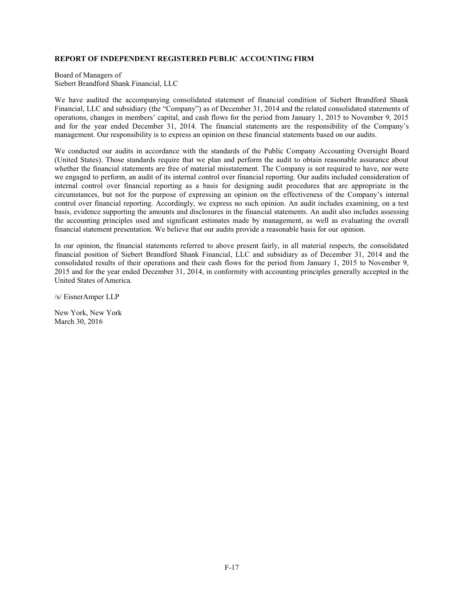## **REPORT OF INDEPENDENT REGISTERED PUBLIC ACCOUNTING FIRM**

Board of Managers of Siebert Brandford Shank Financial, LLC

We have audited the accompanying consolidated statement of financial condition of Siebert Brandford Shank Financial, LLC and subsidiary (the "Company") as of December 31, 2014 and the related consolidated statements of operations, changes in members' capital, and cash flows for the period from January 1, 2015 to November 9, 2015 and for the year ended December 31, 2014. The financial statements are the responsibility of the Company's management. Our responsibility is to express an opinion on these financial statements based on our audits.

We conducted our audits in accordance with the standards of the Public Company Accounting Oversight Board (United States). Those standards require that we plan and perform the audit to obtain reasonable assurance about whether the financial statements are free of material misstatement. The Company is not required to have, nor were we engaged to perform, an audit of its internal control over financial reporting. Our audits included consideration of internal control over financial reporting as a basis for designing audit procedures that are appropriate in the circumstances, but not for the purpose of expressing an opinion on the effectiveness of the Company's internal control over financial reporting. Accordingly, we express no such opinion. An audit includes examining, on a test basis, evidence supporting the amounts and disclosures in the financial statements. An audit also includes assessing the accounting principles used and significant estimates made by management, as well as evaluating the overall financial statement presentation. We believe that our audits provide a reasonable basis for our opinion.

In our opinion, the financial statements referred to above present fairly, in all material respects, the consolidated financial position of Siebert Brandford Shank Financial, LLC and subsidiary as of December 31, 2014 and the consolidated results of their operations and their cash flows for the period from January 1, 2015 to November 9, 2015 and for the year ended December 31, 2014, in conformity with accounting principles generally accepted in the United States of America.

/s/ EisnerAmper LLP

New York, New York March 30, 2016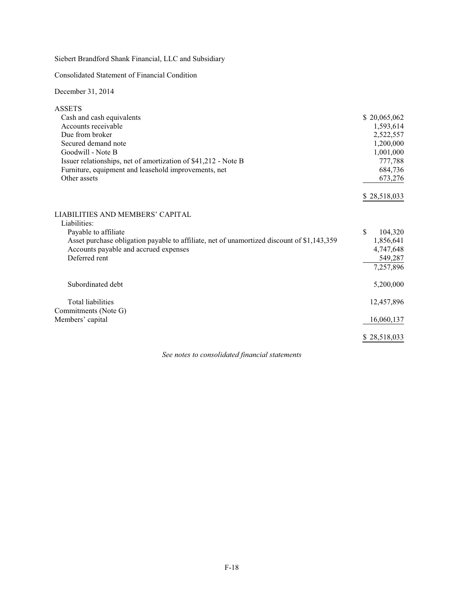Siebert Brandford Shank Financial, LLC and Subsidiary

Consolidated Statement of Financial Condition

December 31, 2014

| <b>ASSETS</b>                                                                              |               |
|--------------------------------------------------------------------------------------------|---------------|
| Cash and cash equivalents                                                                  | \$20,065,062  |
| Accounts receivable                                                                        | 1,593,614     |
| Due from broker                                                                            | 2,522,557     |
| Secured demand note                                                                        | 1,200,000     |
| Goodwill - Note B                                                                          | 1,001,000     |
| Issuer relationships, net of amortization of \$41,212 - Note B                             | 777,788       |
| Furniture, equipment and leasehold improvements, net                                       | 684,736       |
| Other assets                                                                               | 673,276       |
|                                                                                            | \$28,518,033  |
| LIABILITIES AND MEMBERS' CAPITAL<br>Liabilities:                                           |               |
| Payable to affiliate                                                                       | \$<br>104,320 |
| Asset purchase obligation payable to affiliate, net of unamortized discount of \$1,143,359 | 1,856,641     |
| Accounts payable and accrued expenses                                                      | 4,747,648     |
| Deferred rent                                                                              | 549,287       |
|                                                                                            | 7,257,896     |
| Subordinated debt                                                                          | 5,200,000     |
| <b>Total liabilities</b>                                                                   | 12,457,896    |
| Commitments (Note G)                                                                       |               |
| Members' capital                                                                           | 16,060,137    |
|                                                                                            | \$28,518,033  |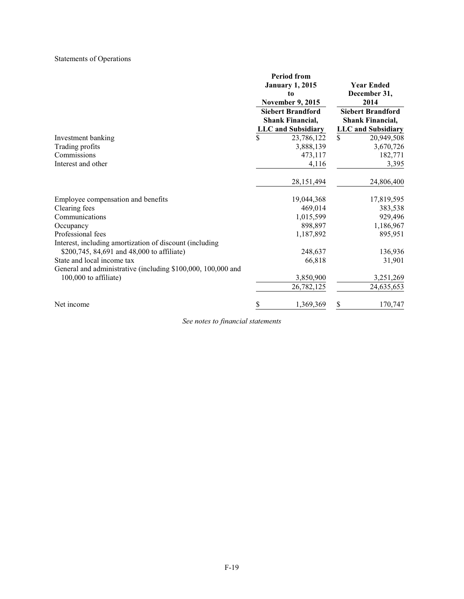# Statements of Operations

|                                                              | <b>Period from</b>         |                                                  |  |
|--------------------------------------------------------------|----------------------------|--------------------------------------------------|--|
|                                                              | <b>January 1, 2015</b>     | <b>Year Ended</b>                                |  |
|                                                              | to                         | December 31,<br>2014<br><b>Siebert Brandford</b> |  |
|                                                              | <b>November 9, 2015</b>    |                                                  |  |
|                                                              | <b>Siebert Brandford</b>   |                                                  |  |
|                                                              | <b>Shank Financial,</b>    | <b>Shank Financial,</b>                          |  |
|                                                              | LLC and Subsidiary         | <b>LLC</b> and Subsidiary                        |  |
| Investment banking                                           | $\mathbb{S}$<br>23,786,122 | $\mathbb{S}$<br>20,949,508                       |  |
| Trading profits                                              | 3,888,139                  | 3,670,726                                        |  |
| Commissions                                                  | 473,117                    | 182,771                                          |  |
| Interest and other                                           | 4,116                      | 3,395                                            |  |
|                                                              | 28,151,494                 | 24,806,400                                       |  |
| Employee compensation and benefits                           | 19,044,368                 | 17,819,595                                       |  |
| Clearing fees                                                | 469,014                    | 383,538                                          |  |
| Communications                                               | 1,015,599                  | 929,496                                          |  |
| Occupancy                                                    | 898,897                    | 1,186,967                                        |  |
| Professional fees                                            | 1,187,892                  | 895,951                                          |  |
| Interest, including amortization of discount (including      |                            |                                                  |  |
| \$200,745, 84,691 and 48,000 to affiliate)                   | 248,637                    | 136,936                                          |  |
| State and local income tax                                   | 66,818                     | 31,901                                           |  |
| General and administrative (including \$100,000, 100,000 and |                            |                                                  |  |
| 100,000 to affiliate)                                        | 3,850,900                  | 3,251,269                                        |  |
|                                                              | 26,782,125                 | 24,635,653                                       |  |
| Net income                                                   | \$<br>1,369,369            | \$<br>170,747                                    |  |

*See notes to financial statements*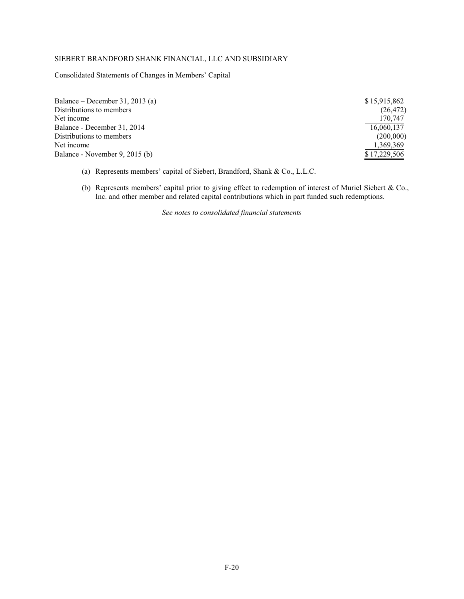Consolidated Statements of Changes in Members' Capital

| Balance – December 31, 2013 (a) | \$15,915,862 |
|---------------------------------|--------------|
| Distributions to members        | (26, 472)    |
| Net income                      | 170,747      |
| Balance - December 31, 2014     | 16,060,137   |
| Distributions to members        | (200,000)    |
| Net income                      | 1,369,369    |
| Balance - November 9, 2015 (b)  | \$17,229,506 |

- (a) Represents members' capital of Siebert, Brandford, Shank & Co., L.L.C.
- (b) Represents members' capital prior to giving effect to redemption of interest of Muriel Siebert & Co., Inc. and other member and related capital contributions which in part funded such redemptions.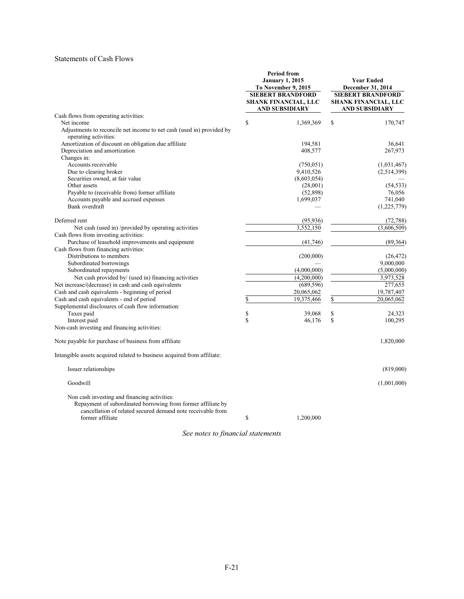# Statements of Cash Flows

|                                                                                                                                                                                                 | <b>Period from</b><br><b>January 1, 2015</b><br>To November 9, 2015<br><b>SIEBERT BRANDFORD</b> | <b>Year Ended</b><br>December 31, 2014<br><b>SIEBERT BRANDFORD</b> |  |
|-------------------------------------------------------------------------------------------------------------------------------------------------------------------------------------------------|-------------------------------------------------------------------------------------------------|--------------------------------------------------------------------|--|
|                                                                                                                                                                                                 | <b>SHANK FINANCIAL, LLC</b><br>AND SUBSIDIARY                                                   | <b>SHANK FINANCIAL, LLC</b><br><b>AND SUBSIDIARY</b>               |  |
| Cash flows from operating activities:                                                                                                                                                           |                                                                                                 |                                                                    |  |
| Net income<br>Adjustments to reconcile net income to net cash (used in) provided by<br>operating activities:                                                                                    | \$<br>1,369,369                                                                                 | \$<br>170,747                                                      |  |
| Amortization of discount on obligation due affiliate                                                                                                                                            | 194,581                                                                                         | 36.641                                                             |  |
| Depreciation and amortization                                                                                                                                                                   | 408,577                                                                                         | 267,973                                                            |  |
| Changes in:                                                                                                                                                                                     |                                                                                                 |                                                                    |  |
| Accounts receivable                                                                                                                                                                             | (750, 051)                                                                                      | (1,031,467)                                                        |  |
| Due to clearing broker                                                                                                                                                                          | 9,410,526                                                                                       | (2,514,399)                                                        |  |
| Securities owned, at fair value                                                                                                                                                                 | (8,603,054)                                                                                     |                                                                    |  |
| Other assets                                                                                                                                                                                    | (28,001)                                                                                        | (54, 533)                                                          |  |
| Payable to (receivable from) former affiliate                                                                                                                                                   | (52,898)                                                                                        | 76.056                                                             |  |
| Accounts payable and accrued expenses                                                                                                                                                           | 1,699,037                                                                                       | 741.040                                                            |  |
| Bank overdraft                                                                                                                                                                                  |                                                                                                 | (1,225,779)                                                        |  |
| Deferred rent                                                                                                                                                                                   | (95, 936)                                                                                       | (72, 788)                                                          |  |
| Net cash (used in) /provided by operating activities                                                                                                                                            | 3,552,150                                                                                       | (3,606,509)                                                        |  |
| Cash flows from investing activities:                                                                                                                                                           |                                                                                                 |                                                                    |  |
| Purchase of leasehold improvements and equipment                                                                                                                                                | (41,746)                                                                                        | (89, 364)                                                          |  |
| Cash flows from financing activities:                                                                                                                                                           |                                                                                                 |                                                                    |  |
| Distributions to members                                                                                                                                                                        | (200,000)                                                                                       | (26, 472)                                                          |  |
| Subordinated borrowings                                                                                                                                                                         |                                                                                                 | 9,000,000                                                          |  |
| Subordinated repayments                                                                                                                                                                         | (4,000,000)                                                                                     | (5,000,000)                                                        |  |
| Net cash provided by/ (used in) financing activities                                                                                                                                            | (4,200,000)                                                                                     | 3,973,528                                                          |  |
| Net increase/(decrease) in cash and cash equivalents                                                                                                                                            | (689, 596)                                                                                      | 277.655                                                            |  |
| Cash and cash equivalents - beginning of period                                                                                                                                                 | 20,065,062                                                                                      | 19,787,407                                                         |  |
| Cash and cash equivalents - end of period                                                                                                                                                       | \$<br>19,375,466                                                                                | 20,065,062<br>\$                                                   |  |
| Supplemental disclosures of cash flow information:                                                                                                                                              |                                                                                                 |                                                                    |  |
| Taxes paid                                                                                                                                                                                      | \$<br>39,068<br>\$                                                                              | \$<br>24,323<br>\$                                                 |  |
| Interest paid<br>Non-cash investing and financing activities:                                                                                                                                   | 46,176                                                                                          | 100,295                                                            |  |
|                                                                                                                                                                                                 |                                                                                                 |                                                                    |  |
| Note payable for purchase of business from affiliate.                                                                                                                                           |                                                                                                 | 1,820,000                                                          |  |
| Intangible assets acquired related to business acquired from affiliate:                                                                                                                         |                                                                                                 |                                                                    |  |
| Issuer relationships                                                                                                                                                                            |                                                                                                 | (819,000)                                                          |  |
| Goodwill                                                                                                                                                                                        |                                                                                                 | (1,001,000)                                                        |  |
| Non cash investing and financing activities:<br>Repayment of subordinated borrowing from former affiliate by<br>cancellation of related secured demand note receivable from<br>former affiliate | \$<br>1,200,000                                                                                 |                                                                    |  |

*See notes to financial statements*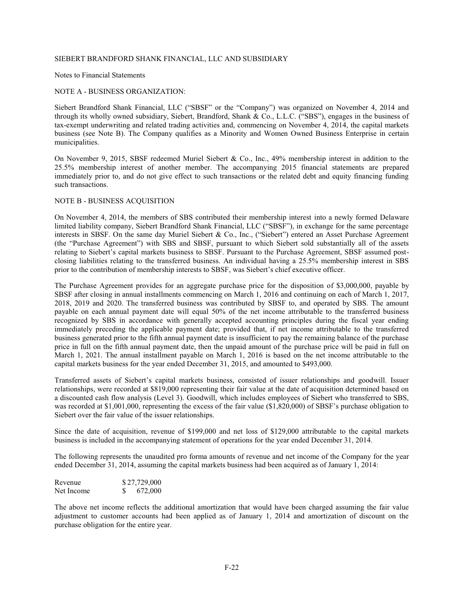#### Notes to Financial Statements

#### NOTE A - BUSINESS ORGANIZATION:

Siebert Brandford Shank Financial, LLC ("SBSF" or the "Company") was organized on November 4, 2014 and through its wholly owned subsidiary, Siebert, Brandford, Shank & Co., L.L.C. ("SBS"), engages in the business of tax-exempt underwriting and related trading activities and, commencing on November 4, 2014, the capital markets business (see Note B). The Company qualifies as a Minority and Women Owned Business Enterprise in certain municipalities.

On November 9, 2015, SBSF redeemed Muriel Siebert & Co., Inc., 49% membership interest in addition to the 25.5% membership interest of another member. The accompanying 2015 financial statements are prepared immediately prior to, and do not give effect to such transactions or the related debt and equity financing funding such transactions.

#### NOTE B - BUSINESS ACQUISITION

On November 4, 2014, the members of SBS contributed their membership interest into a newly formed Delaware limited liability company, Siebert Brandford Shank Financial, LLC ("SBSF"), in exchange for the same percentage interests in SBSF. On the same day Muriel Siebert & Co., Inc., ("Siebert") entered an Asset Purchase Agreement (the "Purchase Agreement") with SBS and SBSF, pursuant to which Siebert sold substantially all of the assets relating to Siebert's capital markets business to SBSF. Pursuant to the Purchase Agreement, SBSF assumed postclosing liabilities relating to the transferred business. An individual having a 25.5% membership interest in SBS prior to the contribution of membership interests to SBSF, was Siebert's chief executive officer.

The Purchase Agreement provides for an aggregate purchase price for the disposition of \$3,000,000, payable by SBSF after closing in annual installments commencing on March 1, 2016 and continuing on each of March 1, 2017, 2018, 2019 and 2020. The transferred business was contributed by SBSF to, and operated by SBS. The amount payable on each annual payment date will equal 50% of the net income attributable to the transferred business recognized by SBS in accordance with generally accepted accounting principles during the fiscal year ending immediately preceding the applicable payment date; provided that, if net income attributable to the transferred business generated prior to the fifth annual payment date is insufficient to pay the remaining balance of the purchase price in full on the fifth annual payment date, then the unpaid amount of the purchase price will be paid in full on March 1, 2021. The annual installment payable on March 1, 2016 is based on the net income attributable to the capital markets business for the year ended December 31, 2015, and amounted to \$493,000.

Transferred assets of Siebert's capital markets business, consisted of issuer relationships and goodwill. Issuer relationships, were recorded at \$819,000 representing their fair value at the date of acquisition determined based on a discounted cash flow analysis (Level 3). Goodwill, which includes employees of Siebert who transferred to SBS, was recorded at \$1,001,000, representing the excess of the fair value (\$1,820,000) of SBSF's purchase obligation to Siebert over the fair value of the issuer relationships.

Since the date of acquisition, revenue of \$199,000 and net loss of \$129,000 attributable to the capital markets business is included in the accompanying statement of operations for the year ended December 31, 2014.

The following represents the unaudited pro forma amounts of revenue and net income of the Company for the year ended December 31, 2014, assuming the capital markets business had been acquired as of January 1, 2014:

| Revenue    | \$27,729,000 |         |
|------------|--------------|---------|
| Net Income |              | 672,000 |

The above net income reflects the additional amortization that would have been charged assuming the fair value adjustment to customer accounts had been applied as of January 1, 2014 and amortization of discount on the purchase obligation for the entire year.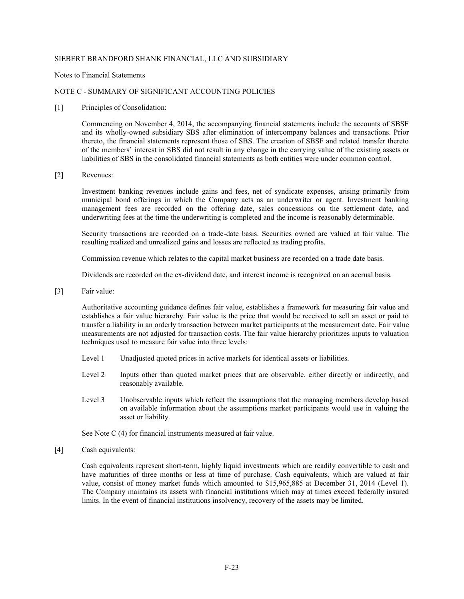Notes to Financial Statements

#### NOTE C - SUMMARY OF SIGNIFICANT ACCOUNTING POLICIES

[1] Principles of Consolidation:

Commencing on November 4, 2014, the accompanying financial statements include the accounts of SBSF and its wholly-owned subsidiary SBS after elimination of intercompany balances and transactions. Prior thereto, the financial statements represent those of SBS. The creation of SBSF and related transfer thereto of the members' interest in SBS did not result in any change in the carrying value of the existing assets or liabilities of SBS in the consolidated financial statements as both entities were under common control.

[2] Revenues:

Investment banking revenues include gains and fees, net of syndicate expenses, arising primarily from municipal bond offerings in which the Company acts as an underwriter or agent. Investment banking management fees are recorded on the offering date, sales concessions on the settlement date, and underwriting fees at the time the underwriting is completed and the income is reasonably determinable.

Security transactions are recorded on a trade-date basis. Securities owned are valued at fair value. The resulting realized and unrealized gains and losses are reflected as trading profits.

Commission revenue which relates to the capital market business are recorded on a trade date basis.

Dividends are recorded on the ex-dividend date, and interest income is recognized on an accrual basis.

[3] Fair value:

Authoritative accounting guidance defines fair value, establishes a framework for measuring fair value and establishes a fair value hierarchy. Fair value is the price that would be received to sell an asset or paid to transfer a liability in an orderly transaction between market participants at the measurement date. Fair value measurements are not adjusted for transaction costs. The fair value hierarchy prioritizes inputs to valuation techniques used to measure fair value into three levels:

- Level 1 Unadjusted quoted prices in active markets for identical assets or liabilities.
- Level 2 Inputs other than quoted market prices that are observable, either directly or indirectly, and reasonably available.
- Level 3 Unobservable inputs which reflect the assumptions that the managing members develop based on available information about the assumptions market participants would use in valuing the asset or liability.

See Note C (4) for financial instruments measured at fair value.

[4] Cash equivalents:

Cash equivalents represent short-term, highly liquid investments which are readily convertible to cash and have maturities of three months or less at time of purchase. Cash equivalents, which are valued at fair value, consist of money market funds which amounted to \$15,965,885 at December 31, 2014 (Level 1). The Company maintains its assets with financial institutions which may at times exceed federally insured limits. In the event of financial institutions insolvency, recovery of the assets may be limited.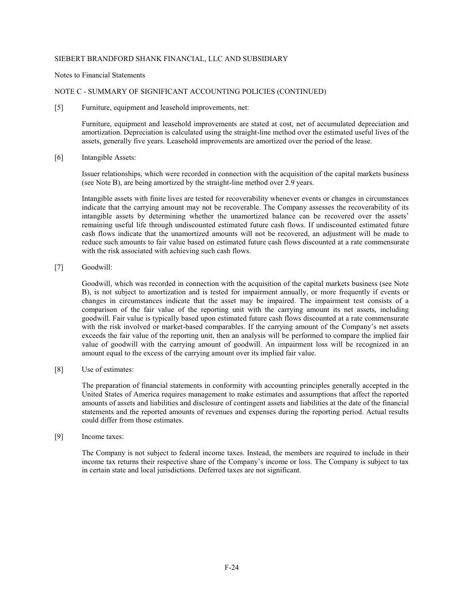Notes to Financial Statements

## NOTE C - SUMMARY OF SIGNIFICANT ACCOUNTING POLICIES (CONTINUED)

[5] Furniture, equipment and leasehold improvements, net:

Furniture, equipment and leasehold improvements are stated at cost, net of accumulated depreciation and amortization. Depreciation is calculated using the straight-line method over the estimated useful lives of the assets, generally five years. Leasehold improvements are amortized over the period of the lease.

[6] Intangible Assets:

Issuer relationships, which were recorded in connection with the acquisition of the capital markets business (see Note B), are being amortized by the straight-line method over 2.9 years.

Intangible assets with finite lives are tested for recoverability whenever events or changes in circumstances indicate that the carrying amount may not be recoverable. The Company assesses the recoverability of its intangible assets by determining whether the unamortized balance can be recovered over the assets' remaining useful life through undiscounted estimated future cash flows. If undiscounted estimated future cash flows indicate that the unamortized amounts will not be recovered, an adjustment will be made to reduce such amounts to fair value based on estimated future cash flows discounted at a rate commensurate with the risk associated with achieving such cash flows.

[7] Goodwill:

Goodwill, which was recorded in connection with the acquisition of the capital markets business (see Note B), is not subject to amortization and is tested for impairment annually, or more frequently if events or changes in circumstances indicate that the asset may be impaired. The impairment test consists of a comparison of the fair value of the reporting unit with the carrying amount its net assets, including goodwill. Fair value is typically based upon estimated future cash flows discounted at a rate commensurate with the risk involved or market-based comparables. If the carrying amount of the Company's net assets exceeds the fair value of the reporting unit, then an analysis will be performed to compare the implied fair value of goodwill with the carrying amount of goodwill. An impairment loss will be recognized in an amount equal to the excess of the carrying amount over its implied fair value.

[8] Use of estimates:

The preparation of financial statements in conformity with accounting principles generally accepted in the United States of America requires management to make estimates and assumptions that affect the reported amounts of assets and liabilities and disclosure of contingent assets and liabilities at the date of the financial statements and the reported amounts of revenues and expenses during the reporting period. Actual results could differ from those estimates.

[9] Income taxes:

The Company is not subject to federal income taxes. Instead, the members are required to include in their income tax returns their respective share of the Company's income or loss. The Company is subject to tax in certain state and local jurisdictions. Deferred taxes are not significant.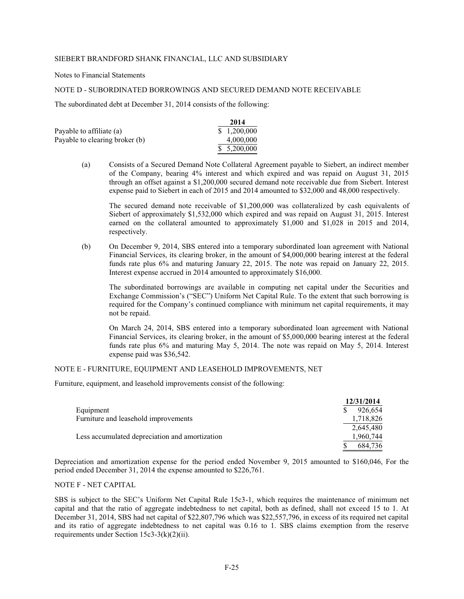Notes to Financial Statements

#### NOTE D - SUBORDINATED BORROWINGS AND SECURED DEMAND NOTE RECEIVABLE

The subordinated debt at December 31, 2014 consists of the following:

|                                | 2014        |
|--------------------------------|-------------|
| Payable to affiliate (a)       | \$1,200,000 |
| Payable to clearing broker (b) | 4.000.000   |
|                                | \$5,200,000 |

(a) Consists of a Secured Demand Note Collateral Agreement payable to Siebert, an indirect member of the Company, bearing 4% interest and which expired and was repaid on August 31, 2015 through an offset against a \$1,200,000 secured demand note receivable due from Siebert. Interest expense paid to Siebert in each of 2015 and 2014 amounted to \$32,000 and 48,000 respectively.

The secured demand note receivable of \$1,200,000 was collateralized by cash equivalents of Siebert of approximately \$1,532,000 which expired and was repaid on August 31, 2015. Interest earned on the collateral amounted to approximately \$1,000 and \$1,028 in 2015 and 2014, respectively.

(b) On December 9, 2014, SBS entered into a temporary subordinated loan agreement with National Financial Services, its clearing broker, in the amount of \$4,000,000 bearing interest at the federal funds rate plus 6% and maturing January 22, 2015. The note was repaid on January 22, 2015. Interest expense accrued in 2014 amounted to approximately \$16,000.

The subordinated borrowings are available in computing net capital under the Securities and Exchange Commission's ("SEC") Uniform Net Capital Rule. To the extent that such borrowing is required for the Company's continued compliance with minimum net capital requirements, it may not be repaid.

On March 24, 2014, SBS entered into a temporary subordinated loan agreement with National Financial Services, its clearing broker, in the amount of \$5,000,000 bearing interest at the federal funds rate plus 6% and maturing May 5, 2014. The note was repaid on May 5, 2014. Interest expense paid was \$36,542.

#### NOTE E - FURNITURE, EQUIPMENT AND LEASEHOLD IMPROVEMENTS, NET

Furniture, equipment, and leasehold improvements consist of the following:

|                                                | 12/31/2014 |
|------------------------------------------------|------------|
| Equipment                                      | 926.654    |
| Furniture and leasehold improvements           | 1,718,826  |
|                                                | 2,645,480  |
| Less accumulated depreciation and amortization | 1.960.744  |
|                                                | 684,736    |

Depreciation and amortization expense for the period ended November 9, 2015 amounted to \$160,046, For the period ended December 31, 2014 the expense amounted to \$226,761.

#### NOTE F - NET CAPITAL

SBS is subject to the SEC's Uniform Net Capital Rule 15c3-1, which requires the maintenance of minimum net capital and that the ratio of aggregate indebtedness to net capital, both as defined, shall not exceed 15 to 1. At December 31, 2014, SBS had net capital of \$22,807,796 which was \$22,557,796, in excess of its required net capital and its ratio of aggregate indebtedness to net capital was 0.16 to 1. SBS claims exemption from the reserve requirements under Section 15c3-3(k)(2)(ii).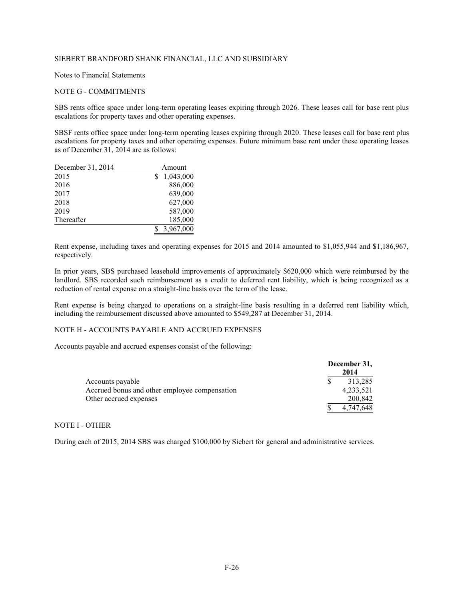Notes to Financial Statements

#### NOTE G - COMMITMENTS

SBS rents office space under long-term operating leases expiring through 2026. These leases call for base rent plus escalations for property taxes and other operating expenses.

SBSF rents office space under long-term operating leases expiring through 2020. These leases call for base rent plus escalations for property taxes and other operating expenses. Future minimum base rent under these operating leases as of December 31, 2014 are as follows:

| December 31, 2014 | Amount    |
|-------------------|-----------|
| 2015              | 1,043,000 |
| 2016              | 886,000   |
| 2017              | 639,000   |
| 2018              | 627,000   |
| 2019              | 587,000   |
| Thereafter        | 185,000   |
|                   | 3,967,000 |

Rent expense, including taxes and operating expenses for 2015 and 2014 amounted to \$1,055,944 and \$1,186,967, respectively.

In prior years, SBS purchased leasehold improvements of approximately \$620,000 which were reimbursed by the landlord. SBS recorded such reimbursement as a credit to deferred rent liability, which is being recognized as a reduction of rental expense on a straight-line basis over the term of the lease.

Rent expense is being charged to operations on a straight-line basis resulting in a deferred rent liability which, including the reimbursement discussed above amounted to \$549,287 at December 31, 2014.

# NOTE H - ACCOUNTS PAYABLE AND ACCRUED EXPENSES

Accounts payable and accrued expenses consist of the following:

|                                               | December 31, |  |
|-----------------------------------------------|--------------|--|
|                                               | 2014         |  |
| Accounts payable                              | 313,285      |  |
| Accrued bonus and other employee compensation | 4,233,521    |  |
| Other accrued expenses                        | 200,842      |  |
|                                               | 4.747.648    |  |

## NOTE I - OTHER

During each of 2015, 2014 SBS was charged \$100,000 by Siebert for general and administrative services.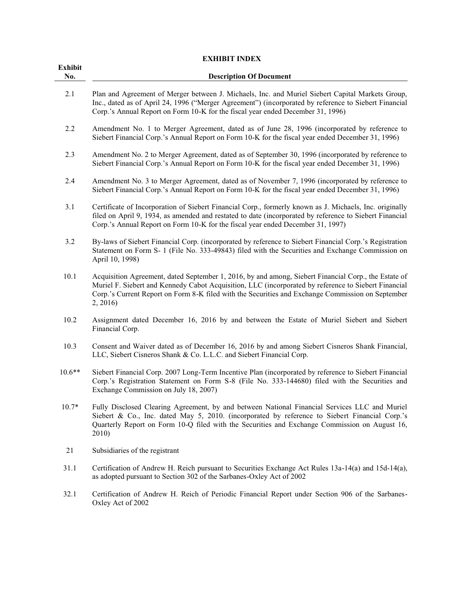| <b>EXHIBIT INDEX</b>  |                                                                                                                                                                                                                                                                                                                               |  |  |
|-----------------------|-------------------------------------------------------------------------------------------------------------------------------------------------------------------------------------------------------------------------------------------------------------------------------------------------------------------------------|--|--|
| <b>Exhibit</b><br>No. | <b>Description Of Document</b>                                                                                                                                                                                                                                                                                                |  |  |
| 2.1                   | Plan and Agreement of Merger between J. Michaels, Inc. and Muriel Siebert Capital Markets Group,<br>Inc., dated as of April 24, 1996 ("Merger Agreement") (incorporated by reference to Siebert Financial<br>Corp.'s Annual Report on Form 10-K for the fiscal year ended December 31, 1996)                                  |  |  |
| 2.2                   | Amendment No. 1 to Merger Agreement, dated as of June 28, 1996 (incorporated by reference to<br>Siebert Financial Corp.'s Annual Report on Form 10-K for the fiscal year ended December 31, 1996)                                                                                                                             |  |  |
| 2.3                   | Amendment No. 2 to Merger Agreement, dated as of September 30, 1996 (incorporated by reference to<br>Siebert Financial Corp.'s Annual Report on Form 10-K for the fiscal year ended December 31, 1996)                                                                                                                        |  |  |
| 2.4                   | Amendment No. 3 to Merger Agreement, dated as of November 7, 1996 (incorporated by reference to<br>Siebert Financial Corp.'s Annual Report on Form 10-K for the fiscal year ended December 31, 1996)                                                                                                                          |  |  |
| 3.1                   | Certificate of Incorporation of Siebert Financial Corp., formerly known as J. Michaels, Inc. originally<br>filed on April 9, 1934, as amended and restated to date (incorporated by reference to Siebert Financial<br>Corp.'s Annual Report on Form 10-K for the fiscal year ended December 31, 1997)                         |  |  |
| 3.2                   | By-laws of Siebert Financial Corp. (incorporated by reference to Siebert Financial Corp.'s Registration<br>Statement on Form S- 1 (File No. 333-49843) filed with the Securities and Exchange Commission on<br>April 10, 1998)                                                                                                |  |  |
| 10.1                  | Acquisition Agreement, dated September 1, 2016, by and among, Siebert Financial Corp., the Estate of<br>Muriel F. Siebert and Kennedy Cabot Acquisition, LLC (incorporated by reference to Siebert Financial<br>Corp.'s Current Report on Form 8-K filed with the Securities and Exchange Commission on September<br>2, 2016) |  |  |
| 10.2                  | Assignment dated December 16, 2016 by and between the Estate of Muriel Siebert and Siebert<br>Financial Corp.                                                                                                                                                                                                                 |  |  |
| 10.3                  | Consent and Waiver dated as of December 16, 2016 by and among Siebert Cisneros Shank Financial,<br>LLC, Siebert Cisneros Shank & Co. L.L.C. and Siebert Financial Corp.                                                                                                                                                       |  |  |
| $10.6**$              | Siebert Financial Corp. 2007 Long-Term Incentive Plan (incorporated by reference to Siebert Financial<br>Corp.'s Registration Statement on Form S-8 (File No. 333-144680) filed with the Securities and<br>Exchange Commission on July 18, 2007)                                                                              |  |  |
| $10.7*$               | Fully Disclosed Clearing Agreement, by and between National Financial Services LLC and Muriel<br>Siebert & Co., Inc. dated May 5, 2010. (incorporated by reference to Siebert Financial Corp.'s<br>Quarterly Report on Form 10-Q filed with the Securities and Exchange Commission on August 16,<br>2010)                     |  |  |
| 21                    | Subsidiaries of the registrant                                                                                                                                                                                                                                                                                                |  |  |
| 31.1                  | Certification of Andrew H. Reich pursuant to Securities Exchange Act Rules 13a-14(a) and 15d-14(a),<br>as adopted pursuant to Section 302 of the Sarbanes-Oxley Act of 2002                                                                                                                                                   |  |  |
| 32.1                  | Certification of Andrew H. Reich of Periodic Financial Report under Section 906 of the Sarbanes-<br>Oxley Act of 2002                                                                                                                                                                                                         |  |  |
|                       |                                                                                                                                                                                                                                                                                                                               |  |  |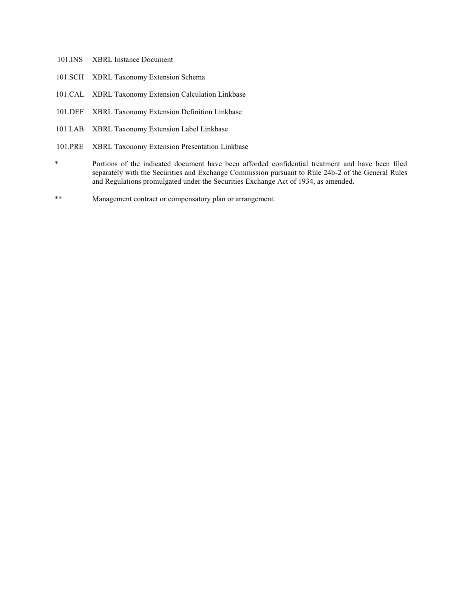- 101.INS XBRL Instance Document
- 101.SCH XBRL Taxonomy Extension Schema
- 101.CAL XBRL Taxonomy Extension Calculation Linkbase
- 101.DEF XBRL Taxonomy Extension Definition Linkbase
- 101.LAB XBRL Taxonomy Extension Label Linkbase
- 101.PRE XBRL Taxonomy Extension Presentation Linkbase
- \* Portions of the indicated document have been afforded confidential treatment and have been filed separately with the Securities and Exchange Commission pursuant to Rule 24b-2 of the General Rules and Regulations promulgated under the Securities Exchange Act of 1934, as amended.
- \*\* Management contract or compensatory plan or arrangement.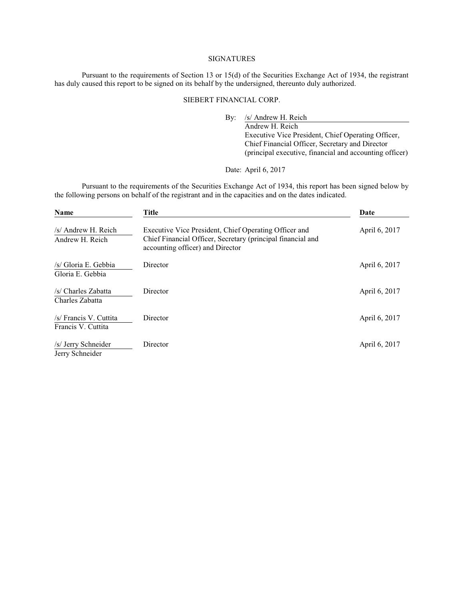## SIGNATURES

Pursuant to the requirements of Section 13 or 15(d) of the Securities Exchange Act of 1934, the registrant has duly caused this report to be signed on its behalf by the undersigned, thereunto duly authorized.

# SIEBERT FINANCIAL CORP.

By: /s/ Andrew H. Reich Andrew H. Reich Executive Vice President, Chief Operating Officer, Chief Financial Officer, Secretary and Director (principal executive, financial and accounting officer)

Date: April 6, 2017

Pursuant to the requirements of the Securities Exchange Act of 1934, this report has been signed below by the following persons on behalf of the registrant and in the capacities and on the dates indicated.

| Name                                         | <b>Title</b>                                                                                                                                             | Date          |
|----------------------------------------------|----------------------------------------------------------------------------------------------------------------------------------------------------------|---------------|
| /s/ Andrew H. Reich<br>Andrew H. Reich       | Executive Vice President, Chief Operating Officer and<br>Chief Financial Officer, Secretary (principal financial and<br>accounting officer) and Director | April 6, 2017 |
| /s/ Gloria E. Gebbia<br>Gloria E. Gebbia     | Director                                                                                                                                                 | April 6, 2017 |
| /s/ Charles Zabatta<br>Charles Zabatta       | Director                                                                                                                                                 | April 6, 2017 |
| /s/ Francis V. Cuttita<br>Francis V. Cuttita | Director                                                                                                                                                 | April 6, 2017 |
| /s/ Jerry Schneider<br>Jerry Schneider       | Director                                                                                                                                                 | April 6, 2017 |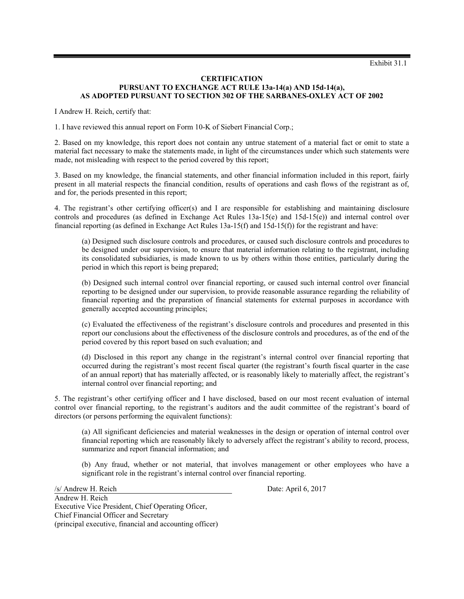## **CERTIFICATION PURSUANT TO EXCHANGE ACT RULE 13a-14(a) AND 15d-14(a), AS ADOPTED PURSUANT TO SECTION 302 OF THE SARBANES-OXLEY ACT OF 2002**

I Andrew H. Reich, certify that:

1. I have reviewed this annual report on Form 10-K of Siebert Financial Corp.;

2. Based on my knowledge, this report does not contain any untrue statement of a material fact or omit to state a material fact necessary to make the statements made, in light of the circumstances under which such statements were made, not misleading with respect to the period covered by this report;

3. Based on my knowledge, the financial statements, and other financial information included in this report, fairly present in all material respects the financial condition, results of operations and cash flows of the registrant as of, and for, the periods presented in this report;

4. The registrant's other certifying officer(s) and I are responsible for establishing and maintaining disclosure controls and procedures (as defined in Exchange Act Rules 13a-15(e) and 15d-15(e)) and internal control over financial reporting (as defined in Exchange Act Rules 13a-15(f) and 15d-15(f)) for the registrant and have:

(a) Designed such disclosure controls and procedures, or caused such disclosure controls and procedures to be designed under our supervision, to ensure that material information relating to the registrant, including its consolidated subsidiaries, is made known to us by others within those entities, particularly during the period in which this report is being prepared;

(b) Designed such internal control over financial reporting, or caused such internal control over financial reporting to be designed under our supervision, to provide reasonable assurance regarding the reliability of financial reporting and the preparation of financial statements for external purposes in accordance with generally accepted accounting principles;

(c) Evaluated the effectiveness of the registrant's disclosure controls and procedures and presented in this report our conclusions about the effectiveness of the disclosure controls and procedures, as of the end of the period covered by this report based on such evaluation; and

(d) Disclosed in this report any change in the registrant's internal control over financial reporting that occurred during the registrant's most recent fiscal quarter (the registrant's fourth fiscal quarter in the case of an annual report) that has materially affected, or is reasonably likely to materially affect, the registrant's internal control over financial reporting; and

5. The registrant's other certifying officer and I have disclosed, based on our most recent evaluation of internal control over financial reporting, to the registrant's auditors and the audit committee of the registrant's board of directors (or persons performing the equivalent functions):

(a) All significant deficiencies and material weaknesses in the design or operation of internal control over financial reporting which are reasonably likely to adversely affect the registrant's ability to record, process, summarize and report financial information; and

(b) Any fraud, whether or not material, that involves management or other employees who have a significant role in the registrant's internal control over financial reporting.

/s/ Andrew H. Reich Date: April 6, 2017

Andrew H. Reich Executive Vice President, Chief Operating Oficer, Chief Financial Officer and Secretary (principal executive, financial and accounting officer)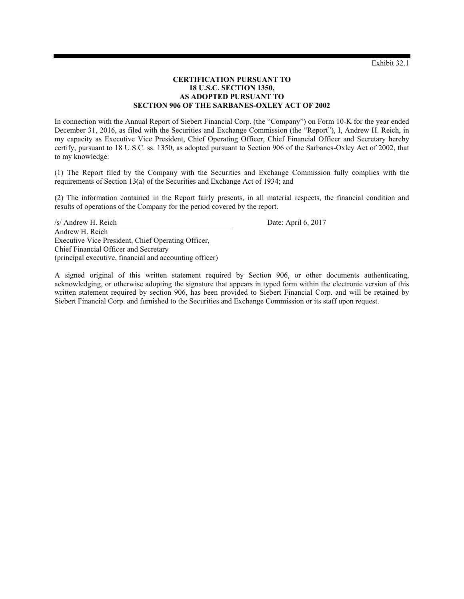Exhibit 32.1

## **CERTIFICATION PURSUANT TO 18 U.S.C. SECTION 1350, AS ADOPTED PURSUANT TO SECTION 906 OF THE SARBANES-OXLEY ACT OF 2002**

In connection with the Annual Report of Siebert Financial Corp. (the "Company") on Form 10-K for the year ended December 31, 2016, as filed with the Securities and Exchange Commission (the "Report"), I, Andrew H. Reich, in my capacity as Executive Vice President, Chief Operating Officer, Chief Financial Officer and Secretary hereby certify, pursuant to 18 U.S.C. ss. 1350, as adopted pursuant to Section 906 of the Sarbanes-Oxley Act of 2002, that to my knowledge:

(1) The Report filed by the Company with the Securities and Exchange Commission fully complies with the requirements of Section 13(a) of the Securities and Exchange Act of 1934; and

(2) The information contained in the Report fairly presents, in all material respects, the financial condition and results of operations of the Company for the period covered by the report.

/s/ Andrew H. Reich Date: April 6, 2017 Andrew H. Reich Executive Vice President, Chief Operating Officer, Chief Financial Officer and Secretary (principal executive, financial and accounting officer)

A signed original of this written statement required by Section 906, or other documents authenticating, acknowledging, or otherwise adopting the signature that appears in typed form within the electronic version of this written statement required by section 906, has been provided to Siebert Financial Corp. and will be retained by Siebert Financial Corp. and furnished to the Securities and Exchange Commission or its staff upon request.